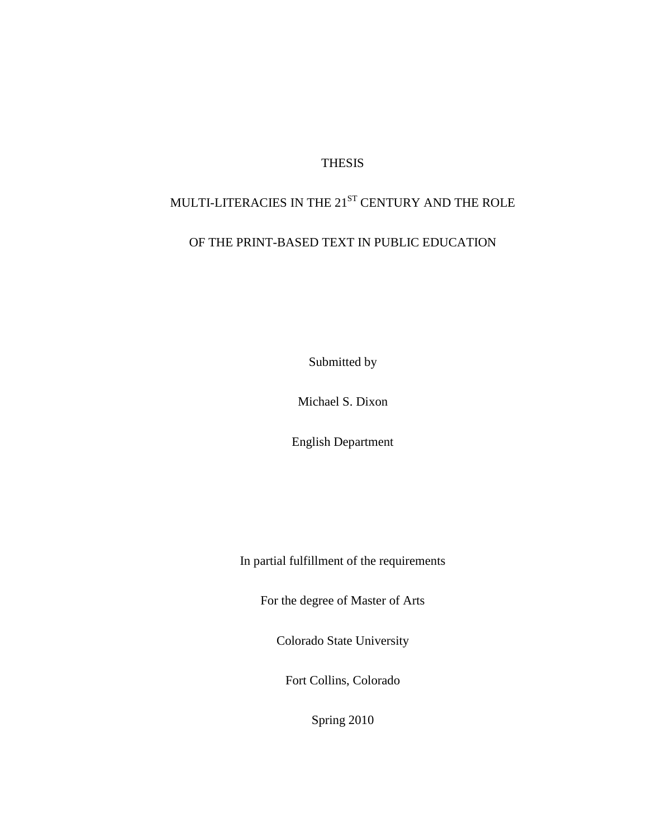## THESIS

# MULTI-LITERACIES IN THE  $21^\mathrm{ST}$  CENTURY AND THE ROLE

# OF THE PRINT-BASED TEXT IN PUBLIC EDUCATION

Submitted by

Michael S. Dixon

English Department

In partial fulfillment of the requirements

For the degree of Master of Arts

Colorado State University

Fort Collins, Colorado

Spring 2010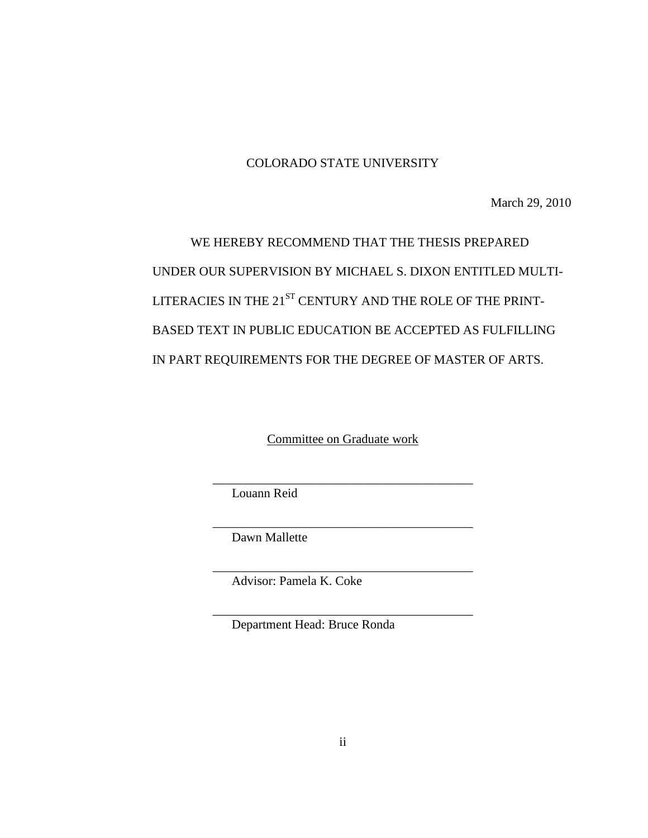## COLORADO STATE UNIVERSITY

March 29, 2010

WE HEREBY RECOMMEND THAT THE THESIS PREPARED UNDER OUR SUPERVISION BY MICHAEL S. DIXON ENTITLED MULTI-LITERACIES IN THE  $21^{ST}$  CENTURY AND THE ROLE OF THE PRINT-BASED TEXT IN PUBLIC EDUCATION BE ACCEPTED AS FULFILLING IN PART REQUIREMENTS FOR THE DEGREE OF MASTER OF ARTS.

Committee on Graduate work

\_\_\_\_\_\_\_\_\_\_\_\_\_\_\_\_\_\_\_\_\_\_\_\_\_\_\_\_\_\_\_\_\_\_\_\_\_\_\_\_\_

\_\_\_\_\_\_\_\_\_\_\_\_\_\_\_\_\_\_\_\_\_\_\_\_\_\_\_\_\_\_\_\_\_\_\_\_\_\_\_\_\_

\_\_\_\_\_\_\_\_\_\_\_\_\_\_\_\_\_\_\_\_\_\_\_\_\_\_\_\_\_\_\_\_\_\_\_\_\_\_\_\_\_

\_\_\_\_\_\_\_\_\_\_\_\_\_\_\_\_\_\_\_\_\_\_\_\_\_\_\_\_\_\_\_\_\_\_\_\_\_\_\_\_\_

Louann Reid

Dawn Mallette

Advisor: Pamela K. Coke

Department Head: Bruce Ronda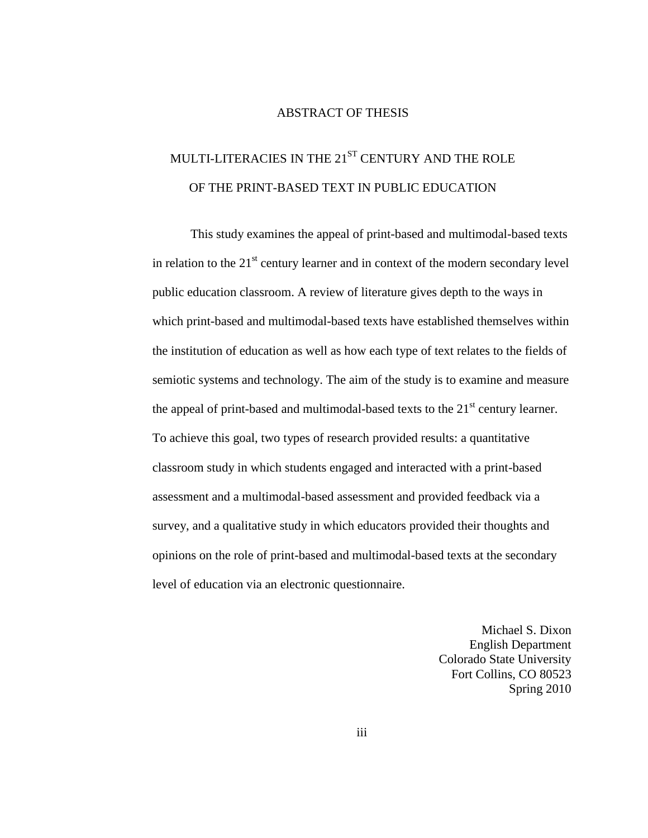### ABSTRACT OF THESIS

# MULTI-LITERACIES IN THE  $21^\mathrm{ST}$  CENTURY AND THE ROLE OF THE PRINT-BASED TEXT IN PUBLIC EDUCATION

This study examines the appeal of print-based and multimodal-based texts in relation to the  $21<sup>st</sup>$  century learner and in context of the modern secondary level public education classroom. A review of literature gives depth to the ways in which print-based and multimodal-based texts have established themselves within the institution of education as well as how each type of text relates to the fields of semiotic systems and technology. The aim of the study is to examine and measure the appeal of print-based and multimodal-based texts to the  $21<sup>st</sup>$  century learner. To achieve this goal, two types of research provided results: a quantitative classroom study in which students engaged and interacted with a print-based assessment and a multimodal-based assessment and provided feedback via a survey, and a qualitative study in which educators provided their thoughts and opinions on the role of print-based and multimodal-based texts at the secondary level of education via an electronic questionnaire.

> Michael S. Dixon English Department Colorado State University Fort Collins, CO 80523 Spring 2010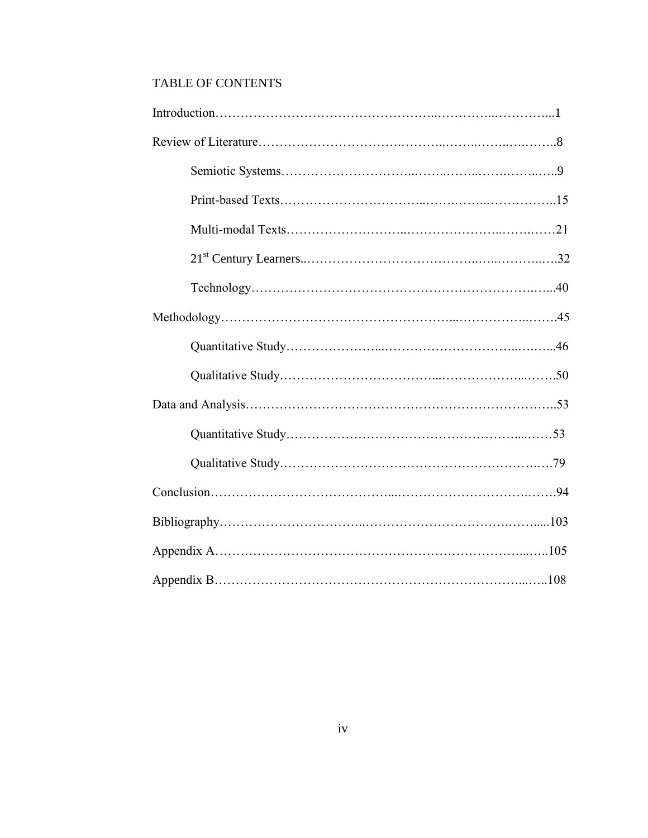# TABLE OF CONTENTS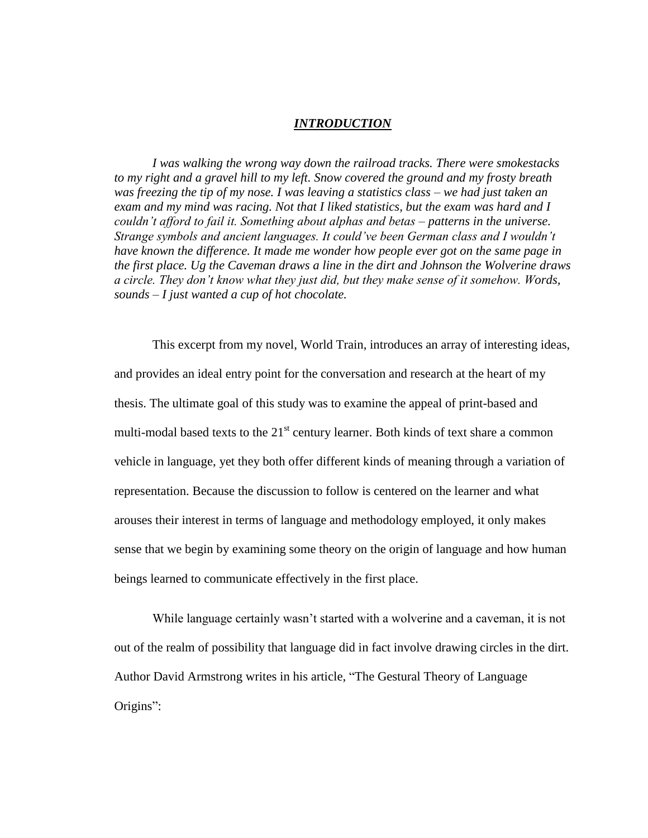#### *INTRODUCTION*

*I was walking the wrong way down the railroad tracks. There were smokestacks to my right and a gravel hill to my left. Snow covered the ground and my frosty breath was freezing the tip of my nose. I was leaving a statistics class – we had just taken an exam and my mind was racing. Not that I liked statistics, but the exam was hard and I couldn't afford to fail it. Something about alphas and betas – patterns in the universe. Strange symbols and ancient languages. It could've been German class and I wouldn't have known the difference. It made me wonder how people ever got on the same page in the first place. Ug the Caveman draws a line in the dirt and Johnson the Wolverine draws a circle. They don't know what they just did, but they make sense of it somehow. Words, sounds – I just wanted a cup of hot chocolate.*

This excerpt from my novel, World Train, introduces an array of interesting ideas, and provides an ideal entry point for the conversation and research at the heart of my thesis. The ultimate goal of this study was to examine the appeal of print-based and multi-modal based texts to the  $21<sup>st</sup>$  century learner. Both kinds of text share a common vehicle in language, yet they both offer different kinds of meaning through a variation of representation. Because the discussion to follow is centered on the learner and what arouses their interest in terms of language and methodology employed, it only makes sense that we begin by examining some theory on the origin of language and how human beings learned to communicate effectively in the first place.

While language certainly wasn't started with a wolverine and a caveman, it is not out of the realm of possibility that language did in fact involve drawing circles in the dirt. Author David Armstrong writes in his article, "The Gestural Theory of Language Origins":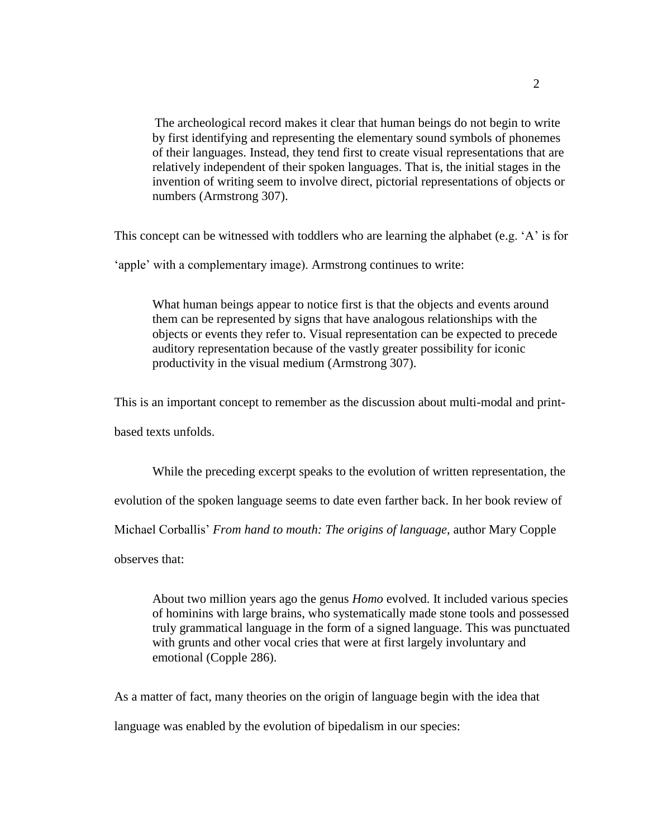The archeological record makes it clear that human beings do not begin to write by first identifying and representing the elementary sound symbols of phonemes of their languages. Instead, they tend first to create visual representations that are relatively independent of their spoken languages. That is, the initial stages in the invention of writing seem to involve direct, pictorial representations of objects or numbers (Armstrong 307).

This concept can be witnessed with toddlers who are learning the alphabet (e.g.  $A'$  is for

'apple' with a complementary image). Armstrong continues to write:

What human beings appear to notice first is that the objects and events around them can be represented by signs that have analogous relationships with the objects or events they refer to. Visual representation can be expected to precede auditory representation because of the vastly greater possibility for iconic productivity in the visual medium (Armstrong 307).

This is an important concept to remember as the discussion about multi-modal and print-

based texts unfolds.

While the preceding excerpt speaks to the evolution of written representation, the

evolution of the spoken language seems to date even farther back. In her book review of

Michael Corballis' *From hand to mouth: The origins of language*, author Mary Copple

observes that:

About two million years ago the genus *Homo* evolved. It included various species of hominins with large brains, who systematically made stone tools and possessed truly grammatical language in the form of a signed language. This was punctuated with grunts and other vocal cries that were at first largely involuntary and emotional (Copple 286).

As a matter of fact, many theories on the origin of language begin with the idea that

language was enabled by the evolution of bipedalism in our species: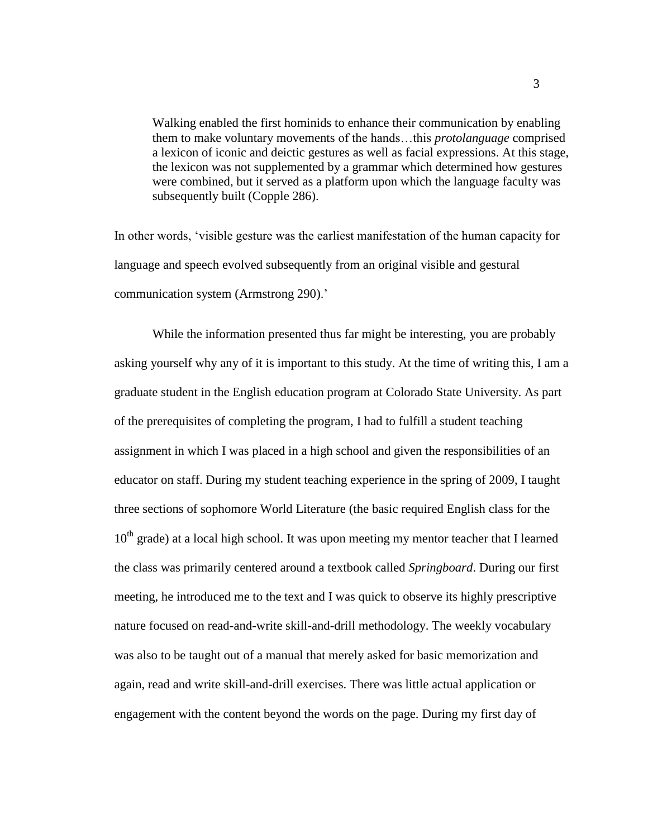Walking enabled the first hominids to enhance their communication by enabling them to make voluntary movements of the hands…this *protolanguage* comprised a lexicon of iconic and deictic gestures as well as facial expressions. At this stage, the lexicon was not supplemented by a grammar which determined how gestures were combined, but it served as a platform upon which the language faculty was subsequently built (Copple 286).

In other words, 'visible gesture was the earliest manifestation of the human capacity for language and speech evolved subsequently from an original visible and gestural communication system (Armstrong 290).'

While the information presented thus far might be interesting, you are probably asking yourself why any of it is important to this study. At the time of writing this, I am a graduate student in the English education program at Colorado State University. As part of the prerequisites of completing the program, I had to fulfill a student teaching assignment in which I was placed in a high school and given the responsibilities of an educator on staff. During my student teaching experience in the spring of 2009, I taught three sections of sophomore World Literature (the basic required English class for the  $10<sup>th</sup>$  grade) at a local high school. It was upon meeting my mentor teacher that I learned the class was primarily centered around a textbook called *Springboard*. During our first meeting, he introduced me to the text and I was quick to observe its highly prescriptive nature focused on read-and-write skill-and-drill methodology. The weekly vocabulary was also to be taught out of a manual that merely asked for basic memorization and again, read and write skill-and-drill exercises. There was little actual application or engagement with the content beyond the words on the page. During my first day of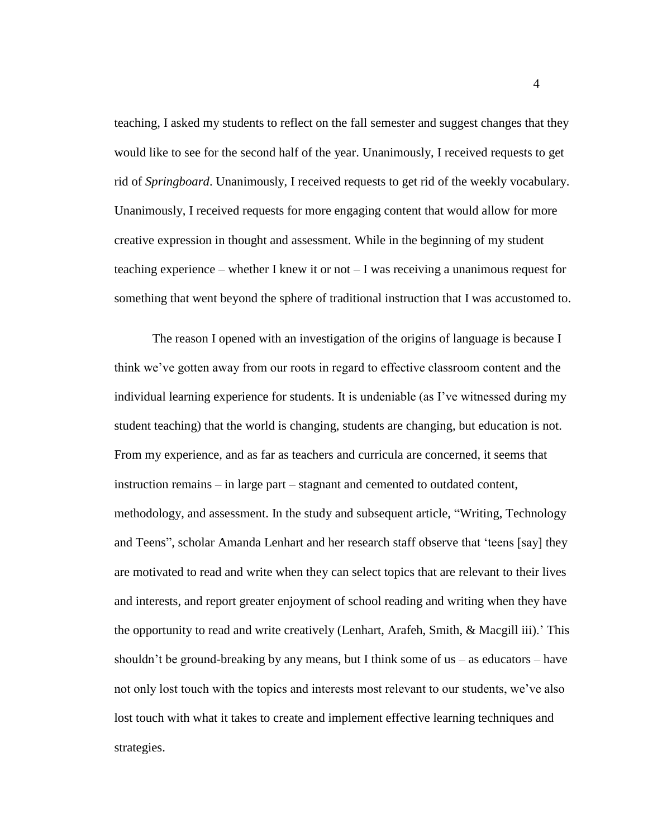teaching, I asked my students to reflect on the fall semester and suggest changes that they would like to see for the second half of the year. Unanimously, I received requests to get rid of *Springboard*. Unanimously, I received requests to get rid of the weekly vocabulary. Unanimously, I received requests for more engaging content that would allow for more creative expression in thought and assessment. While in the beginning of my student teaching experience – whether I knew it or not – I was receiving a unanimous request for something that went beyond the sphere of traditional instruction that I was accustomed to.

The reason I opened with an investigation of the origins of language is because I think we've gotten away from our roots in regard to effective classroom content and the individual learning experience for students. It is undeniable (as I've witnessed during my student teaching) that the world is changing, students are changing, but education is not. From my experience, and as far as teachers and curricula are concerned, it seems that instruction remains – in large part – stagnant and cemented to outdated content, methodology, and assessment. In the study and subsequent article, "Writing, Technology and Teens", scholar Amanda Lenhart and her research staff observe that 'teens [say] they are motivated to read and write when they can select topics that are relevant to their lives and interests, and report greater enjoyment of school reading and writing when they have the opportunity to read and write creatively (Lenhart, Arafeh, Smith, & Macgill iii).' This shouldn't be ground-breaking by any means, but I think some of us – as educators – have not only lost touch with the topics and interests most relevant to our students, we've also lost touch with what it takes to create and implement effective learning techniques and strategies.

4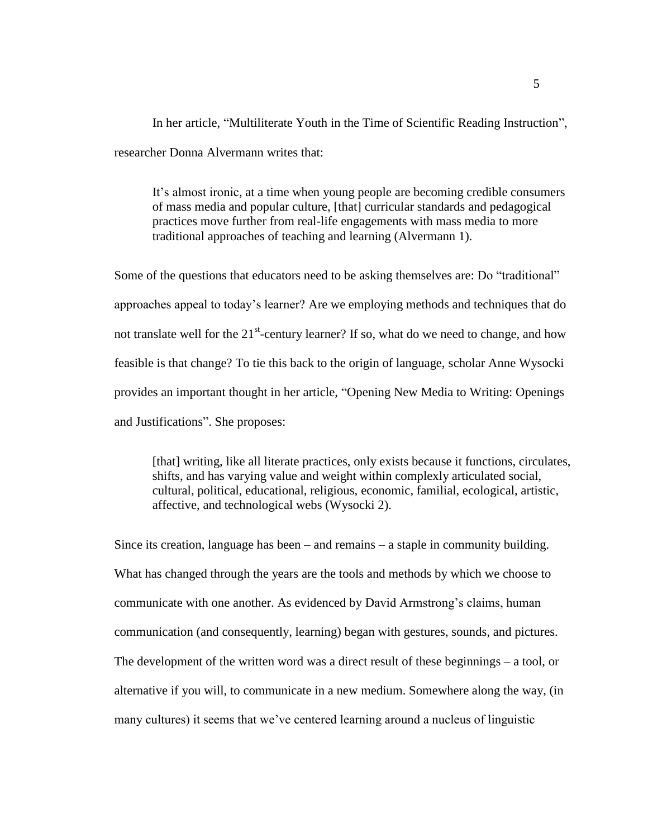In her article, "Multiliterate Youth in the Time of Scientific Reading Instruction", researcher Donna Alvermann writes that:

It's almost ironic, at a time when young people are becoming credible consumers of mass media and popular culture, [that] curricular standards and pedagogical practices move further from real-life engagements with mass media to more traditional approaches of teaching and learning (Alvermann 1).

Some of the questions that educators need to be asking themselves are: Do "traditional" approaches appeal to today's learner? Are we employing methods and techniques that do not translate well for the  $21^{st}$ -century learner? If so, what do we need to change, and how feasible is that change? To tie this back to the origin of language, scholar Anne Wysocki provides an important thought in her article, "Opening New Media to Writing: Openings and Justifications". She proposes:

[that] writing, like all literate practices, only exists because it functions, circulates, shifts, and has varying value and weight within complexly articulated social, cultural, political, educational, religious, economic, familial, ecological, artistic, affective, and technological webs (Wysocki 2).

Since its creation, language has been – and remains – a staple in community building. What has changed through the years are the tools and methods by which we choose to communicate with one another. As evidenced by David Armstrong's claims, human communication (and consequently, learning) began with gestures, sounds, and pictures. The development of the written word was a direct result of these beginnings – a tool, or alternative if you will, to communicate in a new medium. Somewhere along the way, (in many cultures) it seems that we've centered learning around a nucleus of linguistic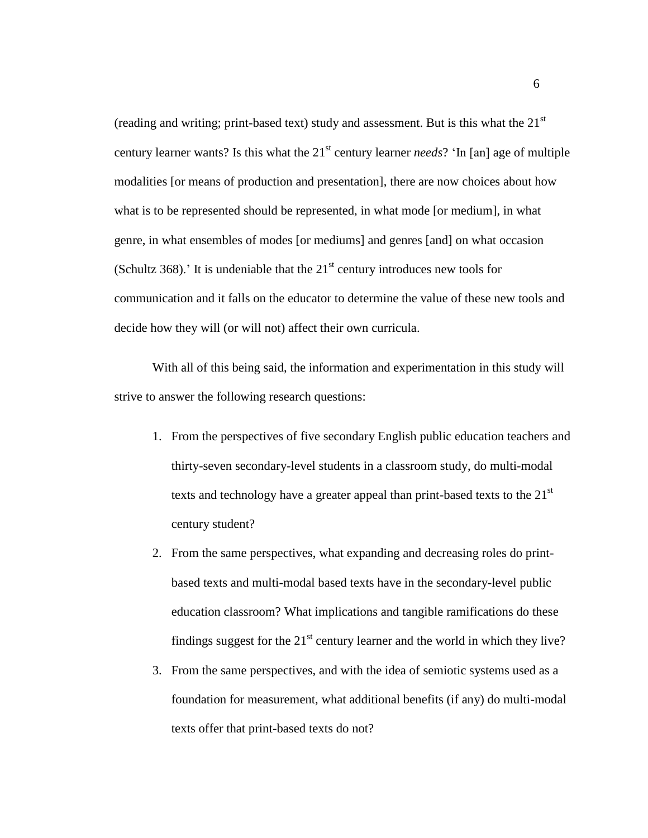(reading and writing; print-based text) study and assessment. But is this what the  $21<sup>st</sup>$ century learner wants? Is this what the 21<sup>st</sup> century learner *needs*? 'In [an] age of multiple modalities [or means of production and presentation], there are now choices about how what is to be represented should be represented, in what mode [or medium], in what genre, in what ensembles of modes [or mediums] and genres [and] on what occasion (Schultz 368).' It is undeniable that the  $21<sup>st</sup>$  century introduces new tools for communication and it falls on the educator to determine the value of these new tools and decide how they will (or will not) affect their own curricula.

With all of this being said, the information and experimentation in this study will strive to answer the following research questions:

- 1. From the perspectives of five secondary English public education teachers and thirty-seven secondary-level students in a classroom study, do multi-modal texts and technology have a greater appeal than print-based texts to the  $21<sup>st</sup>$ century student?
- 2. From the same perspectives, what expanding and decreasing roles do printbased texts and multi-modal based texts have in the secondary-level public education classroom? What implications and tangible ramifications do these findings suggest for the  $21<sup>st</sup>$  century learner and the world in which they live?
- 3. From the same perspectives, and with the idea of semiotic systems used as a foundation for measurement, what additional benefits (if any) do multi-modal texts offer that print-based texts do not?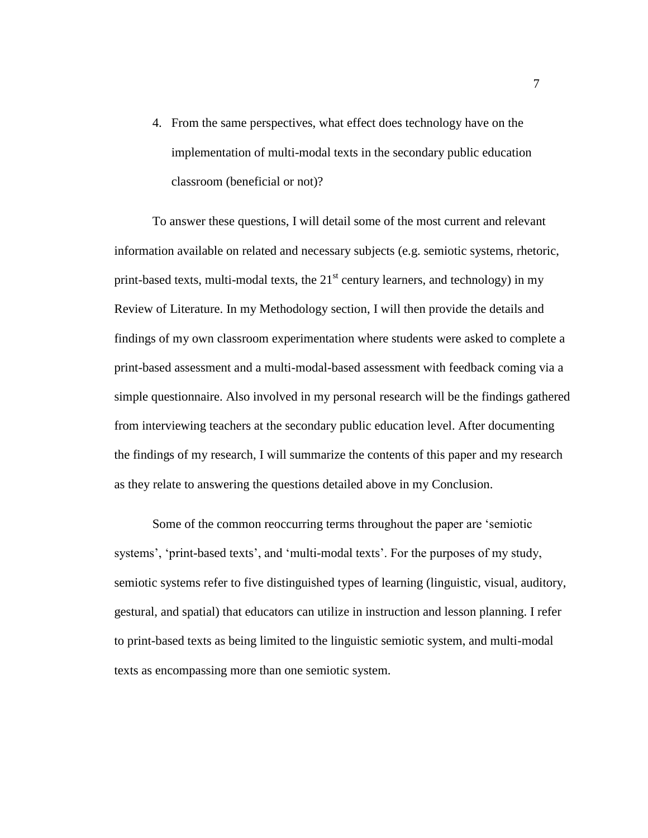4. From the same perspectives, what effect does technology have on the implementation of multi-modal texts in the secondary public education classroom (beneficial or not)?

To answer these questions, I will detail some of the most current and relevant information available on related and necessary subjects (e.g. semiotic systems, rhetoric, print-based texts, multi-modal texts, the  $21<sup>st</sup>$  century learners, and technology) in my Review of Literature. In my Methodology section, I will then provide the details and findings of my own classroom experimentation where students were asked to complete a print-based assessment and a multi-modal-based assessment with feedback coming via a simple questionnaire. Also involved in my personal research will be the findings gathered from interviewing teachers at the secondary public education level. After documenting the findings of my research, I will summarize the contents of this paper and my research as they relate to answering the questions detailed above in my Conclusion.

Some of the common reoccurring terms throughout the paper are 'semiotic systems', 'print-based texts', and 'multi-modal texts'. For the purposes of my study, semiotic systems refer to five distinguished types of learning (linguistic, visual, auditory, gestural, and spatial) that educators can utilize in instruction and lesson planning. I refer to print-based texts as being limited to the linguistic semiotic system, and multi-modal texts as encompassing more than one semiotic system.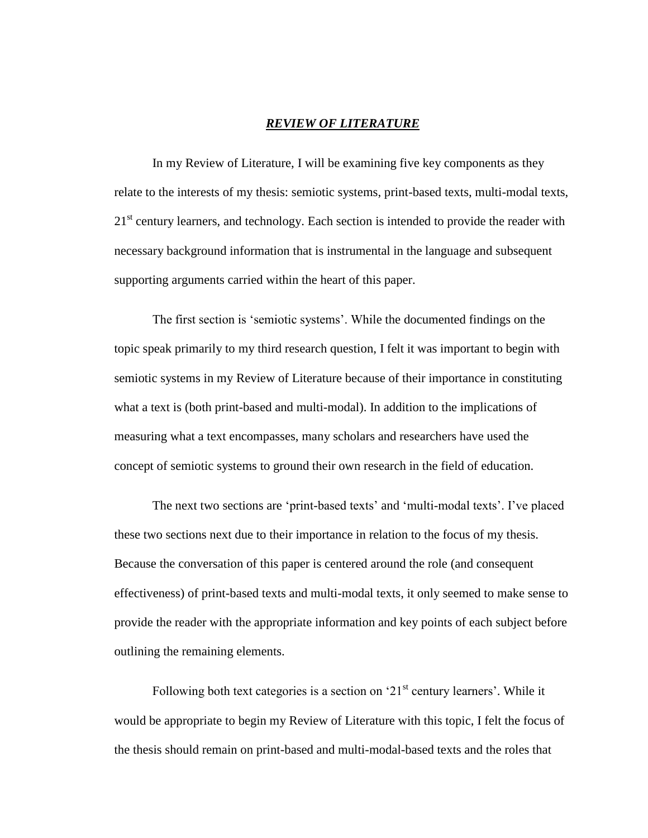#### *REVIEW OF LITERATURE*

In my Review of Literature, I will be examining five key components as they relate to the interests of my thesis: semiotic systems, print-based texts, multi-modal texts,  $21<sup>st</sup>$  century learners, and technology. Each section is intended to provide the reader with necessary background information that is instrumental in the language and subsequent supporting arguments carried within the heart of this paper.

The first section is 'semiotic systems'. While the documented findings on the topic speak primarily to my third research question, I felt it was important to begin with semiotic systems in my Review of Literature because of their importance in constituting what a text is (both print-based and multi-modal). In addition to the implications of measuring what a text encompasses, many scholars and researchers have used the concept of semiotic systems to ground their own research in the field of education.

The next two sections are 'print-based texts' and 'multi-modal texts'. I've placed these two sections next due to their importance in relation to the focus of my thesis. Because the conversation of this paper is centered around the role (and consequent effectiveness) of print-based texts and multi-modal texts, it only seemed to make sense to provide the reader with the appropriate information and key points of each subject before outlining the remaining elements.

Following both text categories is a section on  $21<sup>st</sup>$  century learners'. While it would be appropriate to begin my Review of Literature with this topic, I felt the focus of the thesis should remain on print-based and multi-modal-based texts and the roles that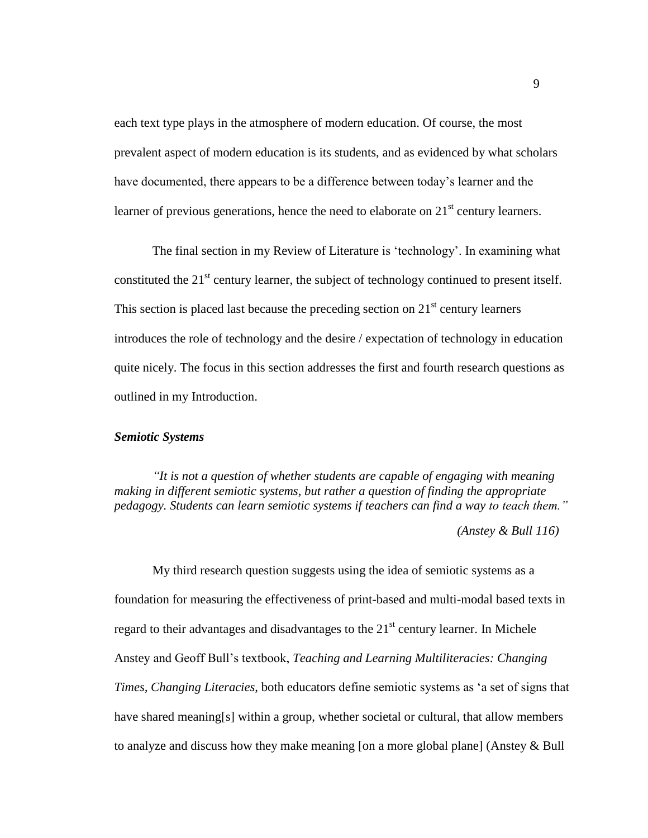each text type plays in the atmosphere of modern education. Of course, the most prevalent aspect of modern education is its students, and as evidenced by what scholars have documented, there appears to be a difference between today's learner and the learner of previous generations, hence the need to elaborate on  $21<sup>st</sup>$  century learners.

The final section in my Review of Literature is 'technology'. In examining what constituted the  $21<sup>st</sup>$  century learner, the subject of technology continued to present itself. This section is placed last because the preceding section on  $21<sup>st</sup>$  century learners introduces the role of technology and the desire / expectation of technology in education quite nicely. The focus in this section addresses the first and fourth research questions as outlined in my Introduction.

#### *Semiotic Systems*

*"It is not a question of whether students are capable of engaging with meaning making in different semiotic systems, but rather a question of finding the appropriate pedagogy. Students can learn semiotic systems if teachers can find a way to teach them."* 

*(Anstey & Bull 116)*

My third research question suggests using the idea of semiotic systems as a foundation for measuring the effectiveness of print-based and multi-modal based texts in regard to their advantages and disadvantages to the  $21<sup>st</sup>$  century learner. In Michele Anstey and Geoff Bull's textbook, *Teaching and Learning Multiliteracies: Changing Times, Changing Literacies, both educators define semiotic systems as 'a set of signs that* have shared meaning[s] within a group, whether societal or cultural, that allow members to analyze and discuss how they make meaning [on a more global plane] (Anstey & Bull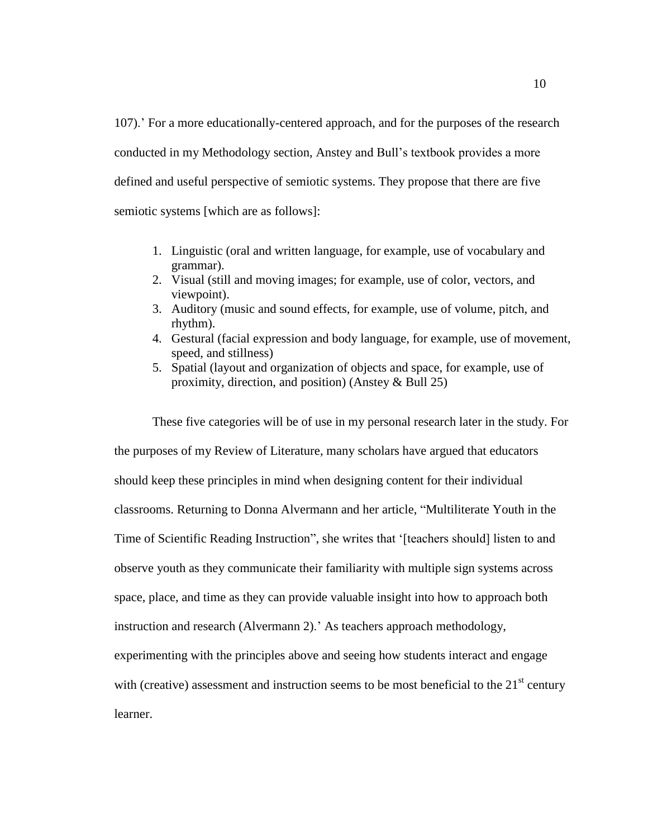107).' For a more educationally-centered approach, and for the purposes of the research conducted in my Methodology section, Anstey and Bull's textbook provides a more defined and useful perspective of semiotic systems. They propose that there are five semiotic systems [which are as follows]:

- 1. Linguistic (oral and written language, for example, use of vocabulary and grammar).
- 2. Visual (still and moving images; for example, use of color, vectors, and viewpoint).
- 3. Auditory (music and sound effects, for example, use of volume, pitch, and rhythm).
- 4. Gestural (facial expression and body language, for example, use of movement, speed, and stillness)
- 5. Spatial (layout and organization of objects and space, for example, use of proximity, direction, and position) (Anstey & Bull 25)

These five categories will be of use in my personal research later in the study. For the purposes of my Review of Literature, many scholars have argued that educators should keep these principles in mind when designing content for their individual classrooms. Returning to Donna Alvermann and her article, "Multiliterate Youth in the Time of Scientific Reading Instruction", she writes that '[teachers should] listen to and observe youth as they communicate their familiarity with multiple sign systems across space, place, and time as they can provide valuable insight into how to approach both instruction and research (Alvermann 2).' As teachers approach methodology, experimenting with the principles above and seeing how students interact and engage with (creative) assessment and instruction seems to be most beneficial to the  $21<sup>st</sup>$  century learner.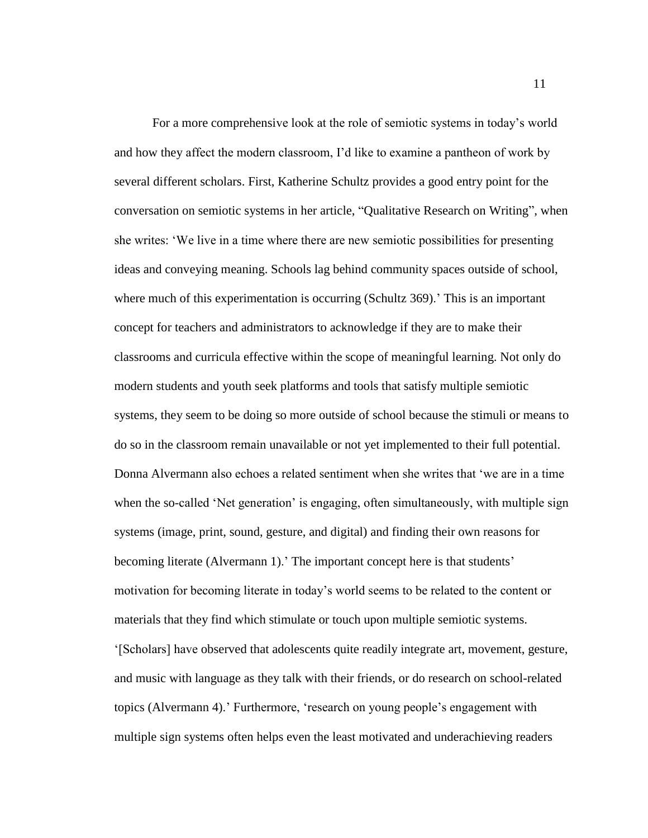For a more comprehensive look at the role of semiotic systems in today's world and how they affect the modern classroom, I'd like to examine a pantheon of work by several different scholars. First, Katherine Schultz provides a good entry point for the conversation on semiotic systems in her article, "Qualitative Research on Writing", when she writes: ‗We live in a time where there are new semiotic possibilities for presenting ideas and conveying meaning. Schools lag behind community spaces outside of school, where much of this experimentation is occurring (Schultz 369).' This is an important concept for teachers and administrators to acknowledge if they are to make their classrooms and curricula effective within the scope of meaningful learning. Not only do modern students and youth seek platforms and tools that satisfy multiple semiotic systems, they seem to be doing so more outside of school because the stimuli or means to do so in the classroom remain unavailable or not yet implemented to their full potential. Donna Alvermann also echoes a related sentiment when she writes that 'we are in a time when the so-called 'Net generation' is engaging, often simultaneously, with multiple sign systems (image, print, sound, gesture, and digital) and finding their own reasons for becoming literate (Alvermann 1).' The important concept here is that students' motivation for becoming literate in today's world seems to be related to the content or materials that they find which stimulate or touch upon multiple semiotic systems. ‗[Scholars] have observed that adolescents quite readily integrate art, movement, gesture, and music with language as they talk with their friends, or do research on school-related topics (Alvermann 4).' Furthermore, 'research on young people's engagement with multiple sign systems often helps even the least motivated and underachieving readers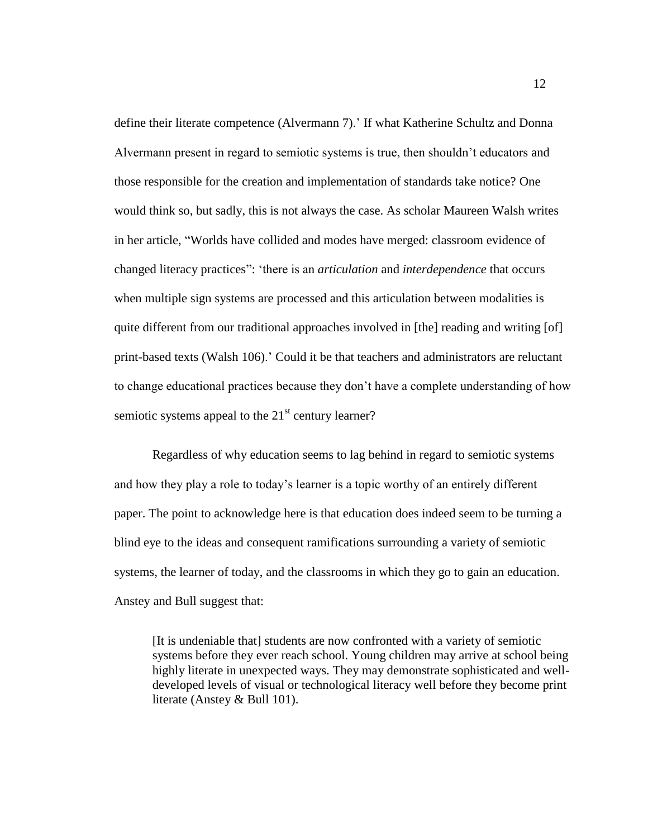define their literate competence (Alvermann 7).' If what Katherine Schultz and Donna Alvermann present in regard to semiotic systems is true, then shouldn't educators and those responsible for the creation and implementation of standards take notice? One would think so, but sadly, this is not always the case. As scholar Maureen Walsh writes in her article, "Worlds have collided and modes have merged: classroom evidence of changed literacy practices‖: ‗there is an *articulation* and *interdependence* that occurs when multiple sign systems are processed and this articulation between modalities is quite different from our traditional approaches involved in [the] reading and writing [of] print-based texts (Walsh 106).' Could it be that teachers and administrators are reluctant to change educational practices because they don't have a complete understanding of how semiotic systems appeal to the  $21<sup>st</sup>$  century learner?

Regardless of why education seems to lag behind in regard to semiotic systems and how they play a role to today's learner is a topic worthy of an entirely different paper. The point to acknowledge here is that education does indeed seem to be turning a blind eye to the ideas and consequent ramifications surrounding a variety of semiotic systems, the learner of today, and the classrooms in which they go to gain an education. Anstey and Bull suggest that:

[It is undeniable that] students are now confronted with a variety of semiotic systems before they ever reach school. Young children may arrive at school being highly literate in unexpected ways. They may demonstrate sophisticated and welldeveloped levels of visual or technological literacy well before they become print literate (Anstey & Bull 101).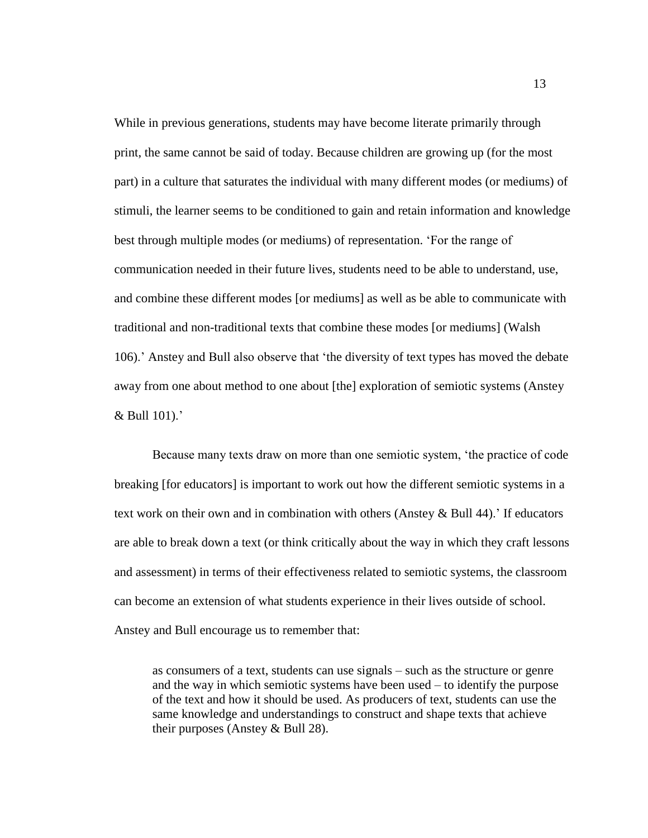While in previous generations, students may have become literate primarily through print, the same cannot be said of today. Because children are growing up (for the most part) in a culture that saturates the individual with many different modes (or mediums) of stimuli, the learner seems to be conditioned to gain and retain information and knowledge best through multiple modes (or mediums) of representation. 'For the range of communication needed in their future lives, students need to be able to understand, use, and combine these different modes [or mediums] as well as be able to communicate with traditional and non-traditional texts that combine these modes [or mediums] (Walsh 106).' Anstey and Bull also observe that ‗the diversity of text types has moved the debate away from one about method to one about [the] exploration of semiotic systems (Anstey & Bull 101).'

Because many texts draw on more than one semiotic system, 'the practice of code breaking [for educators] is important to work out how the different semiotic systems in a text work on their own and in combination with others (Anstey  $\&$  Bull 44). If educators are able to break down a text (or think critically about the way in which they craft lessons and assessment) in terms of their effectiveness related to semiotic systems, the classroom can become an extension of what students experience in their lives outside of school. Anstey and Bull encourage us to remember that:

as consumers of a text, students can use signals – such as the structure or genre and the way in which semiotic systems have been used – to identify the purpose of the text and how it should be used. As producers of text, students can use the same knowledge and understandings to construct and shape texts that achieve their purposes (Anstey & Bull 28).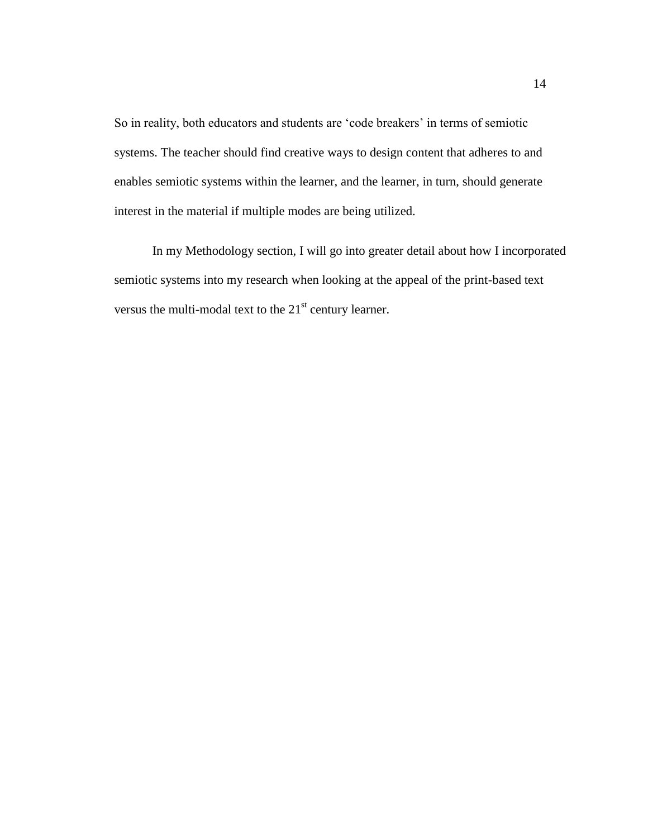So in reality, both educators and students are 'code breakers' in terms of semiotic systems. The teacher should find creative ways to design content that adheres to and enables semiotic systems within the learner, and the learner, in turn, should generate interest in the material if multiple modes are being utilized.

In my Methodology section, I will go into greater detail about how I incorporated semiotic systems into my research when looking at the appeal of the print-based text versus the multi-modal text to the  $21<sup>st</sup>$  century learner.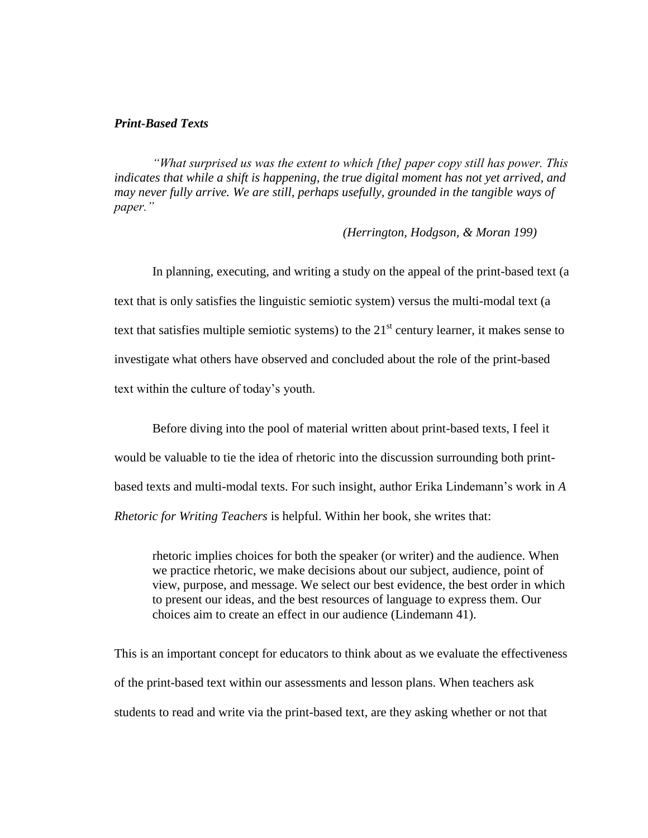#### *Print-Based Texts*

*"What surprised us was the extent to which [the] paper copy still has power. This indicates that while a shift is happening, the true digital moment has not yet arrived, and may never fully arrive. We are still, perhaps usefully, grounded in the tangible ways of paper."*

*(Herrington, Hodgson, & Moran 199)*

In planning, executing, and writing a study on the appeal of the print-based text (a text that is only satisfies the linguistic semiotic system) versus the multi-modal text (a text that satisfies multiple semiotic systems) to the  $21<sup>st</sup>$  century learner, it makes sense to investigate what others have observed and concluded about the role of the print-based text within the culture of today's youth.

Before diving into the pool of material written about print-based texts, I feel it would be valuable to tie the idea of rhetoric into the discussion surrounding both printbased texts and multi-modal texts. For such insight, author Erika Lindemann's work in *A Rhetoric for Writing Teachers* is helpful. Within her book, she writes that:

rhetoric implies choices for both the speaker (or writer) and the audience. When we practice rhetoric, we make decisions about our subject, audience, point of view, purpose, and message. We select our best evidence, the best order in which to present our ideas, and the best resources of language to express them. Our choices aim to create an effect in our audience (Lindemann 41).

This is an important concept for educators to think about as we evaluate the effectiveness of the print-based text within our assessments and lesson plans. When teachers ask students to read and write via the print-based text, are they asking whether or not that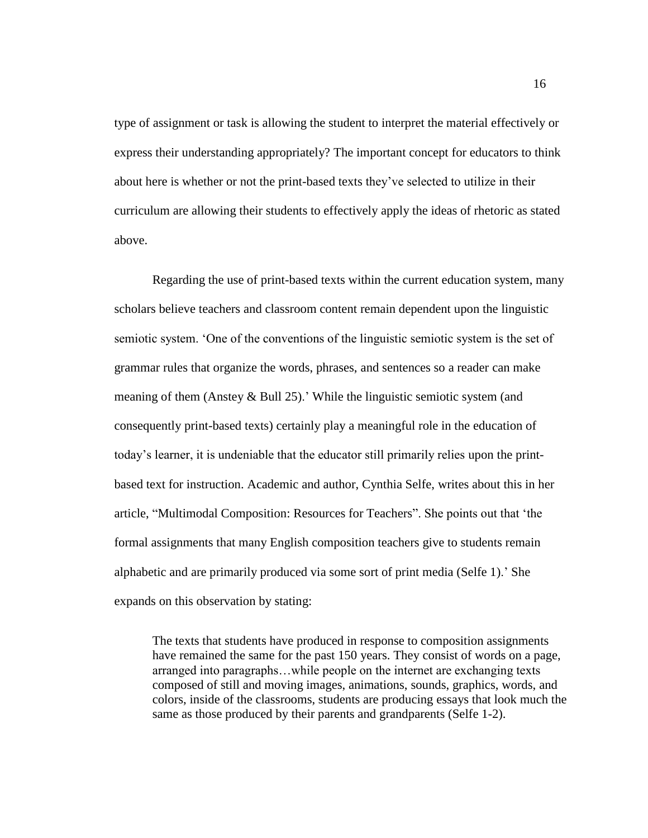type of assignment or task is allowing the student to interpret the material effectively or express their understanding appropriately? The important concept for educators to think about here is whether or not the print-based texts they've selected to utilize in their curriculum are allowing their students to effectively apply the ideas of rhetoric as stated above.

Regarding the use of print-based texts within the current education system, many scholars believe teachers and classroom content remain dependent upon the linguistic semiotic system. 'One of the conventions of the linguistic semiotic system is the set of grammar rules that organize the words, phrases, and sentences so a reader can make meaning of them (Anstey  $&$  Bull 25).' While the linguistic semiotic system (and consequently print-based texts) certainly play a meaningful role in the education of today's learner, it is undeniable that the educator still primarily relies upon the printbased text for instruction. Academic and author, Cynthia Selfe, writes about this in her article, "Multimodal Composition: Resources for Teachers". She points out that 'the formal assignments that many English composition teachers give to students remain alphabetic and are primarily produced via some sort of print media (Selfe 1).' She expands on this observation by stating:

The texts that students have produced in response to composition assignments have remained the same for the past 150 years. They consist of words on a page, arranged into paragraphs…while people on the internet are exchanging texts composed of still and moving images, animations, sounds, graphics, words, and colors, inside of the classrooms, students are producing essays that look much the same as those produced by their parents and grandparents (Selfe 1-2).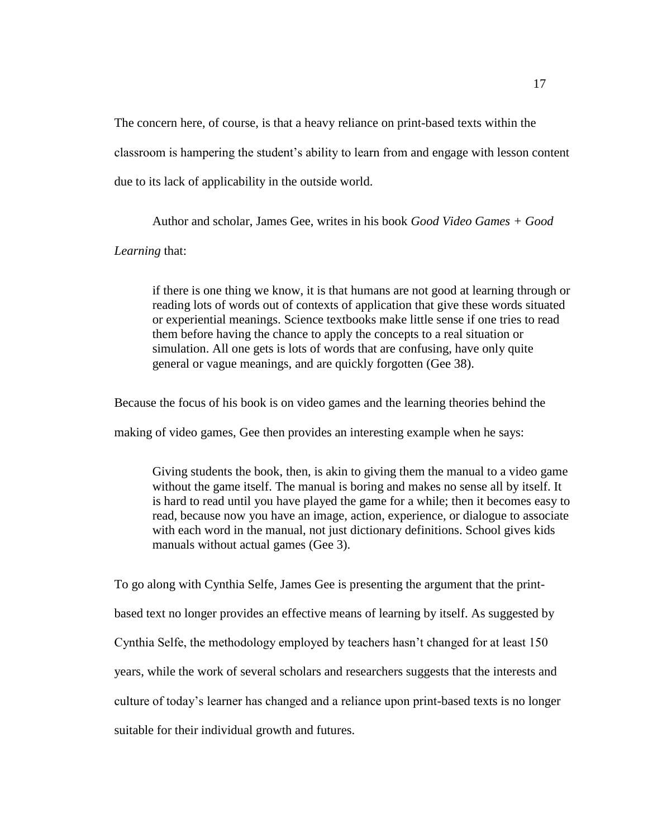The concern here, of course, is that a heavy reliance on print-based texts within the classroom is hampering the student's ability to learn from and engage with lesson content due to its lack of applicability in the outside world.

Author and scholar, James Gee, writes in his book *Good Video Games + Good* 

*Learning* that:

if there is one thing we know, it is that humans are not good at learning through or reading lots of words out of contexts of application that give these words situated or experiential meanings. Science textbooks make little sense if one tries to read them before having the chance to apply the concepts to a real situation or simulation. All one gets is lots of words that are confusing, have only quite general or vague meanings, and are quickly forgotten (Gee 38).

Because the focus of his book is on video games and the learning theories behind the

making of video games, Gee then provides an interesting example when he says:

Giving students the book, then, is akin to giving them the manual to a video game without the game itself. The manual is boring and makes no sense all by itself. It is hard to read until you have played the game for a while; then it becomes easy to read, because now you have an image, action, experience, or dialogue to associate with each word in the manual, not just dictionary definitions. School gives kids manuals without actual games (Gee 3).

To go along with Cynthia Selfe, James Gee is presenting the argument that the printbased text no longer provides an effective means of learning by itself. As suggested by Cynthia Selfe, the methodology employed by teachers hasn't changed for at least 150 years, while the work of several scholars and researchers suggests that the interests and culture of today's learner has changed and a reliance upon print-based texts is no longer suitable for their individual growth and futures.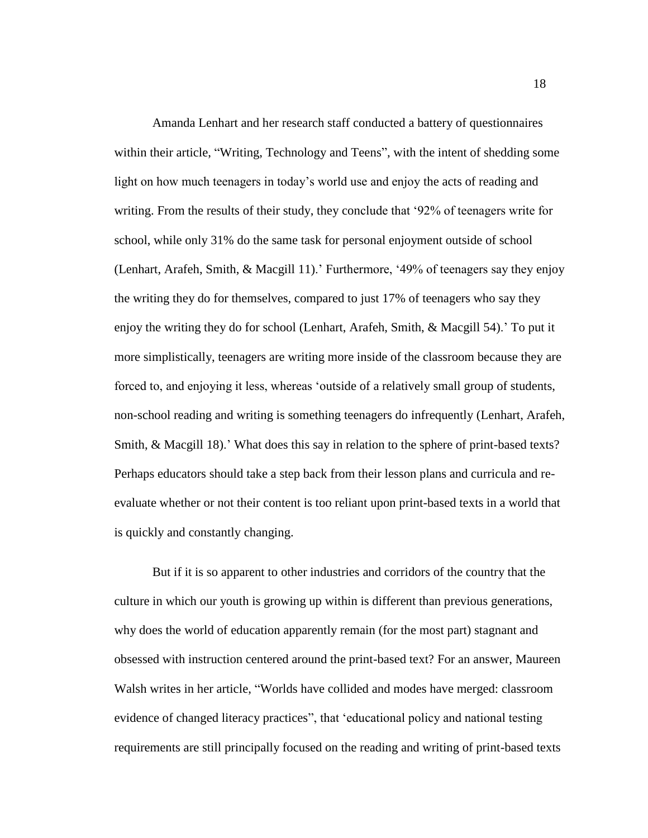Amanda Lenhart and her research staff conducted a battery of questionnaires within their article, "Writing, Technology and Teens", with the intent of shedding some light on how much teenagers in today's world use and enjoy the acts of reading and writing. From the results of their study, they conclude that '92% of teenagers write for school, while only 31% do the same task for personal enjoyment outside of school (Lenhart, Arafeh, Smith, & Macgill 11).' Furthermore, ‗49% of teenagers say they enjoy the writing they do for themselves, compared to just 17% of teenagers who say they enjoy the writing they do for school (Lenhart, Arafeh, Smith, & Macgill 54).' To put it more simplistically, teenagers are writing more inside of the classroom because they are forced to, and enjoying it less, whereas 'outside of a relatively small group of students, non-school reading and writing is something teenagers do infrequently (Lenhart, Arafeh, Smith, & Macgill 18).' What does this say in relation to the sphere of print-based texts? Perhaps educators should take a step back from their lesson plans and curricula and reevaluate whether or not their content is too reliant upon print-based texts in a world that is quickly and constantly changing.

But if it is so apparent to other industries and corridors of the country that the culture in which our youth is growing up within is different than previous generations, why does the world of education apparently remain (for the most part) stagnant and obsessed with instruction centered around the print-based text? For an answer, Maureen Walsh writes in her article, "Worlds have collided and modes have merged: classroom evidence of changed literacy practices", that 'educational policy and national testing requirements are still principally focused on the reading and writing of print-based texts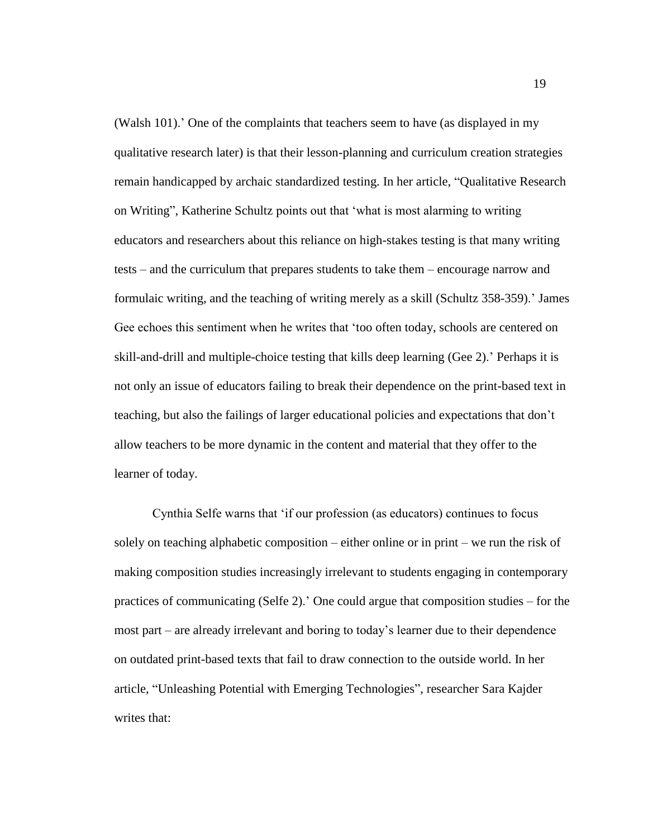(Walsh 101).' One of the complaints that teachers seem to have (as displayed in my qualitative research later) is that their lesson-planning and curriculum creation strategies remain handicapped by archaic standardized testing. In her article, "Qualitative Research" on Writing", Katherine Schultz points out that 'what is most alarming to writing educators and researchers about this reliance on high-stakes testing is that many writing tests – and the curriculum that prepares students to take them – encourage narrow and formulaic writing, and the teaching of writing merely as a skill (Schultz 358-359).' James Gee echoes this sentiment when he writes that 'too often today, schools are centered on skill-and-drill and multiple-choice testing that kills deep learning (Gee 2).' Perhaps it is not only an issue of educators failing to break their dependence on the print-based text in teaching, but also the failings of larger educational policies and expectations that don't allow teachers to be more dynamic in the content and material that they offer to the learner of today.

Cynthia Selfe warns that ‗if our profession (as educators) continues to focus solely on teaching alphabetic composition – either online or in print – we run the risk of making composition studies increasingly irrelevant to students engaging in contemporary practices of communicating (Selfe 2).' One could argue that composition studies – for the most part – are already irrelevant and boring to today's learner due to their dependence on outdated print-based texts that fail to draw connection to the outside world. In her article, "Unleashing Potential with Emerging Technologies", researcher Sara Kajder writes that: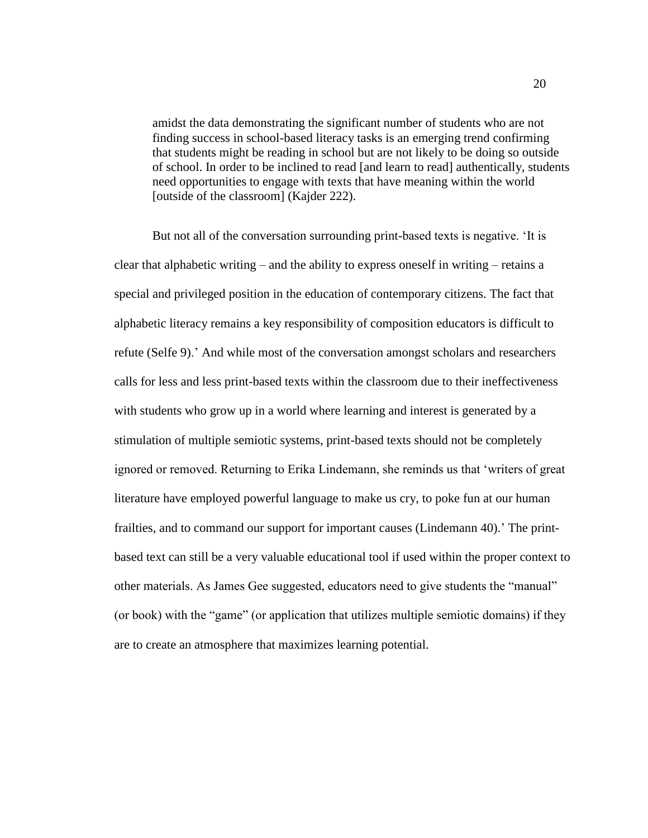amidst the data demonstrating the significant number of students who are not finding success in school-based literacy tasks is an emerging trend confirming that students might be reading in school but are not likely to be doing so outside of school. In order to be inclined to read [and learn to read] authentically, students need opportunities to engage with texts that have meaning within the world [outside of the classroom] (Kajder 222).

But not all of the conversation surrounding print-based texts is negative. 'It is clear that alphabetic writing – and the ability to express oneself in writing – retains a special and privileged position in the education of contemporary citizens. The fact that alphabetic literacy remains a key responsibility of composition educators is difficult to refute (Selfe 9).' And while most of the conversation amongst scholars and researchers calls for less and less print-based texts within the classroom due to their ineffectiveness with students who grow up in a world where learning and interest is generated by a stimulation of multiple semiotic systems, print-based texts should not be completely ignored or removed. Returning to Erika Lindemann, she reminds us that 'writers of great literature have employed powerful language to make us cry, to poke fun at our human frailties, and to command our support for important causes (Lindemann 40).' The printbased text can still be a very valuable educational tool if used within the proper context to other materials. As James Gee suggested, educators need to give students the "manual" (or book) with the "game" (or application that utilizes multiple semiotic domains) if they are to create an atmosphere that maximizes learning potential.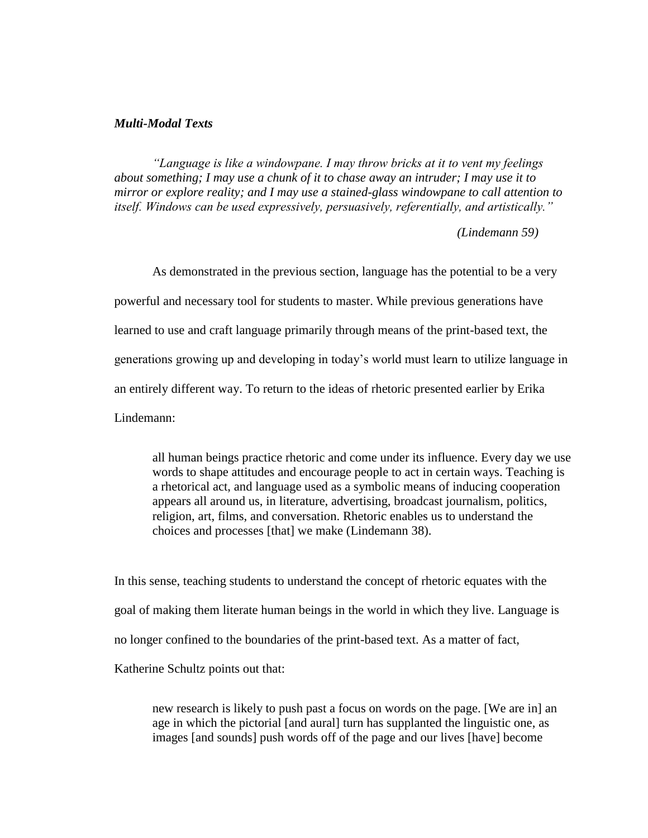#### *Multi-Modal Texts*

*"Language is like a windowpane. I may throw bricks at it to vent my feelings about something; I may use a chunk of it to chase away an intruder; I may use it to mirror or explore reality; and I may use a stained-glass windowpane to call attention to itself. Windows can be used expressively, persuasively, referentially, and artistically."* 

*(Lindemann 59)*

As demonstrated in the previous section, language has the potential to be a very powerful and necessary tool for students to master. While previous generations have learned to use and craft language primarily through means of the print-based text, the generations growing up and developing in today's world must learn to utilize language in an entirely different way. To return to the ideas of rhetoric presented earlier by Erika Lindemann:

all human beings practice rhetoric and come under its influence. Every day we use words to shape attitudes and encourage people to act in certain ways. Teaching is a rhetorical act, and language used as a symbolic means of inducing cooperation appears all around us, in literature, advertising, broadcast journalism, politics, religion, art, films, and conversation. Rhetoric enables us to understand the choices and processes [that] we make (Lindemann 38).

In this sense, teaching students to understand the concept of rhetoric equates with the goal of making them literate human beings in the world in which they live. Language is no longer confined to the boundaries of the print-based text. As a matter of fact, Katherine Schultz points out that:

new research is likely to push past a focus on words on the page. [We are in] an age in which the pictorial [and aural] turn has supplanted the linguistic one, as images [and sounds] push words off of the page and our lives [have] become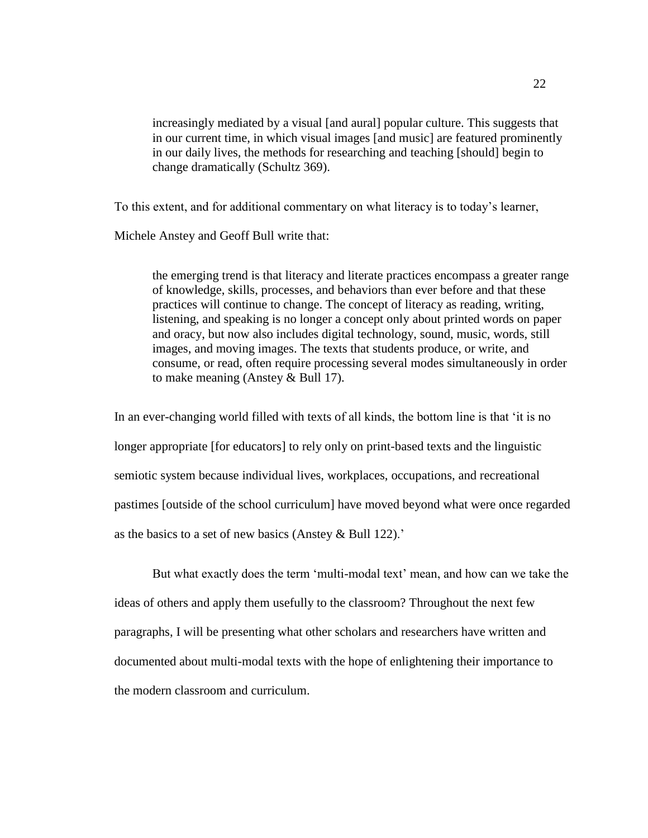increasingly mediated by a visual [and aural] popular culture. This suggests that in our current time, in which visual images [and music] are featured prominently in our daily lives, the methods for researching and teaching [should] begin to change dramatically (Schultz 369).

To this extent, and for additional commentary on what literacy is to today's learner,

Michele Anstey and Geoff Bull write that:

the emerging trend is that literacy and literate practices encompass a greater range of knowledge, skills, processes, and behaviors than ever before and that these practices will continue to change. The concept of literacy as reading, writing, listening, and speaking is no longer a concept only about printed words on paper and oracy, but now also includes digital technology, sound, music, words, still images, and moving images. The texts that students produce, or write, and consume, or read, often require processing several modes simultaneously in order to make meaning (Anstey & Bull 17).

In an ever-changing world filled with texts of all kinds, the bottom line is that ‗it is no longer appropriate [for educators] to rely only on print-based texts and the linguistic semiotic system because individual lives, workplaces, occupations, and recreational pastimes [outside of the school curriculum] have moved beyond what were once regarded as the basics to a set of new basics (Anstey & Bull 122).'

But what exactly does the term 'multi-modal text' mean, and how can we take the ideas of others and apply them usefully to the classroom? Throughout the next few paragraphs, I will be presenting what other scholars and researchers have written and documented about multi-modal texts with the hope of enlightening their importance to the modern classroom and curriculum.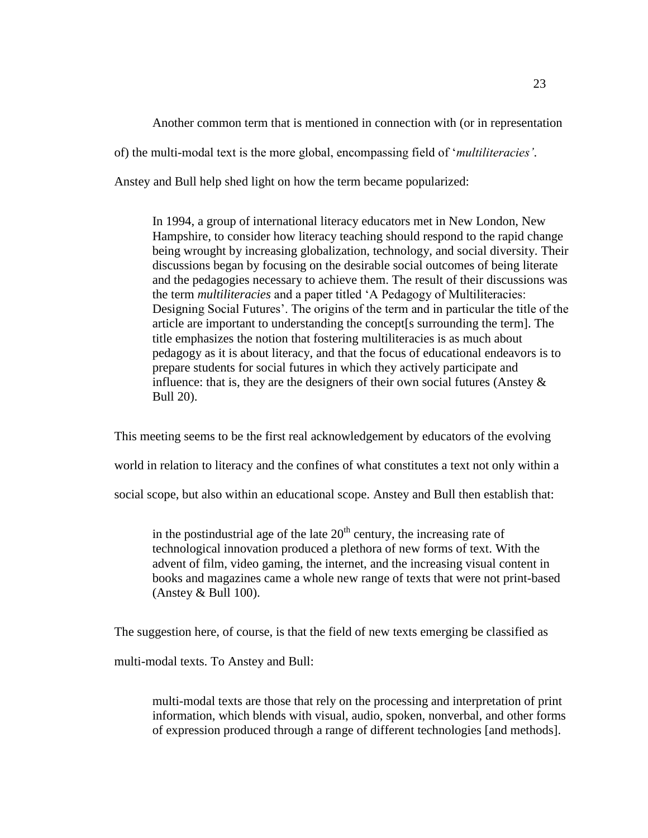Another common term that is mentioned in connection with (or in representation of) the multi-modal text is the more global, encompassing field of ‗*multiliteracies'*. Anstey and Bull help shed light on how the term became popularized:

In 1994, a group of international literacy educators met in New London, New Hampshire, to consider how literacy teaching should respond to the rapid change being wrought by increasing globalization, technology, and social diversity. Their discussions began by focusing on the desirable social outcomes of being literate and the pedagogies necessary to achieve them. The result of their discussions was the term *multiliteracies* and a paper titled ‗A Pedagogy of Multiliteracies: Designing Social Futures'. The origins of the term and in particular the title of the article are important to understanding the concept[s surrounding the term]. The title emphasizes the notion that fostering multiliteracies is as much about pedagogy as it is about literacy, and that the focus of educational endeavors is to prepare students for social futures in which they actively participate and influence: that is, they are the designers of their own social futures (Anstey  $\&$ Bull 20).

This meeting seems to be the first real acknowledgement by educators of the evolving

world in relation to literacy and the confines of what constitutes a text not only within a

social scope, but also within an educational scope. Anstey and Bull then establish that:

in the postindustrial age of the late  $20<sup>th</sup>$  century, the increasing rate of technological innovation produced a plethora of new forms of text. With the advent of film, video gaming, the internet, and the increasing visual content in books and magazines came a whole new range of texts that were not print-based (Anstey  $&$  Bull 100).

The suggestion here, of course, is that the field of new texts emerging be classified as

multi-modal texts. To Anstey and Bull:

multi-modal texts are those that rely on the processing and interpretation of print information, which blends with visual, audio, spoken, nonverbal, and other forms of expression produced through a range of different technologies [and methods].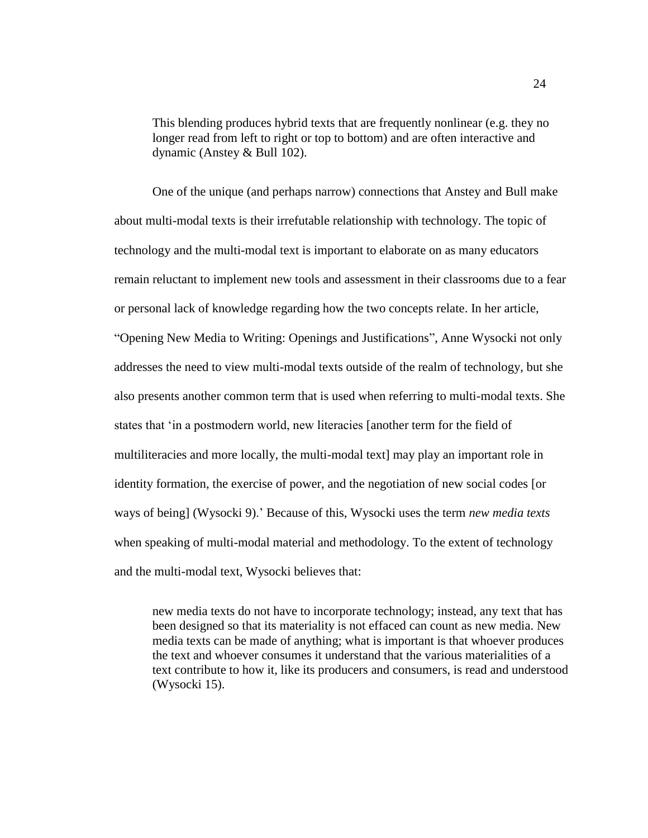This blending produces hybrid texts that are frequently nonlinear (e.g. they no longer read from left to right or top to bottom) and are often interactive and dynamic (Anstey & Bull 102).

One of the unique (and perhaps narrow) connections that Anstey and Bull make about multi-modal texts is their irrefutable relationship with technology. The topic of technology and the multi-modal text is important to elaborate on as many educators remain reluctant to implement new tools and assessment in their classrooms due to a fear or personal lack of knowledge regarding how the two concepts relate. In her article, ―Opening New Media to Writing: Openings and Justifications‖, Anne Wysocki not only addresses the need to view multi-modal texts outside of the realm of technology, but she also presents another common term that is used when referring to multi-modal texts. She states that 'in a postmodern world, new literacies [another term for the field of multiliteracies and more locally, the multi-modal text] may play an important role in identity formation, the exercise of power, and the negotiation of new social codes [or ways of being] (Wysocki 9).' Because of this, Wysocki uses the term *new media texts* when speaking of multi-modal material and methodology. To the extent of technology and the multi-modal text, Wysocki believes that:

new media texts do not have to incorporate technology; instead, any text that has been designed so that its materiality is not effaced can count as new media. New media texts can be made of anything; what is important is that whoever produces the text and whoever consumes it understand that the various materialities of a text contribute to how it, like its producers and consumers, is read and understood (Wysocki 15).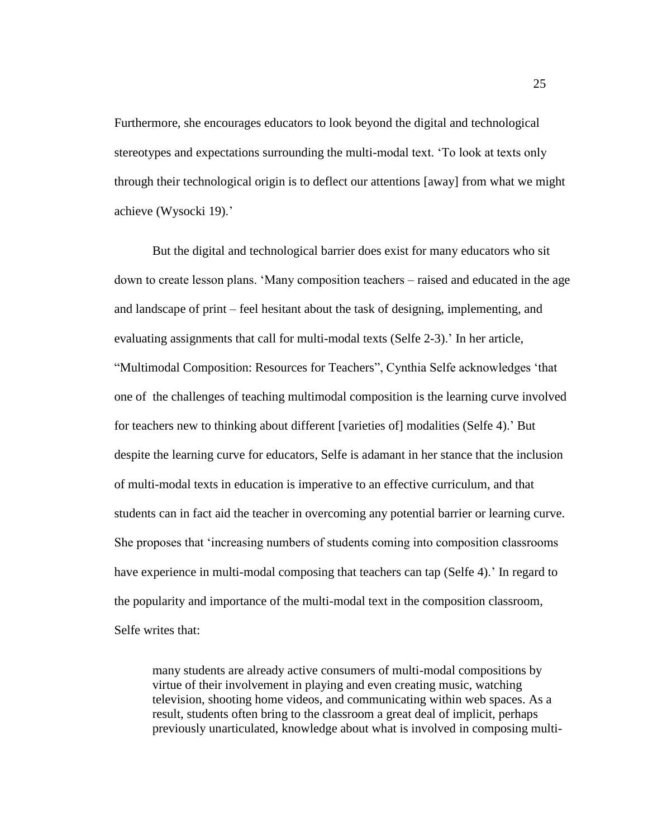Furthermore, she encourages educators to look beyond the digital and technological stereotypes and expectations surrounding the multi-modal text. 'To look at texts only through their technological origin is to deflect our attentions [away] from what we might achieve (Wysocki 19).'

But the digital and technological barrier does exist for many educators who sit down to create lesson plans. ‗Many composition teachers – raised and educated in the age and landscape of print – feel hesitant about the task of designing, implementing, and evaluating assignments that call for multi-modal texts (Selfe 2-3).' In her article, "Multimodal Composition: Resources for Teachers", Cynthia Selfe acknowledges 'that one of the challenges of teaching multimodal composition is the learning curve involved for teachers new to thinking about different [varieties of] modalities (Selfe 4).' But despite the learning curve for educators, Selfe is adamant in her stance that the inclusion of multi-modal texts in education is imperative to an effective curriculum, and that students can in fact aid the teacher in overcoming any potential barrier or learning curve. She proposes that ‗increasing numbers of students coming into composition classrooms have experience in multi-modal composing that teachers can tap (Selfe 4).' In regard to the popularity and importance of the multi-modal text in the composition classroom, Selfe writes that:

many students are already active consumers of multi-modal compositions by virtue of their involvement in playing and even creating music, watching television, shooting home videos, and communicating within web spaces. As a result, students often bring to the classroom a great deal of implicit, perhaps previously unarticulated, knowledge about what is involved in composing multi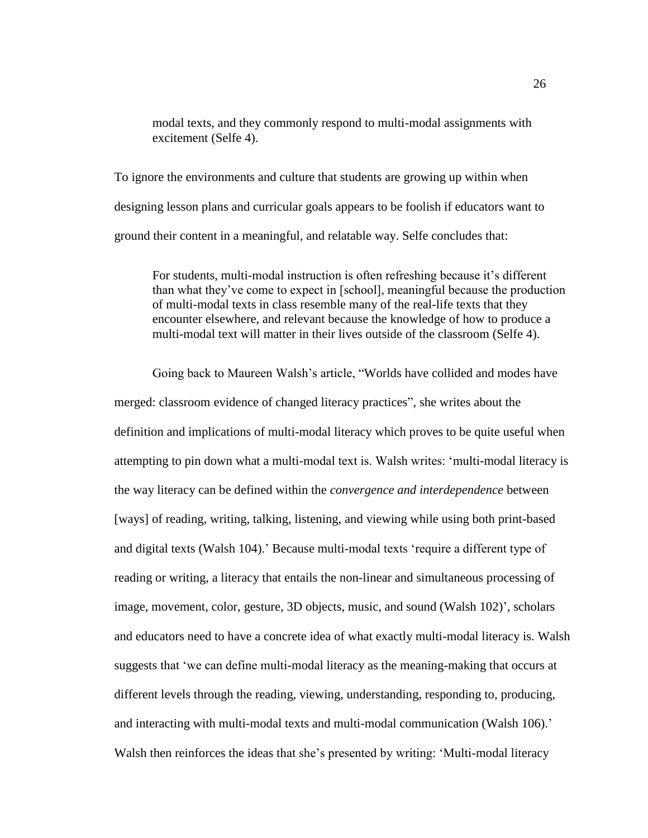modal texts, and they commonly respond to multi-modal assignments with excitement (Selfe 4).

To ignore the environments and culture that students are growing up within when designing lesson plans and curricular goals appears to be foolish if educators want to ground their content in a meaningful, and relatable way. Selfe concludes that:

For students, multi-modal instruction is often refreshing because it's different than what they've come to expect in [school], meaningful because the production of multi-modal texts in class resemble many of the real-life texts that they encounter elsewhere, and relevant because the knowledge of how to produce a multi-modal text will matter in their lives outside of the classroom (Selfe 4).

Going back to Maureen Walsh's article, "Worlds have collided and modes have merged: classroom evidence of changed literacy practices", she writes about the definition and implications of multi-modal literacy which proves to be quite useful when attempting to pin down what a multi-modal text is. Walsh writes: ‗multi-modal literacy is the way literacy can be defined within the *convergence and interdependence* between [ways] of reading, writing, talking, listening, and viewing while using both print-based and digital texts (Walsh 104).' Because multi-modal texts 'require a different type of reading or writing, a literacy that entails the non-linear and simultaneous processing of image, movement, color, gesture, 3D objects, music, and sound (Walsh 102)', scholars and educators need to have a concrete idea of what exactly multi-modal literacy is. Walsh suggests that ‗we can define multi-modal literacy as the meaning-making that occurs at different levels through the reading, viewing, understanding, responding to, producing, and interacting with multi-modal texts and multi-modal communication (Walsh 106).' Walsh then reinforces the ideas that she's presented by writing: 'Multi-modal literacy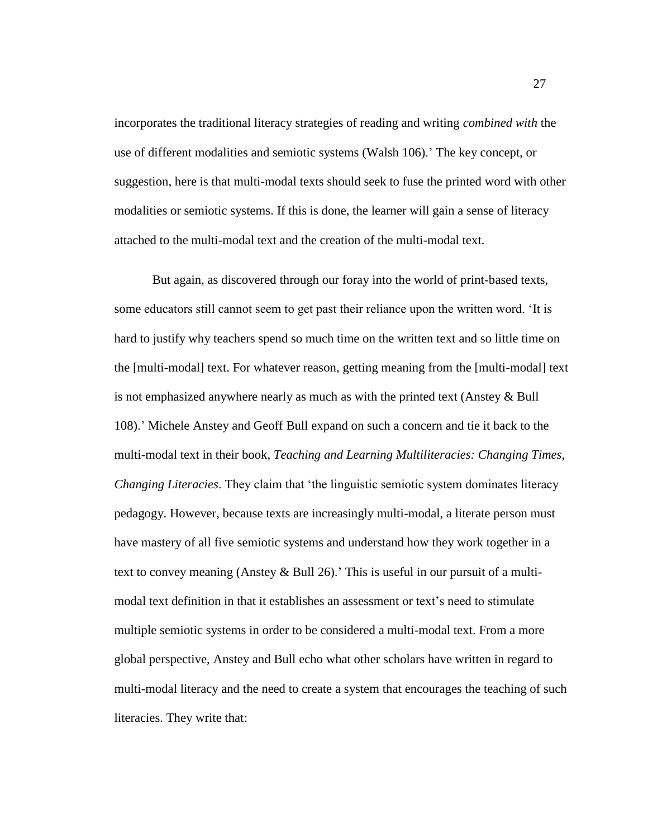incorporates the traditional literacy strategies of reading and writing *combined with* the use of different modalities and semiotic systems (Walsh 106).' The key concept, or suggestion, here is that multi-modal texts should seek to fuse the printed word with other modalities or semiotic systems. If this is done, the learner will gain a sense of literacy attached to the multi-modal text and the creation of the multi-modal text.

But again, as discovered through our foray into the world of print-based texts, some educators still cannot seem to get past their reliance upon the written word. 'It is hard to justify why teachers spend so much time on the written text and so little time on the [multi-modal] text. For whatever reason, getting meaning from the [multi-modal] text is not emphasized anywhere nearly as much as with the printed text (Anstey  $& Bull$ 108).' Michele Anstey and Geoff Bull expand on such a concern and tie it back to the multi-modal text in their book, *Teaching and Learning Multiliteracies: Changing Times, Changing Literacies.* They claim that 'the linguistic semiotic system dominates literacy pedagogy. However, because texts are increasingly multi-modal, a literate person must have mastery of all five semiotic systems and understand how they work together in a text to convey meaning (Anstey & Bull 26).' This is useful in our pursuit of a multimodal text definition in that it establishes an assessment or text's need to stimulate multiple semiotic systems in order to be considered a multi-modal text. From a more global perspective, Anstey and Bull echo what other scholars have written in regard to multi-modal literacy and the need to create a system that encourages the teaching of such literacies. They write that: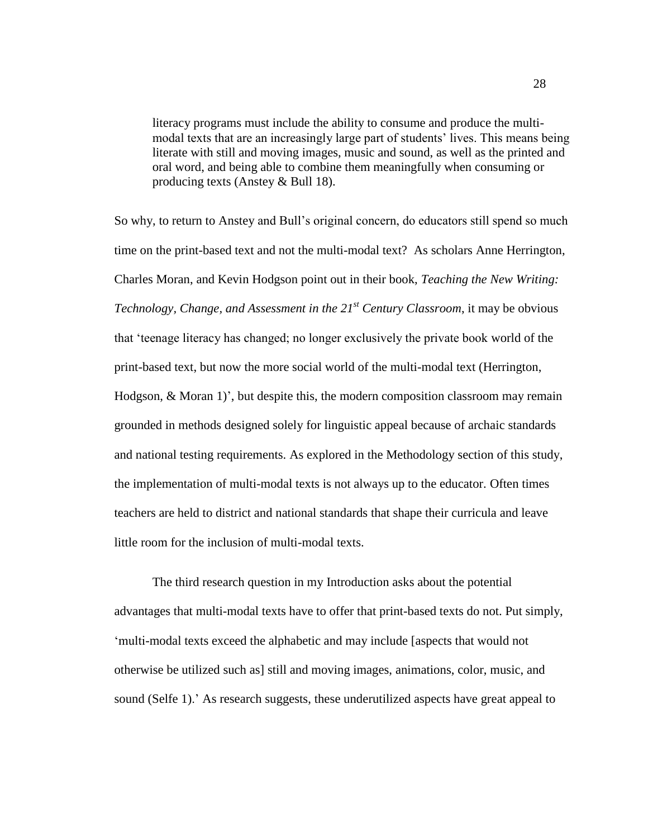literacy programs must include the ability to consume and produce the multimodal texts that are an increasingly large part of students' lives. This means being literate with still and moving images, music and sound, as well as the printed and oral word, and being able to combine them meaningfully when consuming or producing texts (Anstey & Bull 18).

So why, to return to Anstey and Bull's original concern, do educators still spend so much time on the print-based text and not the multi-modal text? As scholars Anne Herrington, Charles Moran, and Kevin Hodgson point out in their book, *Teaching the New Writing: Technology, Change, and Assessment in the 21st Century Classroom*, it may be obvious that ‗teenage literacy has changed; no longer exclusively the private book world of the print-based text, but now the more social world of the multi-modal text (Herrington, Hodgson, & Moran 1)', but despite this, the modern composition classroom may remain grounded in methods designed solely for linguistic appeal because of archaic standards and national testing requirements. As explored in the Methodology section of this study, the implementation of multi-modal texts is not always up to the educator. Often times teachers are held to district and national standards that shape their curricula and leave little room for the inclusion of multi-modal texts.

The third research question in my Introduction asks about the potential advantages that multi-modal texts have to offer that print-based texts do not. Put simply, ‗multi-modal texts exceed the alphabetic and may include [aspects that would not otherwise be utilized such as] still and moving images, animations, color, music, and sound (Selfe 1).' As research suggests, these underutilized aspects have great appeal to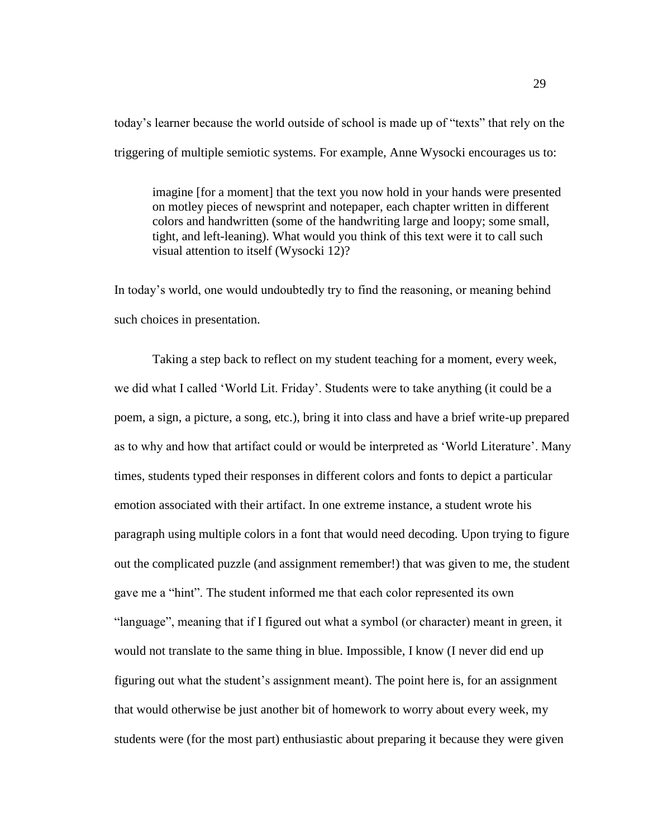today's learner because the world outside of school is made up of "texts" that rely on the triggering of multiple semiotic systems. For example, Anne Wysocki encourages us to:

imagine [for a moment] that the text you now hold in your hands were presented on motley pieces of newsprint and notepaper, each chapter written in different colors and handwritten (some of the handwriting large and loopy; some small, tight, and left-leaning). What would you think of this text were it to call such visual attention to itself (Wysocki 12)?

In today's world, one would undoubtedly try to find the reasoning, or meaning behind such choices in presentation.

Taking a step back to reflect on my student teaching for a moment, every week, we did what I called 'World Lit. Friday'. Students were to take anything (it could be a poem, a sign, a picture, a song, etc.), bring it into class and have a brief write-up prepared as to why and how that artifact could or would be interpreted as 'World Literature'. Many times, students typed their responses in different colors and fonts to depict a particular emotion associated with their artifact. In one extreme instance, a student wrote his paragraph using multiple colors in a font that would need decoding. Upon trying to figure out the complicated puzzle (and assignment remember!) that was given to me, the student gave me a "hint". The student informed me that each color represented its own ―language‖, meaning that if I figured out what a symbol (or character) meant in green, it would not translate to the same thing in blue. Impossible, I know (I never did end up figuring out what the student's assignment meant). The point here is, for an assignment that would otherwise be just another bit of homework to worry about every week, my students were (for the most part) enthusiastic about preparing it because they were given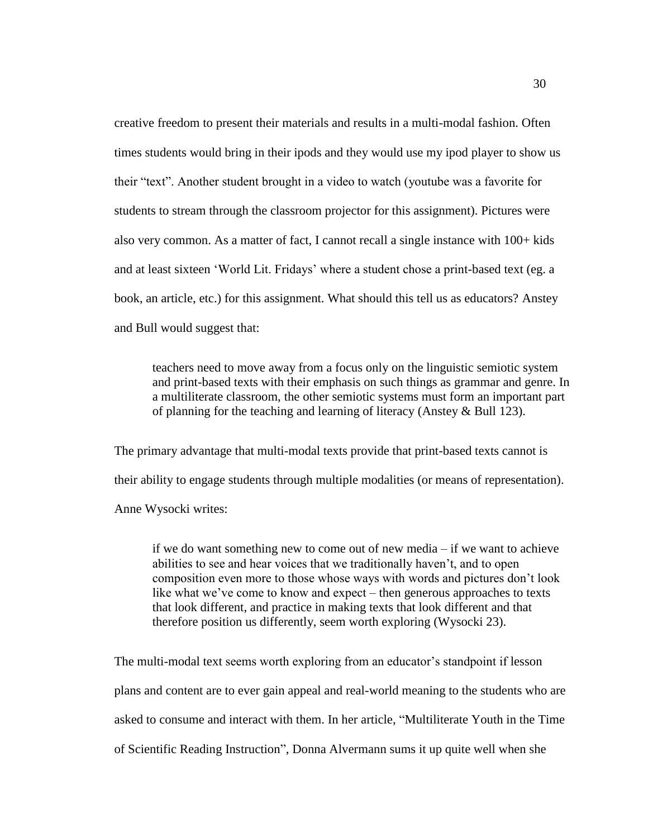creative freedom to present their materials and results in a multi-modal fashion. Often times students would bring in their ipods and they would use my ipod player to show us their "text". Another student brought in a video to watch (youtube was a favorite for students to stream through the classroom projector for this assignment). Pictures were also very common. As a matter of fact, I cannot recall a single instance with  $100+$  kids and at least sixteen ‗World Lit. Fridays' where a student chose a print-based text (eg. a book, an article, etc.) for this assignment. What should this tell us as educators? Anstey and Bull would suggest that:

teachers need to move away from a focus only on the linguistic semiotic system and print-based texts with their emphasis on such things as grammar and genre. In a multiliterate classroom, the other semiotic systems must form an important part of planning for the teaching and learning of literacy (Anstey & Bull 123).

The primary advantage that multi-modal texts provide that print-based texts cannot is their ability to engage students through multiple modalities (or means of representation). Anne Wysocki writes:

if we do want something new to come out of new media – if we want to achieve abilities to see and hear voices that we traditionally haven't, and to open composition even more to those whose ways with words and pictures don't look like what we've come to know and expect – then generous approaches to texts that look different, and practice in making texts that look different and that therefore position us differently, seem worth exploring (Wysocki 23).

The multi-modal text seems worth exploring from an educator's standpoint if lesson plans and content are to ever gain appeal and real-world meaning to the students who are asked to consume and interact with them. In her article, "Multiliterate Youth in the Time of Scientific Reading Instruction", Donna Alvermann sums it up quite well when she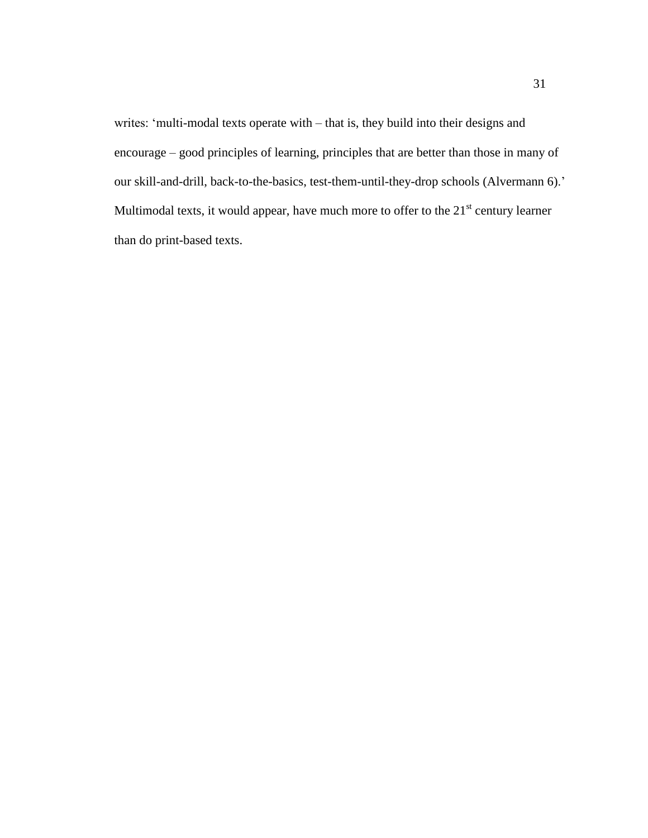writes: ‗multi-modal texts operate with – that is, they build into their designs and encourage – good principles of learning, principles that are better than those in many of our skill-and-drill, back-to-the-basics, test-them-until-they-drop schools (Alvermann 6).' Multimodal texts, it would appear, have much more to offer to the  $21<sup>st</sup>$  century learner than do print-based texts.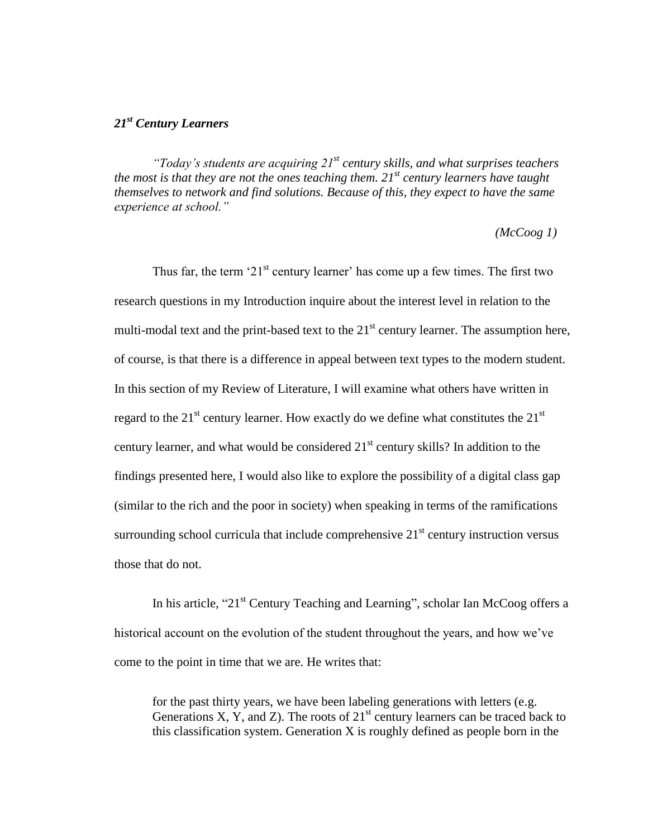### *21st Century Learners*

*"Today's students are acquiring 21st century skills, and what surprises teachers the most is that they are not the ones teaching them. 21st century learners have taught themselves to network and find solutions. Because of this, they expect to have the same experience at school."*

*(McCoog 1)*

Thus far, the term  $21<sup>st</sup>$  century learner' has come up a few times. The first two research questions in my Introduction inquire about the interest level in relation to the multi-modal text and the print-based text to the  $21<sup>st</sup>$  century learner. The assumption here, of course, is that there is a difference in appeal between text types to the modern student. In this section of my Review of Literature, I will examine what others have written in regard to the 21<sup>st</sup> century learner. How exactly do we define what constitutes the  $21<sup>st</sup>$ century learner, and what would be considered  $21<sup>st</sup>$  century skills? In addition to the findings presented here, I would also like to explore the possibility of a digital class gap (similar to the rich and the poor in society) when speaking in terms of the ramifications surrounding school curricula that include comprehensive  $21<sup>st</sup>$  century instruction versus those that do not.

In his article, " $21<sup>st</sup>$  Century Teaching and Learning", scholar Ian McCoog offers a historical account on the evolution of the student throughout the years, and how we've come to the point in time that we are. He writes that:

for the past thirty years, we have been labeling generations with letters (e.g. Generations X, Y, and Z). The roots of  $21<sup>st</sup>$  century learners can be traced back to this classification system. Generation X is roughly defined as people born in the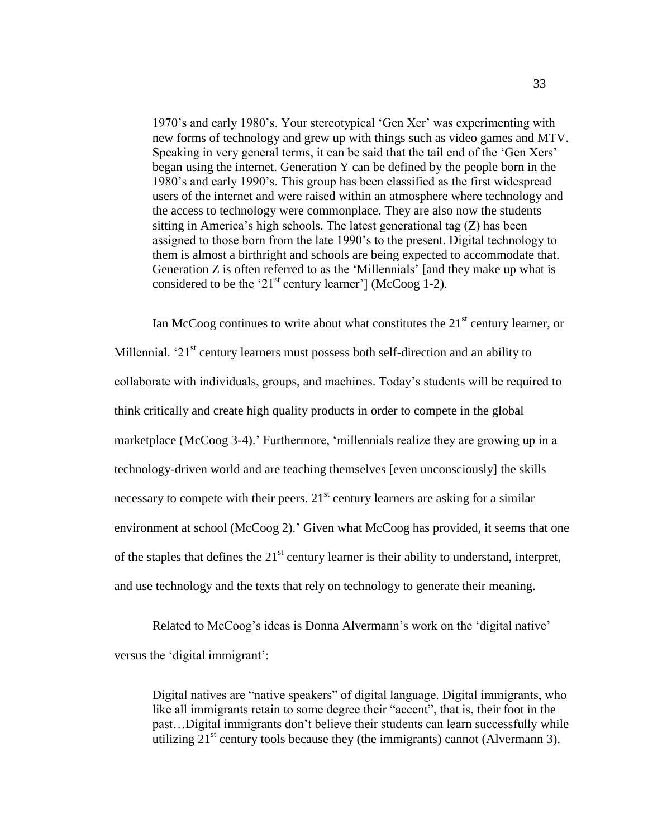1970's and early 1980's. Your stereotypical 'Gen Xer' was experimenting with new forms of technology and grew up with things such as video games and MTV. Speaking in very general terms, it can be said that the tail end of the 'Gen Xers' began using the internet. Generation Y can be defined by the people born in the 1980's and early 1990's. This group has been classified as the first widespread users of the internet and were raised within an atmosphere where technology and the access to technology were commonplace. They are also now the students sitting in America's high schools. The latest generational tag (Z) has been assigned to those born from the late 1990's to the present. Digital technology to them is almost a birthright and schools are being expected to accommodate that. Generation  $Z$  is often referred to as the 'Millennials' [and they make up what is considered to be the '21<sup>st</sup> century learner'] (McCoog 1-2).

Ian McCoog continues to write about what constitutes the  $21<sup>st</sup>$  century learner, or Millennial. '21<sup>st</sup> century learners must possess both self-direction and an ability to collaborate with individuals, groups, and machines. Today's students will be required to think critically and create high quality products in order to compete in the global marketplace (McCoog 3-4).' Furthermore, 'millennials realize they are growing up in a technology-driven world and are teaching themselves [even unconsciously] the skills necessary to compete with their peers.  $21<sup>st</sup>$  century learners are asking for a similar environment at school (McCoog 2).' Given what McCoog has provided, it seems that one of the staples that defines the  $21<sup>st</sup>$  century learner is their ability to understand, interpret, and use technology and the texts that rely on technology to generate their meaning.

Related to McCoog's ideas is Donna Alvermann's work on the 'digital native' versus the 'digital immigrant':

Digital natives are "native speakers" of digital language. Digital immigrants, who like all immigrants retain to some degree their "accent", that is, their foot in the past…Digital immigrants don't believe their students can learn successfully while utilizing  $21<sup>st</sup>$  century tools because they (the immigrants) cannot (Alvermann 3).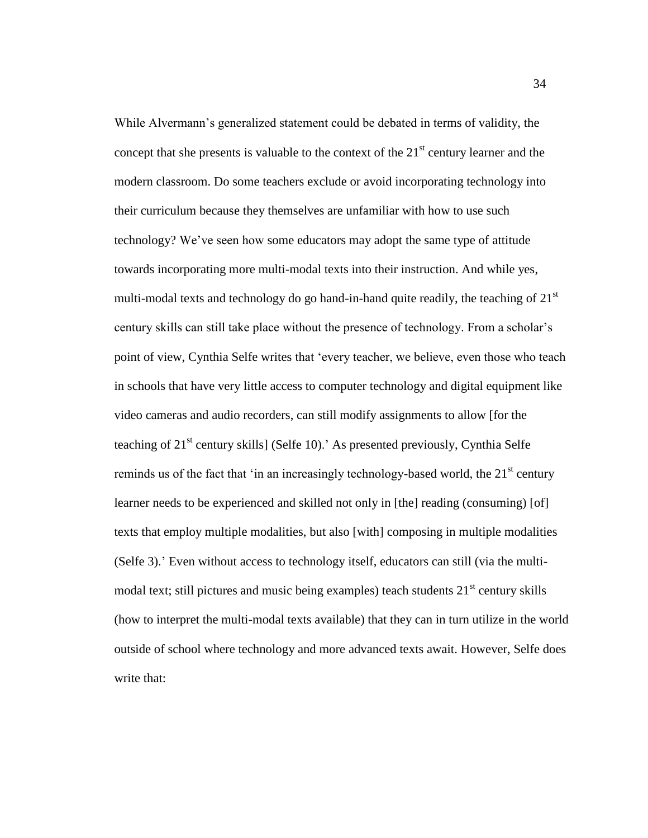While Alvermann's generalized statement could be debated in terms of validity, the concept that she presents is valuable to the context of the  $21<sup>st</sup>$  century learner and the modern classroom. Do some teachers exclude or avoid incorporating technology into their curriculum because they themselves are unfamiliar with how to use such technology? We've seen how some educators may adopt the same type of attitude towards incorporating more multi-modal texts into their instruction. And while yes, multi-modal texts and technology do go hand-in-hand quite readily, the teaching of  $21<sup>st</sup>$ century skills can still take place without the presence of technology. From a scholar's point of view, Cynthia Selfe writes that 'every teacher, we believe, even those who teach in schools that have very little access to computer technology and digital equipment like video cameras and audio recorders, can still modify assignments to allow [for the teaching of  $21<sup>st</sup>$  century skills] (Selfe 10).' As presented previously, Cynthia Selfe reminds us of the fact that 'in an increasingly technology-based world, the 21<sup>st</sup> century learner needs to be experienced and skilled not only in [the] reading (consuming) [of] texts that employ multiple modalities, but also [with] composing in multiple modalities (Selfe 3).' Even without access to technology itself, educators can still (via the multimodal text; still pictures and music being examples) teach students  $21<sup>st</sup>$  century skills (how to interpret the multi-modal texts available) that they can in turn utilize in the world outside of school where technology and more advanced texts await. However, Selfe does write that: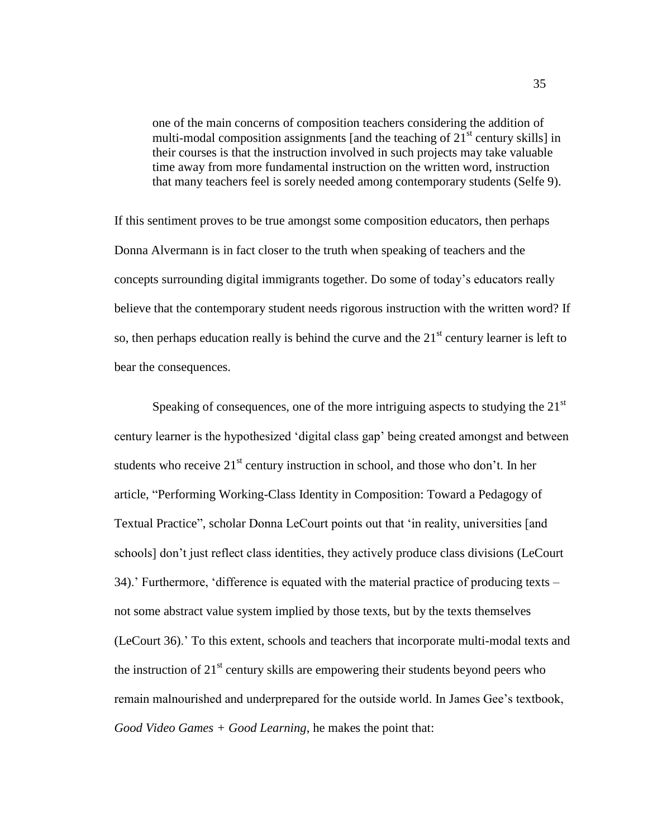one of the main concerns of composition teachers considering the addition of multi-modal composition assignments [and the teaching of  $21<sup>st</sup>$  century skills] in their courses is that the instruction involved in such projects may take valuable time away from more fundamental instruction on the written word, instruction that many teachers feel is sorely needed among contemporary students (Selfe 9).

If this sentiment proves to be true amongst some composition educators, then perhaps Donna Alvermann is in fact closer to the truth when speaking of teachers and the concepts surrounding digital immigrants together. Do some of today's educators really believe that the contemporary student needs rigorous instruction with the written word? If so, then perhaps education really is behind the curve and the  $21<sup>st</sup>$  century learner is left to bear the consequences.

Speaking of consequences, one of the more intriguing aspects to studying the  $21<sup>st</sup>$ century learner is the hypothesized 'digital class gap' being created amongst and between students who receive  $21<sup>st</sup>$  century instruction in school, and those who don't. In her article, "Performing Working-Class Identity in Composition: Toward a Pedagogy of Textual Practice", scholar Donna LeCourt points out that 'in reality, universities [and schools] don't just reflect class identities, they actively produce class divisions (LeCourt  $34$ ).' Furthermore, 'difference is equated with the material practice of producing texts – not some abstract value system implied by those texts, but by the texts themselves (LeCourt 36).' To this extent, schools and teachers that incorporate multi-modal texts and the instruction of  $21<sup>st</sup>$  century skills are empowering their students beyond peers who remain malnourished and underprepared for the outside world. In James Gee's textbook, *Good Video Games + Good Learning*, he makes the point that: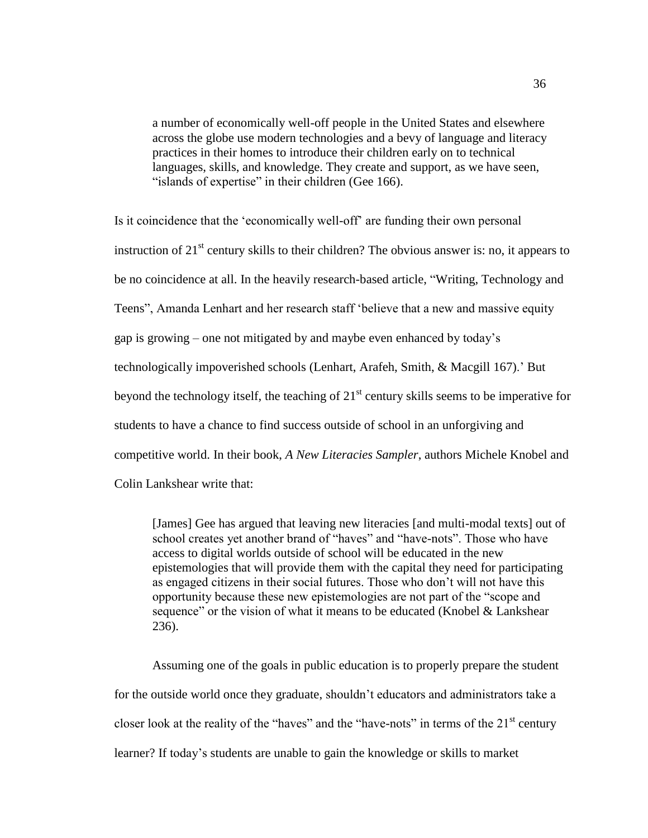a number of economically well-off people in the United States and elsewhere across the globe use modern technologies and a bevy of language and literacy practices in their homes to introduce their children early on to technical languages, skills, and knowledge. They create and support, as we have seen, "islands of expertise" in their children (Gee 166).

Is it coincidence that the 'economically well-off' are funding their own personal instruction of  $21<sup>st</sup>$  century skills to their children? The obvious answer is: no, it appears to be no coincidence at all. In the heavily research-based article, "Writing, Technology and Teens", Amanda Lenhart and her research staff 'believe that a new and massive equity gap is growing – one not mitigated by and maybe even enhanced by today's technologically impoverished schools (Lenhart, Arafeh, Smith, & Macgill 167).' But beyond the technology itself, the teaching of  $21<sup>st</sup>$  century skills seems to be imperative for students to have a chance to find success outside of school in an unforgiving and competitive world. In their book, *A New Literacies Sampler*, authors Michele Knobel and Colin Lankshear write that:

[James] Gee has argued that leaving new literacies [and multi-modal texts] out of school creates yet another brand of "haves" and "have-nots". Those who have access to digital worlds outside of school will be educated in the new epistemologies that will provide them with the capital they need for participating as engaged citizens in their social futures. Those who don't will not have this opportunity because these new epistemologies are not part of the "scope and sequence" or the vision of what it means to be educated (Knobel  $&$  Lankshear 236).

Assuming one of the goals in public education is to properly prepare the student for the outside world once they graduate, shouldn't educators and administrators take a closer look at the reality of the "haves" and the "have-nots" in terms of the  $21<sup>st</sup>$  century learner? If today's students are unable to gain the knowledge or skills to market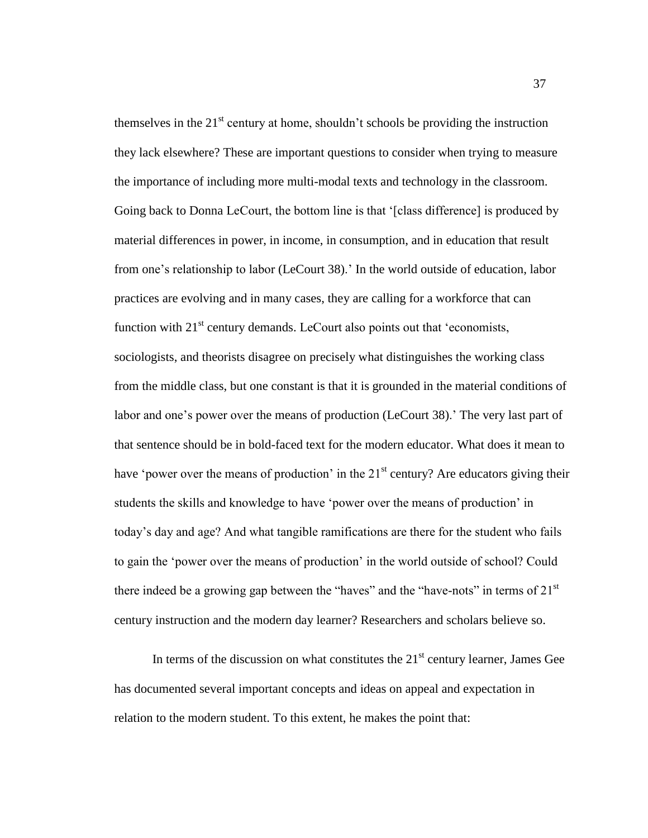themselves in the  $21<sup>st</sup>$  century at home, shouldn't schools be providing the instruction they lack elsewhere? These are important questions to consider when trying to measure the importance of including more multi-modal texts and technology in the classroom. Going back to Donna LeCourt, the bottom line is that '[class difference] is produced by material differences in power, in income, in consumption, and in education that result from one's relationship to labor (LeCourt 38).' In the world outside of education, labor practices are evolving and in many cases, they are calling for a workforce that can function with  $21<sup>st</sup>$  century demands. LeCourt also points out that 'economists, sociologists, and theorists disagree on precisely what distinguishes the working class from the middle class, but one constant is that it is grounded in the material conditions of labor and one's power over the means of production (LeCourt 38).' The very last part of that sentence should be in bold-faced text for the modern educator. What does it mean to have 'power over the means of production' in the  $21<sup>st</sup>$  century? Are educators giving their students the skills and knowledge to have 'power over the means of production' in today's day and age? And what tangible ramifications are there for the student who fails to gain the ‗power over the means of production' in the world outside of school? Could there indeed be a growing gap between the "haves" and the "have-nots" in terms of  $21<sup>st</sup>$ century instruction and the modern day learner? Researchers and scholars believe so.

In terms of the discussion on what constitutes the  $21<sup>st</sup>$  century learner, James Gee has documented several important concepts and ideas on appeal and expectation in relation to the modern student. To this extent, he makes the point that: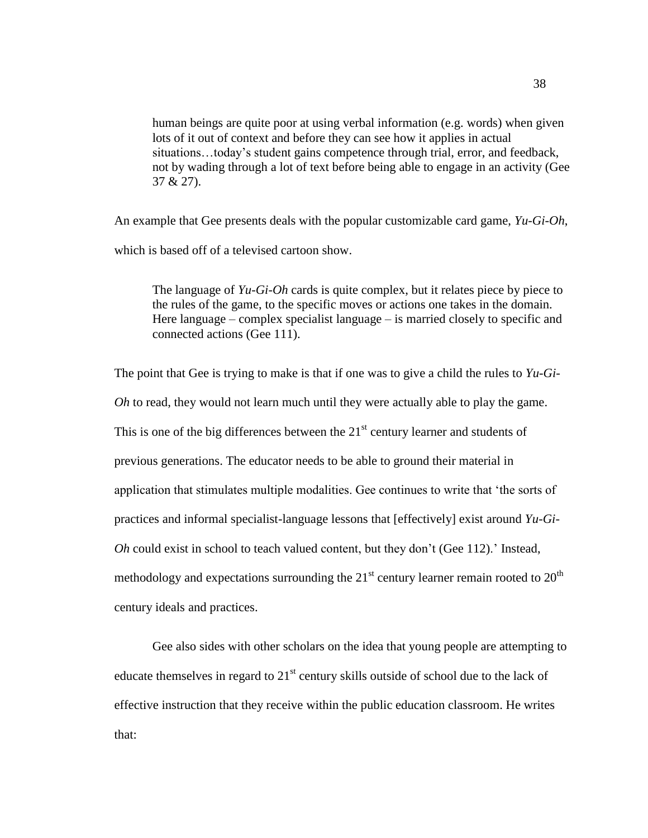human beings are quite poor at using verbal information (e.g. words) when given lots of it out of context and before they can see how it applies in actual situations…today's student gains competence through trial, error, and feedback, not by wading through a lot of text before being able to engage in an activity (Gee 37 & 27).

An example that Gee presents deals with the popular customizable card game, *Yu-Gi-Oh*, which is based off of a televised cartoon show.

The language of *Yu-Gi-Oh* cards is quite complex, but it relates piece by piece to the rules of the game, to the specific moves or actions one takes in the domain. Here language – complex specialist language – is married closely to specific and connected actions (Gee 111).

The point that Gee is trying to make is that if one was to give a child the rules to *Yu-Gi-Oh* to read, they would not learn much until they were actually able to play the game. This is one of the big differences between the  $21<sup>st</sup>$  century learner and students of previous generations. The educator needs to be able to ground their material in application that stimulates multiple modalities. Gee continues to write that 'the sorts of practices and informal specialist-language lessons that [effectively] exist around *Yu-Gi-Oh* could exist in school to teach valued content, but they don't (Gee 112).' Instead, methodology and expectations surrounding the 21<sup>st</sup> century learner remain rooted to 20<sup>th</sup> century ideals and practices.

Gee also sides with other scholars on the idea that young people are attempting to educate themselves in regard to  $21<sup>st</sup>$  century skills outside of school due to the lack of effective instruction that they receive within the public education classroom. He writes that: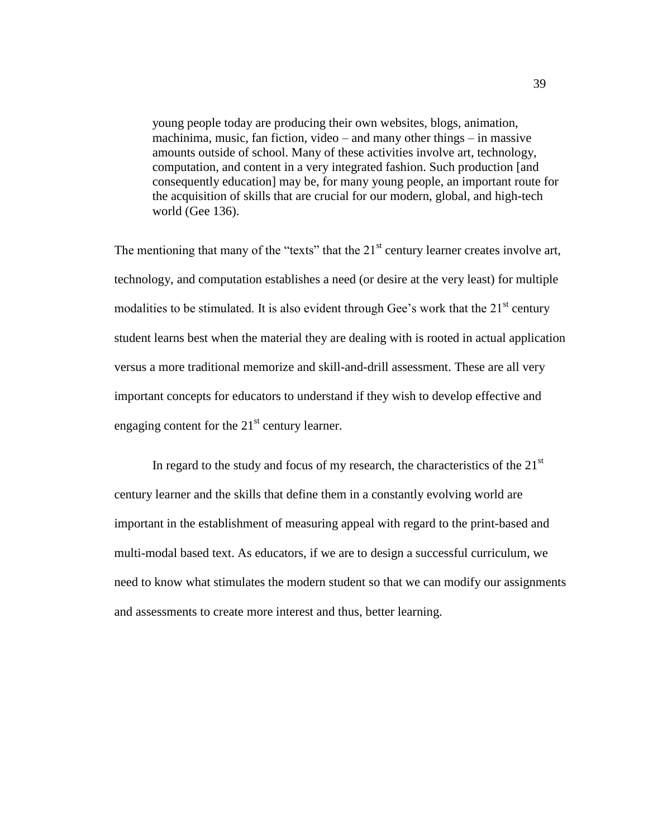young people today are producing their own websites, blogs, animation, machinima, music, fan fiction, video – and many other things – in massive amounts outside of school. Many of these activities involve art, technology, computation, and content in a very integrated fashion. Such production [and consequently education] may be, for many young people, an important route for the acquisition of skills that are crucial for our modern, global, and high-tech world (Gee 136).

The mentioning that many of the "texts" that the  $21<sup>st</sup>$  century learner creates involve art, technology, and computation establishes a need (or desire at the very least) for multiple modalities to be stimulated. It is also evident through Gee's work that the  $21<sup>st</sup>$  century student learns best when the material they are dealing with is rooted in actual application versus a more traditional memorize and skill-and-drill assessment. These are all very important concepts for educators to understand if they wish to develop effective and engaging content for the  $21<sup>st</sup>$  century learner.

In regard to the study and focus of my research, the characteristics of the  $21<sup>st</sup>$ century learner and the skills that define them in a constantly evolving world are important in the establishment of measuring appeal with regard to the print-based and multi-modal based text. As educators, if we are to design a successful curriculum, we need to know what stimulates the modern student so that we can modify our assignments and assessments to create more interest and thus, better learning.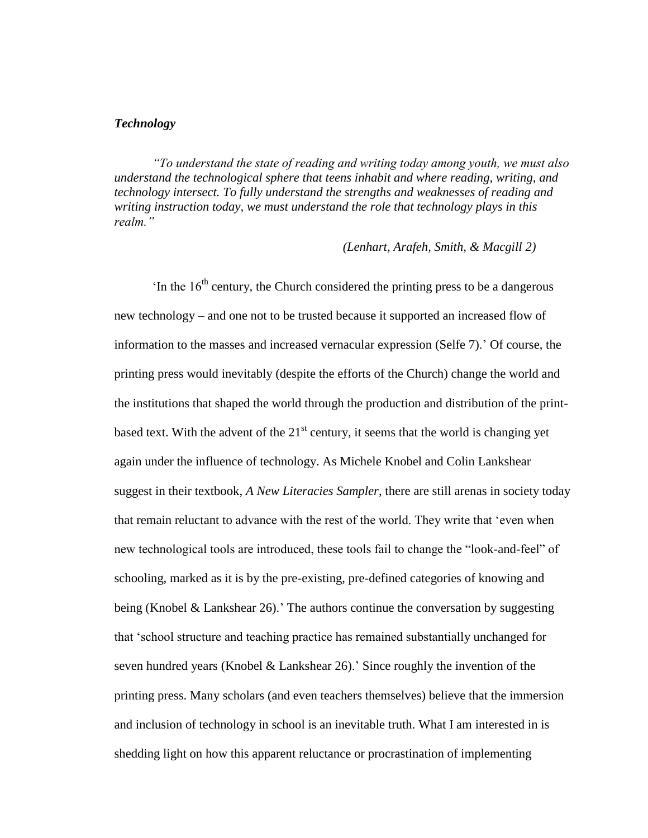#### *Technology*

*"To understand the state of reading and writing today among youth, we must also understand the technological sphere that teens inhabit and where reading, writing, and technology intersect. To fully understand the strengths and weaknesses of reading and writing instruction today, we must understand the role that technology plays in this realm."*

*(Lenhart, Arafeh, Smith, & Macgill 2)*

 $\ln$  the 16<sup>th</sup> century, the Church considered the printing press to be a dangerous new technology – and one not to be trusted because it supported an increased flow of information to the masses and increased vernacular expression (Selfe 7).' Of course, the printing press would inevitably (despite the efforts of the Church) change the world and the institutions that shaped the world through the production and distribution of the printbased text. With the advent of the  $21<sup>st</sup>$  century, it seems that the world is changing yet again under the influence of technology. As Michele Knobel and Colin Lankshear suggest in their textbook, *A New Literacies Sampler*, there are still arenas in society today that remain reluctant to advance with the rest of the world. They write that ‗even when new technological tools are introduced, these tools fail to change the "look-and-feel" of schooling, marked as it is by the pre-existing, pre-defined categories of knowing and being (Knobel & Lankshear 26).' The authors continue the conversation by suggesting that ‗school structure and teaching practice has remained substantially unchanged for seven hundred years (Knobel & Lankshear 26).' Since roughly the invention of the printing press. Many scholars (and even teachers themselves) believe that the immersion and inclusion of technology in school is an inevitable truth. What I am interested in is shedding light on how this apparent reluctance or procrastination of implementing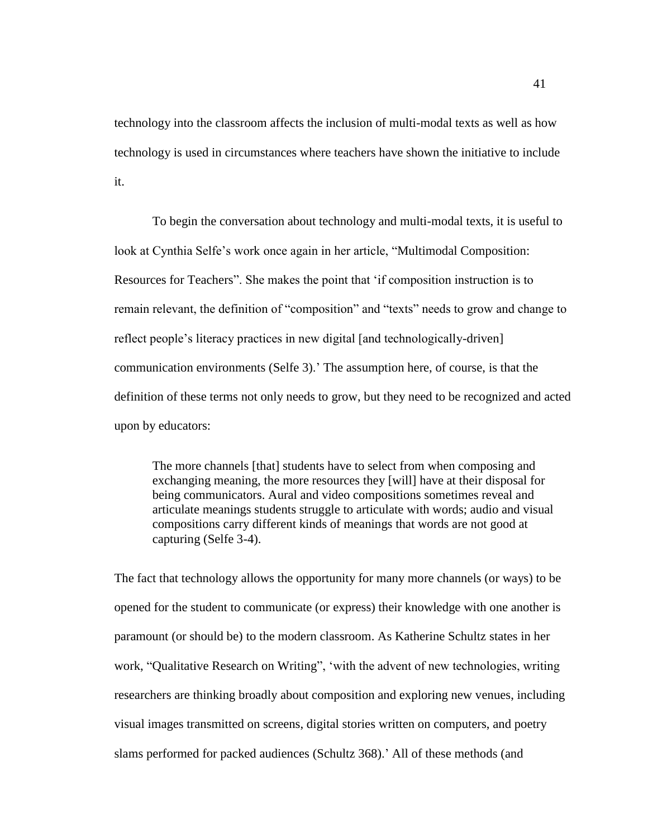technology into the classroom affects the inclusion of multi-modal texts as well as how technology is used in circumstances where teachers have shown the initiative to include it.

To begin the conversation about technology and multi-modal texts, it is useful to look at Cynthia Selfe's work once again in her article, "Multimodal Composition: Resources for Teachers". She makes the point that 'if composition instruction is to remain relevant, the definition of "composition" and "texts" needs to grow and change to reflect people's literacy practices in new digital [and technologically-driven] communication environments (Selfe 3).' The assumption here, of course, is that the definition of these terms not only needs to grow, but they need to be recognized and acted upon by educators:

The more channels [that] students have to select from when composing and exchanging meaning, the more resources they [will] have at their disposal for being communicators. Aural and video compositions sometimes reveal and articulate meanings students struggle to articulate with words; audio and visual compositions carry different kinds of meanings that words are not good at capturing (Selfe 3-4).

The fact that technology allows the opportunity for many more channels (or ways) to be opened for the student to communicate (or express) their knowledge with one another is paramount (or should be) to the modern classroom. As Katherine Schultz states in her work, "Qualitative Research on Writing", 'with the advent of new technologies, writing researchers are thinking broadly about composition and exploring new venues, including visual images transmitted on screens, digital stories written on computers, and poetry slams performed for packed audiences (Schultz 368).' All of these methods (and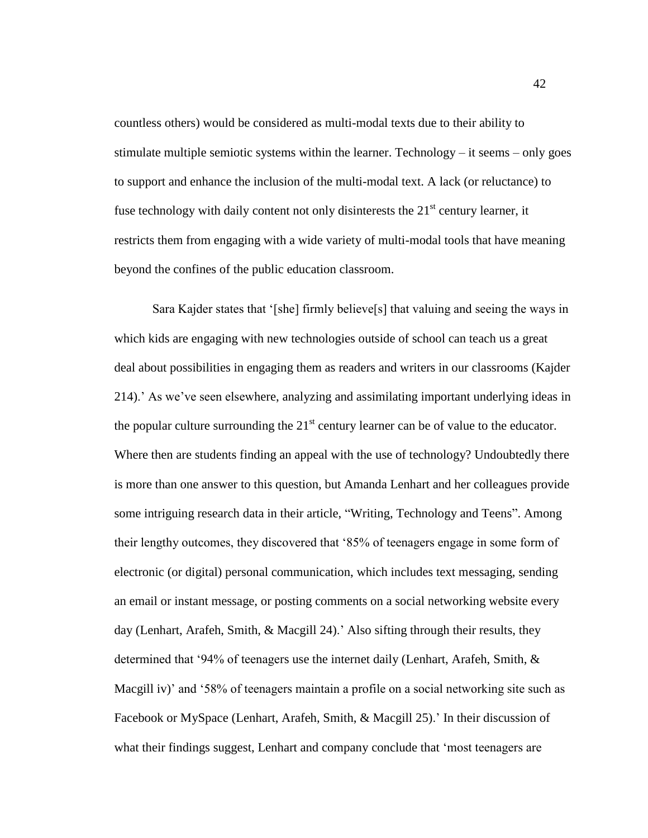countless others) would be considered as multi-modal texts due to their ability to stimulate multiple semiotic systems within the learner. Technology – it seems – only goes to support and enhance the inclusion of the multi-modal text. A lack (or reluctance) to fuse technology with daily content not only disinterests the  $21<sup>st</sup>$  century learner, it restricts them from engaging with a wide variety of multi-modal tools that have meaning beyond the confines of the public education classroom.

Sara Kajder states that '[she] firmly believe[s] that valuing and seeing the ways in which kids are engaging with new technologies outside of school can teach us a great deal about possibilities in engaging them as readers and writers in our classrooms (Kajder 214).' As we've seen elsewhere, analyzing and assimilating important underlying ideas in the popular culture surrounding the  $21<sup>st</sup>$  century learner can be of value to the educator. Where then are students finding an appeal with the use of technology? Undoubtedly there is more than one answer to this question, but Amanda Lenhart and her colleagues provide some intriguing research data in their article, "Writing, Technology and Teens". Among their lengthy outcomes, they discovered that ‗85% of teenagers engage in some form of electronic (or digital) personal communication, which includes text messaging, sending an email or instant message, or posting comments on a social networking website every day (Lenhart, Arafeh, Smith, & Macgill 24).' Also sifting through their results, they determined that '94% of teenagers use the internet daily (Lenhart, Arafeh, Smith, & Macgill iv)' and '58% of teenagers maintain a profile on a social networking site such as Facebook or MySpace (Lenhart, Arafeh, Smith, & Macgill 25).' In their discussion of what their findings suggest, Lenhart and company conclude that 'most teenagers are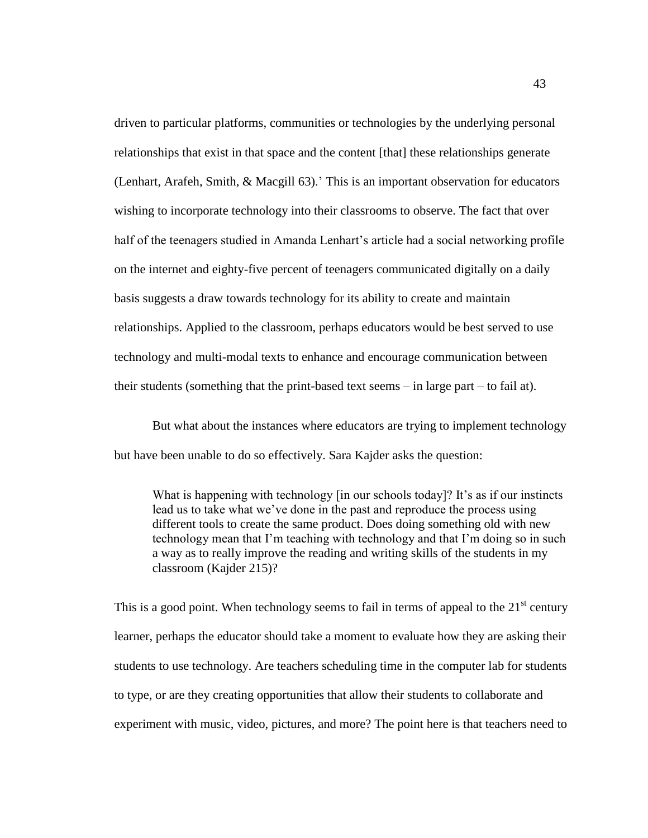driven to particular platforms, communities or technologies by the underlying personal relationships that exist in that space and the content [that] these relationships generate (Lenhart, Arafeh, Smith, & Macgill 63).' This is an important observation for educators wishing to incorporate technology into their classrooms to observe. The fact that over half of the teenagers studied in Amanda Lenhart's article had a social networking profile on the internet and eighty-five percent of teenagers communicated digitally on a daily basis suggests a draw towards technology for its ability to create and maintain relationships. Applied to the classroom, perhaps educators would be best served to use technology and multi-modal texts to enhance and encourage communication between their students (something that the print-based text seems – in large part – to fail at).

But what about the instances where educators are trying to implement technology but have been unable to do so effectively. Sara Kajder asks the question:

What is happening with technology  $\lceil$  in our schools today $\lceil$ ? It's as if our instincts lead us to take what we've done in the past and reproduce the process using different tools to create the same product. Does doing something old with new technology mean that I'm teaching with technology and that I'm doing so in such a way as to really improve the reading and writing skills of the students in my classroom (Kajder 215)?

This is a good point. When technology seems to fail in terms of appeal to the  $21<sup>st</sup>$  century learner, perhaps the educator should take a moment to evaluate how they are asking their students to use technology. Are teachers scheduling time in the computer lab for students to type, or are they creating opportunities that allow their students to collaborate and experiment with music, video, pictures, and more? The point here is that teachers need to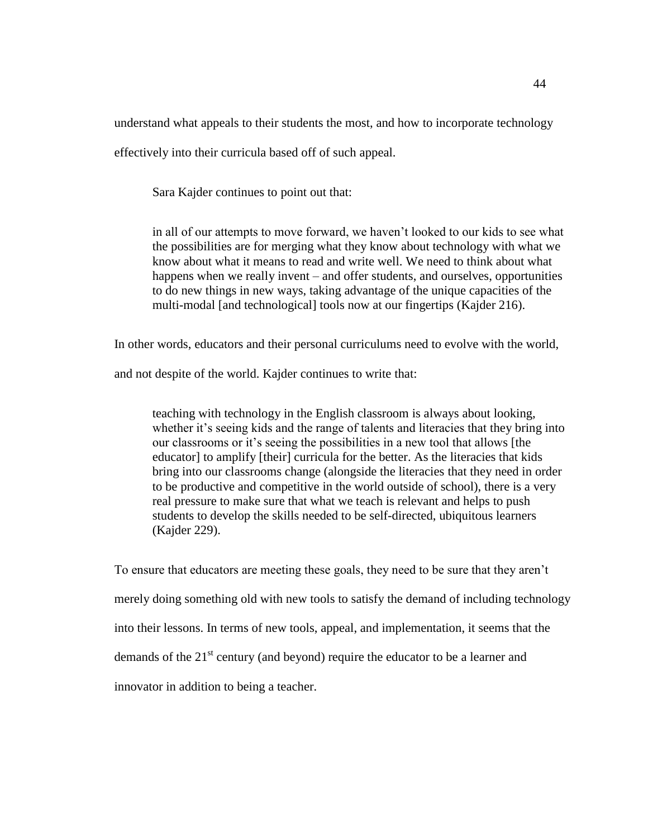understand what appeals to their students the most, and how to incorporate technology effectively into their curricula based off of such appeal.

Sara Kajder continues to point out that:

in all of our attempts to move forward, we haven't looked to our kids to see what the possibilities are for merging what they know about technology with what we know about what it means to read and write well. We need to think about what happens when we really invent – and offer students, and ourselves, opportunities to do new things in new ways, taking advantage of the unique capacities of the multi-modal [and technological] tools now at our fingertips (Kajder 216).

In other words, educators and their personal curriculums need to evolve with the world,

and not despite of the world. Kajder continues to write that:

teaching with technology in the English classroom is always about looking, whether it's seeing kids and the range of talents and literacies that they bring into our classrooms or it's seeing the possibilities in a new tool that allows [the educator] to amplify [their] curricula for the better. As the literacies that kids bring into our classrooms change (alongside the literacies that they need in order to be productive and competitive in the world outside of school), there is a very real pressure to make sure that what we teach is relevant and helps to push students to develop the skills needed to be self-directed, ubiquitous learners (Kajder 229).

To ensure that educators are meeting these goals, they need to be sure that they aren't merely doing something old with new tools to satisfy the demand of including technology into their lessons. In terms of new tools, appeal, and implementation, it seems that the demands of the  $21<sup>st</sup>$  century (and beyond) require the educator to be a learner and innovator in addition to being a teacher.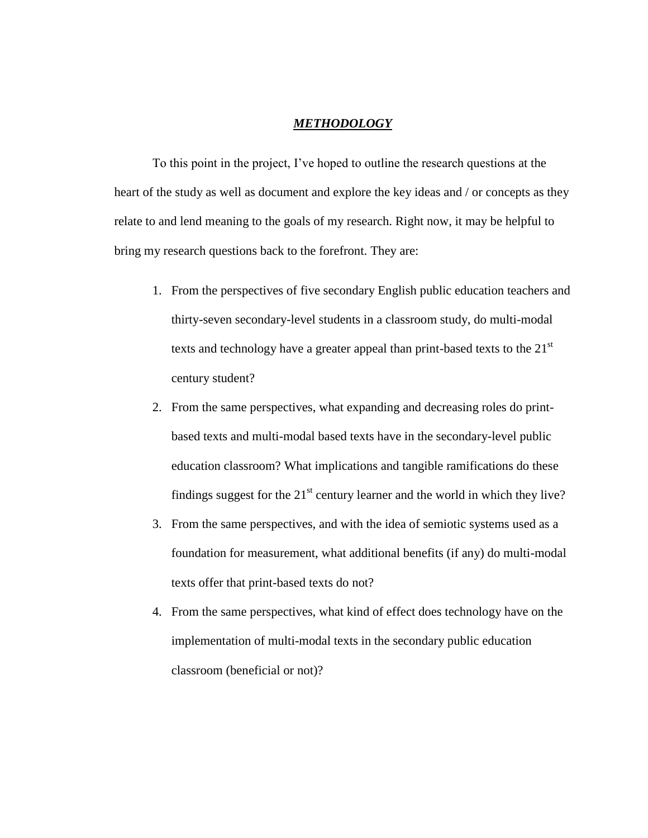#### *METHODOLOGY*

To this point in the project, I've hoped to outline the research questions at the heart of the study as well as document and explore the key ideas and / or concepts as they relate to and lend meaning to the goals of my research. Right now, it may be helpful to bring my research questions back to the forefront. They are:

- 1. From the perspectives of five secondary English public education teachers and thirty-seven secondary-level students in a classroom study, do multi-modal texts and technology have a greater appeal than print-based texts to the  $21<sup>st</sup>$ century student?
- 2. From the same perspectives, what expanding and decreasing roles do printbased texts and multi-modal based texts have in the secondary-level public education classroom? What implications and tangible ramifications do these findings suggest for the  $21<sup>st</sup>$  century learner and the world in which they live?
- 3. From the same perspectives, and with the idea of semiotic systems used as a foundation for measurement, what additional benefits (if any) do multi-modal texts offer that print-based texts do not?
- 4. From the same perspectives, what kind of effect does technology have on the implementation of multi-modal texts in the secondary public education classroom (beneficial or not)?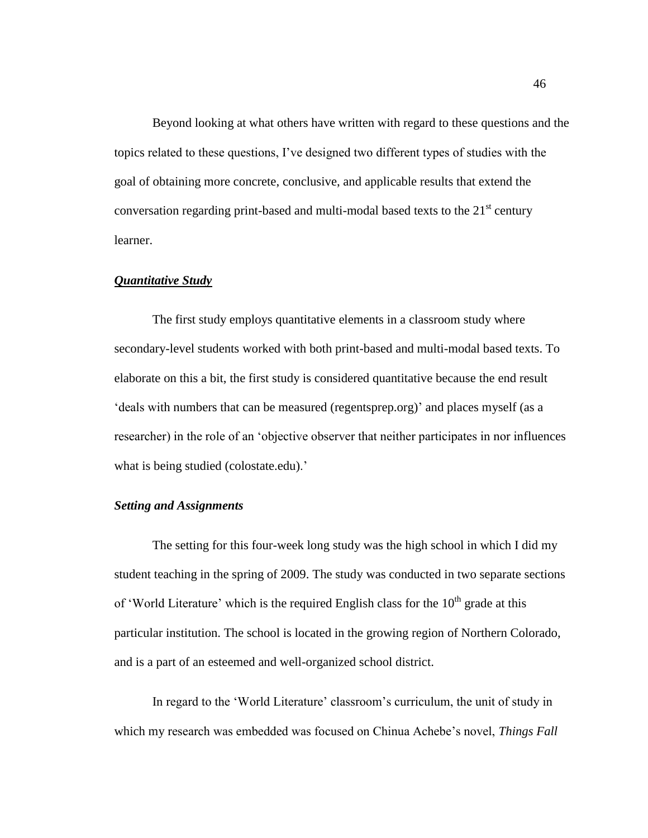Beyond looking at what others have written with regard to these questions and the topics related to these questions, I've designed two different types of studies with the goal of obtaining more concrete, conclusive, and applicable results that extend the conversation regarding print-based and multi-modal based texts to the  $21<sup>st</sup>$  century learner.

#### *Quantitative Study*

The first study employs quantitative elements in a classroom study where secondary-level students worked with both print-based and multi-modal based texts. To elaborate on this a bit, the first study is considered quantitative because the end result deals with numbers that can be measured (regentsprep.org)' and places myself (as a researcher) in the role of an 'objective observer that neither participates in nor influences what is being studied (colostate.edu).'

#### *Setting and Assignments*

The setting for this four-week long study was the high school in which I did my student teaching in the spring of 2009. The study was conducted in two separate sections of 'World Literature' which is the required English class for the  $10<sup>th</sup>$  grade at this particular institution. The school is located in the growing region of Northern Colorado, and is a part of an esteemed and well-organized school district.

In regard to the 'World Literature' classroom's curriculum, the unit of study in which my research was embedded was focused on Chinua Achebe's novel, *Things Fall*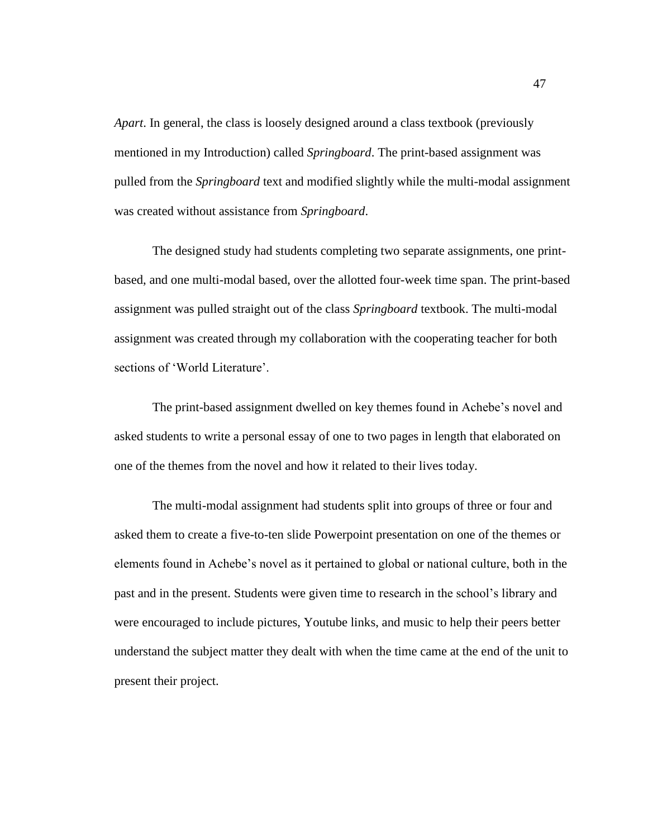*Apart*. In general, the class is loosely designed around a class textbook (previously mentioned in my Introduction) called *Springboard*. The print-based assignment was pulled from the *Springboard* text and modified slightly while the multi-modal assignment was created without assistance from *Springboard*.

The designed study had students completing two separate assignments, one printbased, and one multi-modal based, over the allotted four-week time span. The print-based assignment was pulled straight out of the class *Springboard* textbook. The multi-modal assignment was created through my collaboration with the cooperating teacher for both sections of 'World Literature'.

The print-based assignment dwelled on key themes found in Achebe's novel and asked students to write a personal essay of one to two pages in length that elaborated on one of the themes from the novel and how it related to their lives today.

The multi-modal assignment had students split into groups of three or four and asked them to create a five-to-ten slide Powerpoint presentation on one of the themes or elements found in Achebe's novel as it pertained to global or national culture, both in the past and in the present. Students were given time to research in the school's library and were encouraged to include pictures, Youtube links, and music to help their peers better understand the subject matter they dealt with when the time came at the end of the unit to present their project.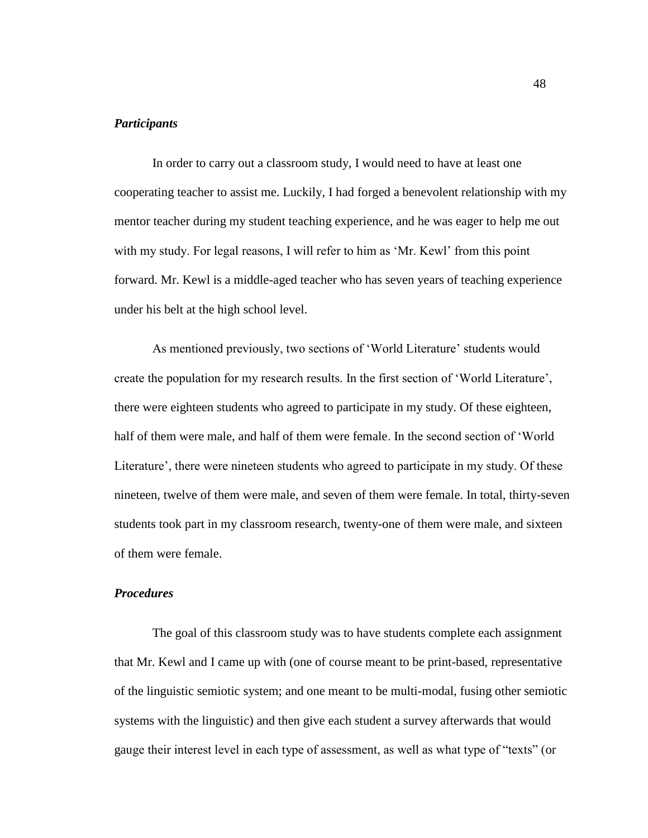#### *Participants*

In order to carry out a classroom study, I would need to have at least one cooperating teacher to assist me. Luckily, I had forged a benevolent relationship with my mentor teacher during my student teaching experience, and he was eager to help me out with my study. For legal reasons, I will refer to him as 'Mr. Kewl' from this point forward. Mr. Kewl is a middle-aged teacher who has seven years of teaching experience under his belt at the high school level.

As mentioned previously, two sections of 'World Literature' students would create the population for my research results. In the first section of 'World Literature', there were eighteen students who agreed to participate in my study. Of these eighteen, half of them were male, and half of them were female. In the second section of 'World Literature', there were nineteen students who agreed to participate in my study. Of these nineteen, twelve of them were male, and seven of them were female. In total, thirty-seven students took part in my classroom research, twenty-one of them were male, and sixteen of them were female.

## *Procedures*

The goal of this classroom study was to have students complete each assignment that Mr. Kewl and I came up with (one of course meant to be print-based, representative of the linguistic semiotic system; and one meant to be multi-modal, fusing other semiotic systems with the linguistic) and then give each student a survey afterwards that would gauge their interest level in each type of assessment, as well as what type of "texts" (or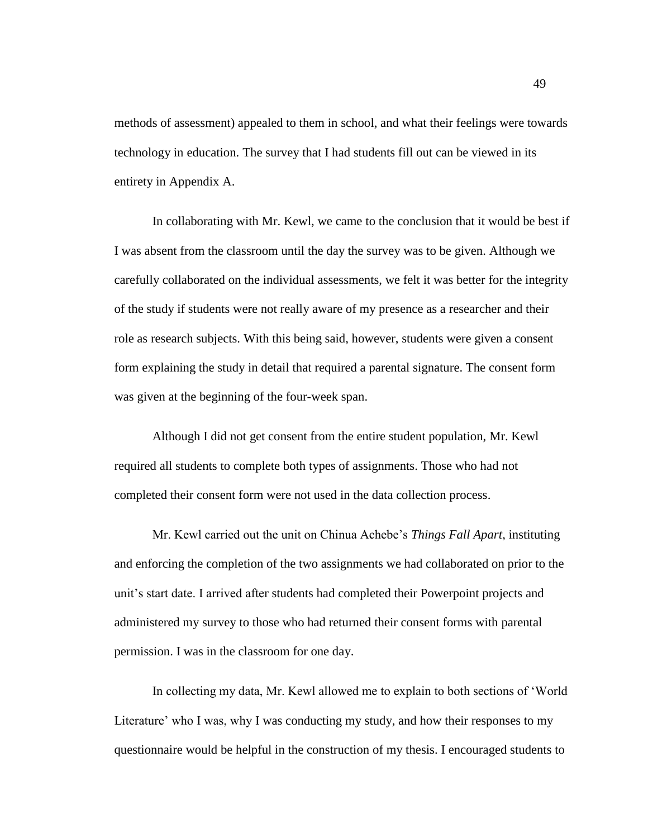methods of assessment) appealed to them in school, and what their feelings were towards technology in education. The survey that I had students fill out can be viewed in its entirety in Appendix A.

In collaborating with Mr. Kewl, we came to the conclusion that it would be best if I was absent from the classroom until the day the survey was to be given. Although we carefully collaborated on the individual assessments, we felt it was better for the integrity of the study if students were not really aware of my presence as a researcher and their role as research subjects. With this being said, however, students were given a consent form explaining the study in detail that required a parental signature. The consent form was given at the beginning of the four-week span.

Although I did not get consent from the entire student population, Mr. Kewl required all students to complete both types of assignments. Those who had not completed their consent form were not used in the data collection process.

Mr. Kewl carried out the unit on Chinua Achebe's *Things Fall Apart*, instituting and enforcing the completion of the two assignments we had collaborated on prior to the unit's start date. I arrived after students had completed their Powerpoint projects and administered my survey to those who had returned their consent forms with parental permission. I was in the classroom for one day.

In collecting my data, Mr. Kewl allowed me to explain to both sections of ‗World Literature' who I was, why I was conducting my study, and how their responses to my questionnaire would be helpful in the construction of my thesis. I encouraged students to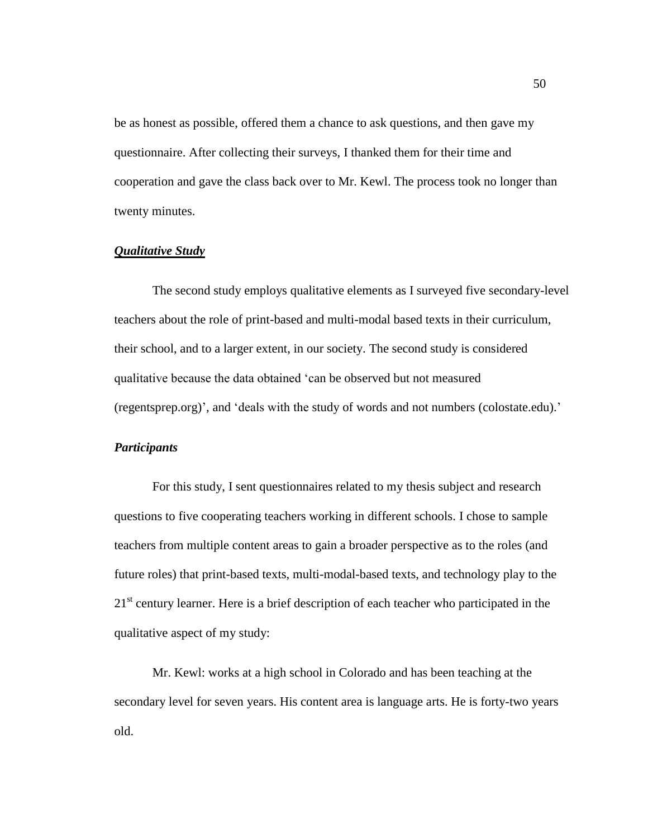be as honest as possible, offered them a chance to ask questions, and then gave my questionnaire. After collecting their surveys, I thanked them for their time and cooperation and gave the class back over to Mr. Kewl. The process took no longer than twenty minutes.

### *Qualitative Study*

The second study employs qualitative elements as I surveyed five secondary-level teachers about the role of print-based and multi-modal based texts in their curriculum, their school, and to a larger extent, in our society. The second study is considered qualitative because the data obtained 'can be observed but not measured (regentsprep.org)', and ‗deals with the study of words and not numbers (colostate.edu).'

#### *Participants*

For this study, I sent questionnaires related to my thesis subject and research questions to five cooperating teachers working in different schools. I chose to sample teachers from multiple content areas to gain a broader perspective as to the roles (and future roles) that print-based texts, multi-modal-based texts, and technology play to the 21<sup>st</sup> century learner. Here is a brief description of each teacher who participated in the qualitative aspect of my study:

Mr. Kewl: works at a high school in Colorado and has been teaching at the secondary level for seven years. His content area is language arts. He is forty-two years old.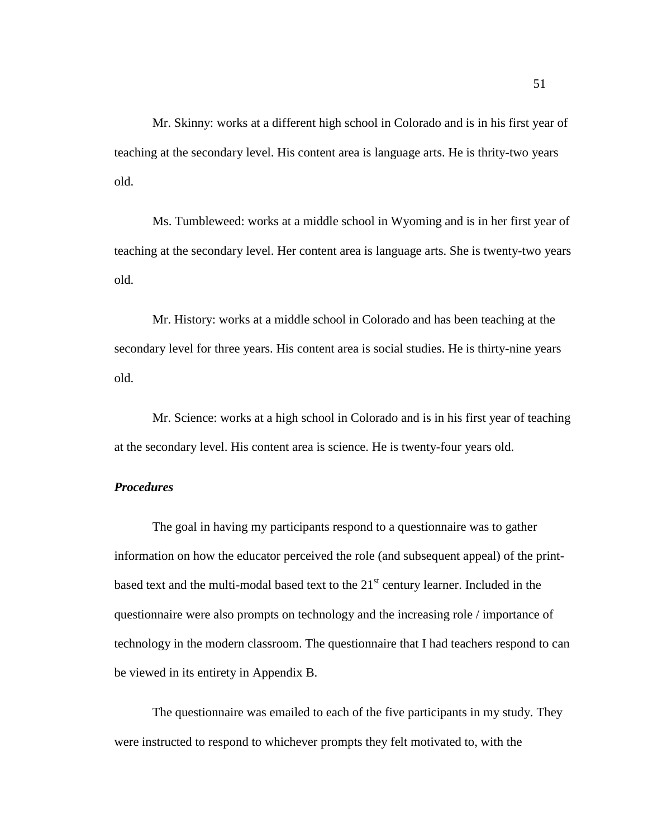Mr. Skinny: works at a different high school in Colorado and is in his first year of teaching at the secondary level. His content area is language arts. He is thrity-two years old.

Ms. Tumbleweed: works at a middle school in Wyoming and is in her first year of teaching at the secondary level. Her content area is language arts. She is twenty-two years old.

Mr. History: works at a middle school in Colorado and has been teaching at the secondary level for three years. His content area is social studies. He is thirty-nine years old.

Mr. Science: works at a high school in Colorado and is in his first year of teaching at the secondary level. His content area is science. He is twenty-four years old.

#### *Procedures*

The goal in having my participants respond to a questionnaire was to gather information on how the educator perceived the role (and subsequent appeal) of the printbased text and the multi-modal based text to the  $21<sup>st</sup>$  century learner. Included in the questionnaire were also prompts on technology and the increasing role / importance of technology in the modern classroom. The questionnaire that I had teachers respond to can be viewed in its entirety in Appendix B.

The questionnaire was emailed to each of the five participants in my study. They were instructed to respond to whichever prompts they felt motivated to, with the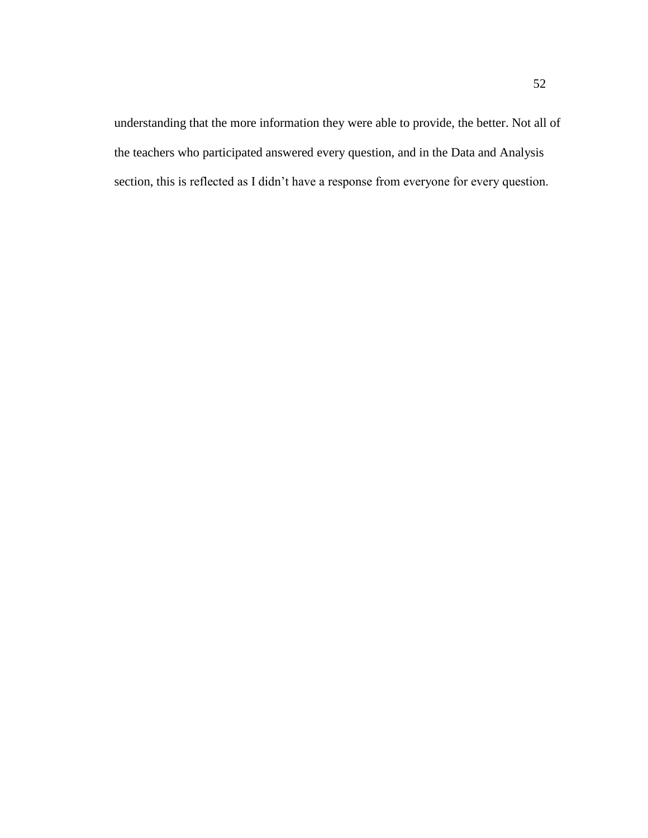understanding that the more information they were able to provide, the better. Not all of the teachers who participated answered every question, and in the Data and Analysis section, this is reflected as I didn't have a response from everyone for every question.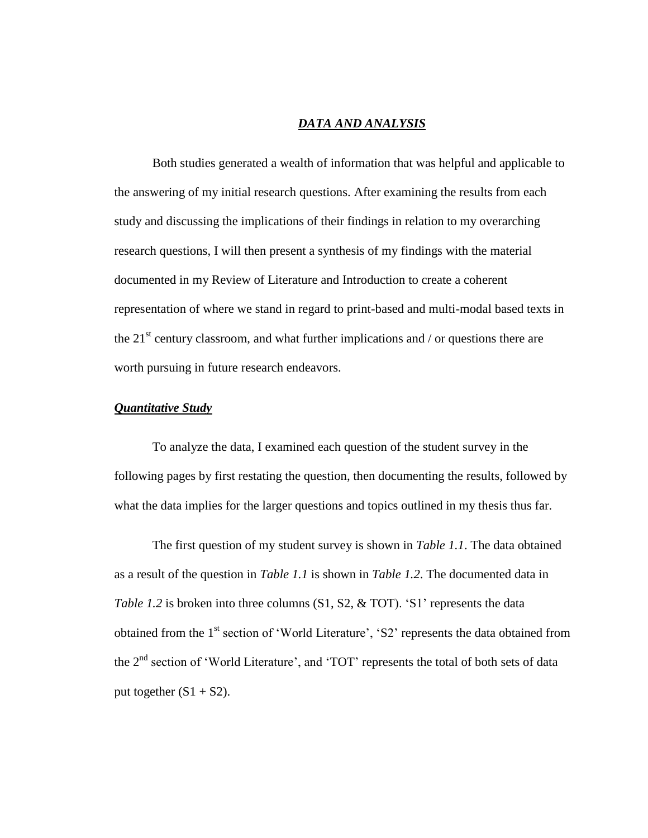#### *DATA AND ANALYSIS*

Both studies generated a wealth of information that was helpful and applicable to the answering of my initial research questions. After examining the results from each study and discussing the implications of their findings in relation to my overarching research questions, I will then present a synthesis of my findings with the material documented in my Review of Literature and Introduction to create a coherent representation of where we stand in regard to print-based and multi-modal based texts in the  $21<sup>st</sup>$  century classroom, and what further implications and / or questions there are worth pursuing in future research endeavors.

### *Quantitative Study*

To analyze the data, I examined each question of the student survey in the following pages by first restating the question, then documenting the results, followed by what the data implies for the larger questions and topics outlined in my thesis thus far.

The first question of my student survey is shown in *Table 1.1*. The data obtained as a result of the question in *Table 1.1* is shown in *Table 1.2*. The documented data in *Table 1.2* is broken into three columns (S1, S2, & TOT). 'S1' represents the data obtained from the 1<sup>st</sup> section of 'World Literature', 'S2' represents the data obtained from the  $2<sup>nd</sup>$  section of 'World Literature', and 'TOT' represents the total of both sets of data put together  $(S1 + S2)$ .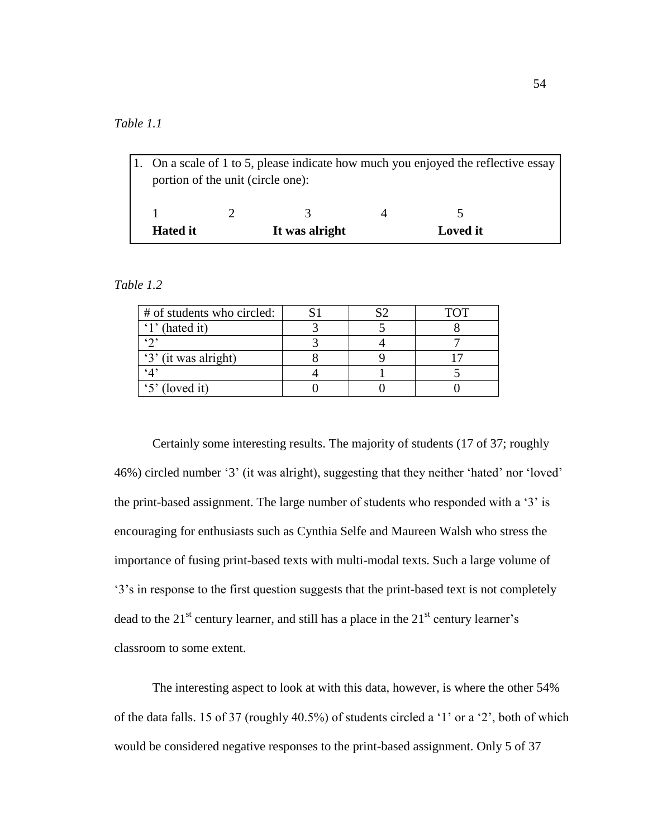*Table 1.1*

| 1. On a scale of 1 to 5, please indicate how much you enjoyed the reflective essay |  |                |  |          |
|------------------------------------------------------------------------------------|--|----------------|--|----------|
| portion of the unit (circle one):                                                  |  |                |  |          |
|                                                                                    |  |                |  |          |
|                                                                                    |  |                |  |          |
| <b>Hated it</b>                                                                    |  | It was alright |  | Loved it |

*Table 1.2*

| # of students who circled: |  |  |
|----------------------------|--|--|
| '1' (hated it)             |  |  |
| $\sim$                     |  |  |
| '3' (it was alright)       |  |  |
|                            |  |  |
| '5' (loved it)             |  |  |

Certainly some interesting results. The majority of students (17 of 37; roughly 46%) circled number '3' (it was alright), suggesting that they neither 'hated' nor 'loved' the print-based assignment. The large number of students who responded with a '3' is encouraging for enthusiasts such as Cynthia Selfe and Maureen Walsh who stress the importance of fusing print-based texts with multi-modal texts. Such a large volume of ‗3's in response to the first question suggests that the print-based text is not completely dead to the  $21<sup>st</sup>$  century learner, and still has a place in the  $21<sup>st</sup>$  century learner's classroom to some extent.

The interesting aspect to look at with this data, however, is where the other 54% of the data falls. 15 of 37 (roughly  $40.5\%$ ) of students circled a '1' or a '2', both of which would be considered negative responses to the print-based assignment. Only 5 of 37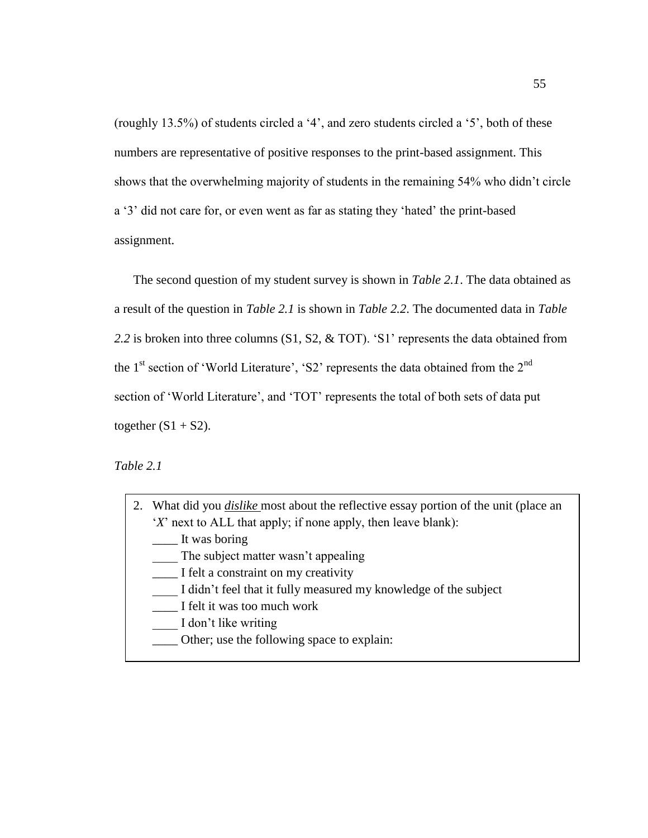(roughly 13.5%) of students circled a  $4'$ , and zero students circled a  $5'$ , both of these numbers are representative of positive responses to the print-based assignment. This shows that the overwhelming majority of students in the remaining 54% who didn't circle a '3' did not care for, or even went as far as stating they 'hated' the print-based assignment.

The second question of my student survey is shown in *Table 2.1*. The data obtained as a result of the question in *Table 2.1* is shown in *Table 2.2*. The documented data in *Table*  2.2 is broken into three columns (S1, S2, & TOT). 'S1' represents the data obtained from the  $1<sup>st</sup>$  section of 'World Literature', 'S2' represents the data obtained from the  $2<sup>nd</sup>$ section of 'World Literature', and 'TOT' represents the total of both sets of data put together  $(S1 + S2)$ .

*Table 2.1*

2. What did you *dislike* most about the reflective essay portion of the unit (place an ‗*X*' next to ALL that apply; if none apply, then leave blank): It was boring The subject matter wasn't appealing \_\_\_\_ I felt a constraint on my creativity I didn't feel that it fully measured my knowledge of the subject \_\_\_\_ I felt it was too much work I don't like writing Other; use the following space to explain: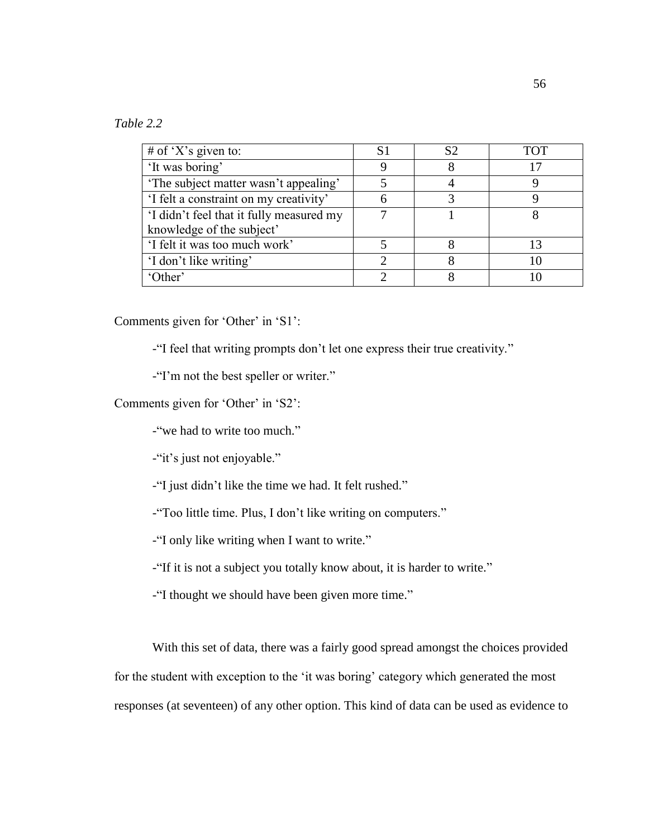## *Table 2.2*

| # of 'X's given to:                      | S1 | S2 | TOT |
|------------------------------------------|----|----|-----|
| 'It was boring'                          |    |    |     |
| 'The subject matter wasn't appealing'    |    |    |     |
| 'I felt a constraint on my creativity'   |    |    |     |
| 'I didn't feel that it fully measured my |    |    |     |
| knowledge of the subject'                |    |    |     |
| 'I felt it was too much work'            |    |    |     |
| 'I don't like writing'                   |    |    |     |
| 'Other'                                  |    |    |     |

Comments given for 'Other' in 'S1':

-"I feel that writing prompts don't let one express their true creativity."

-"I'm not the best speller or writer."

Comments given for 'Other' in 'S2':

-"we had to write too much."

-"it's just not enjoyable."

-"I just didn't like the time we had. It felt rushed."

- "Too little time. Plus, I don't like writing on computers."

-"I only like writing when I want to write."

-"If it is not a subject you totally know about, it is harder to write."

-"I thought we should have been given more time."

With this set of data, there was a fairly good spread amongst the choices provided for the student with exception to the 'it was boring' category which generated the most responses (at seventeen) of any other option. This kind of data can be used as evidence to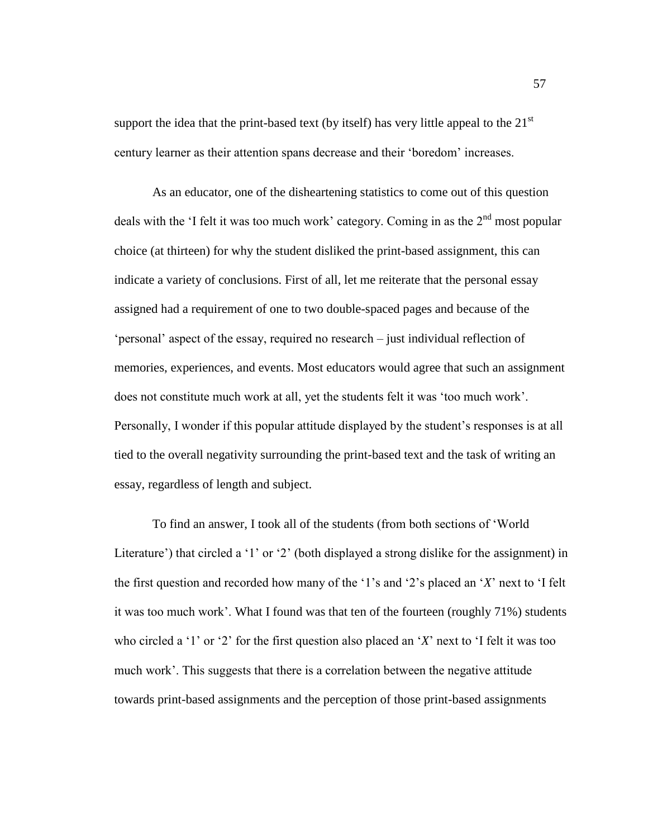support the idea that the print-based text (by itself) has very little appeal to the  $21<sup>st</sup>$ century learner as their attention spans decrease and their 'boredom' increases.

As an educator, one of the disheartening statistics to come out of this question deals with the  $\mathcal{I}$  felt it was too much work' category. Coming in as the  $2^{nd}$  most popular choice (at thirteen) for why the student disliked the print-based assignment, this can indicate a variety of conclusions. First of all, let me reiterate that the personal essay assigned had a requirement of one to two double-spaced pages and because of the ‗personal' aspect of the essay, required no research – just individual reflection of memories, experiences, and events. Most educators would agree that such an assignment does not constitute much work at all, yet the students felt it was 'too much work'. Personally, I wonder if this popular attitude displayed by the student's responses is at all tied to the overall negativity surrounding the print-based text and the task of writing an essay, regardless of length and subject.

To find an answer, I took all of the students (from both sections of 'World Literature') that circled a '1' or '2' (both displayed a strong dislike for the assignment) in the first question and recorded how many of the  $1$ 's and  $2$ 's placed an  $X'$  next to  $Y$  felt it was too much work'. What I found was that ten of the fourteen (roughly 71%) students who circled a '1' or '2' for the first question also placed an 'X' next to 'I felt it was too much work'. This suggests that there is a correlation between the negative attitude towards print-based assignments and the perception of those print-based assignments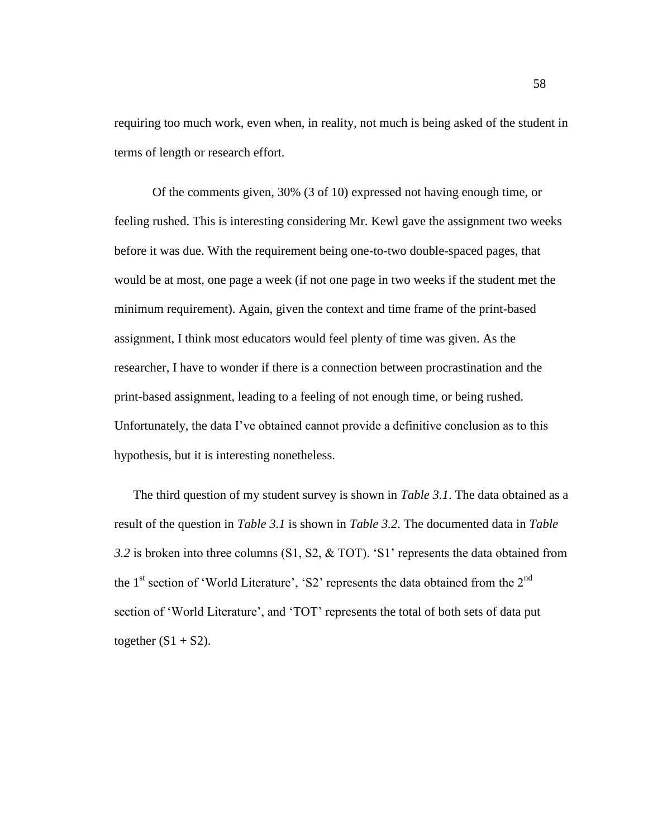requiring too much work, even when, in reality, not much is being asked of the student in terms of length or research effort.

Of the comments given, 30% (3 of 10) expressed not having enough time, or feeling rushed. This is interesting considering Mr. Kewl gave the assignment two weeks before it was due. With the requirement being one-to-two double-spaced pages, that would be at most, one page a week (if not one page in two weeks if the student met the minimum requirement). Again, given the context and time frame of the print-based assignment, I think most educators would feel plenty of time was given. As the researcher, I have to wonder if there is a connection between procrastination and the print-based assignment, leading to a feeling of not enough time, or being rushed. Unfortunately, the data I've obtained cannot provide a definitive conclusion as to this hypothesis, but it is interesting nonetheless.

The third question of my student survey is shown in *Table 3.1*. The data obtained as a result of the question in *Table 3.1* is shown in *Table 3.2*. The documented data in *Table*  3.2 is broken into three columns (S1, S2, & TOT). 'S1' represents the data obtained from the  $1<sup>st</sup>$  section of 'World Literature', 'S2' represents the data obtained from the  $2<sup>nd</sup>$ section of 'World Literature', and 'TOT' represents the total of both sets of data put together  $(S1 + S2)$ .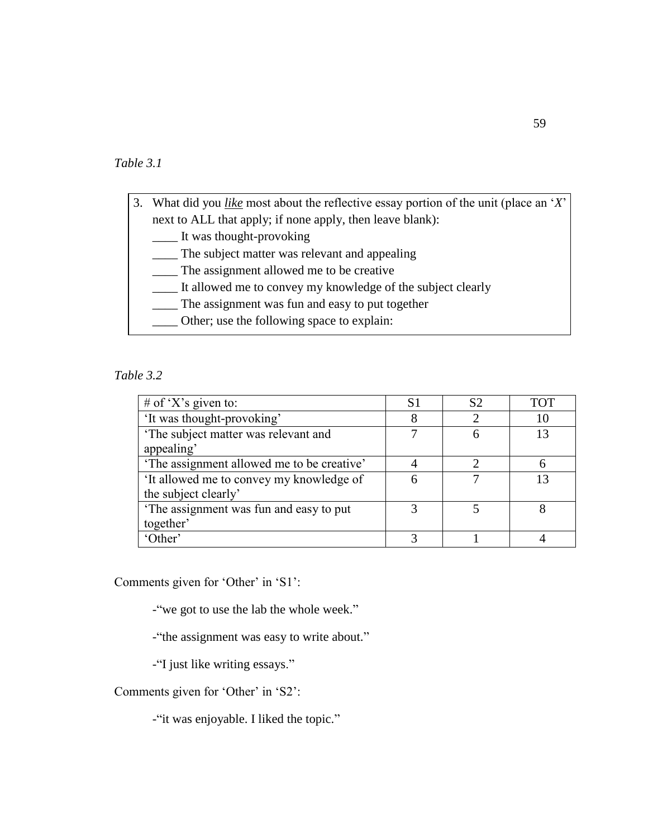# *Table 3.1*

- 3. What did you *like* most about the reflective essay portion of the unit (place an ‗*X*' next to ALL that apply; if none apply, then leave blank): \_\_\_\_ It was thought-provoking
	- \_\_\_\_ The subject matter was relevant and appealing
	- \_\_\_\_ The assignment allowed me to be creative
	- It allowed me to convey my knowledge of the subject clearly
	- The assignment was fun and easy to put together
	- Other; use the following space to explain:

## *Table 3.2*

| # of 'X's given to:                        | S1 | S2 | TOT |
|--------------------------------------------|----|----|-----|
| 'It was thought-provoking'                 |    |    |     |
| The subject matter was relevant and        |    |    | 13  |
| appealing'                                 |    |    |     |
| 'The assignment allowed me to be creative' |    |    |     |
| It allowed me to convey my knowledge of    |    |    |     |
| the subject clearly'                       |    |    |     |
| The assignment was fun and easy to put     | 2  |    |     |
| together'                                  |    |    |     |
| 'Other'                                    |    |    |     |

Comments given for 'Other' in 'S1':

-"we got to use the lab the whole week."

-"the assignment was easy to write about."

-"I just like writing essays."

Comments given for 'Other' in 'S2':

-"it was enjoyable. I liked the topic."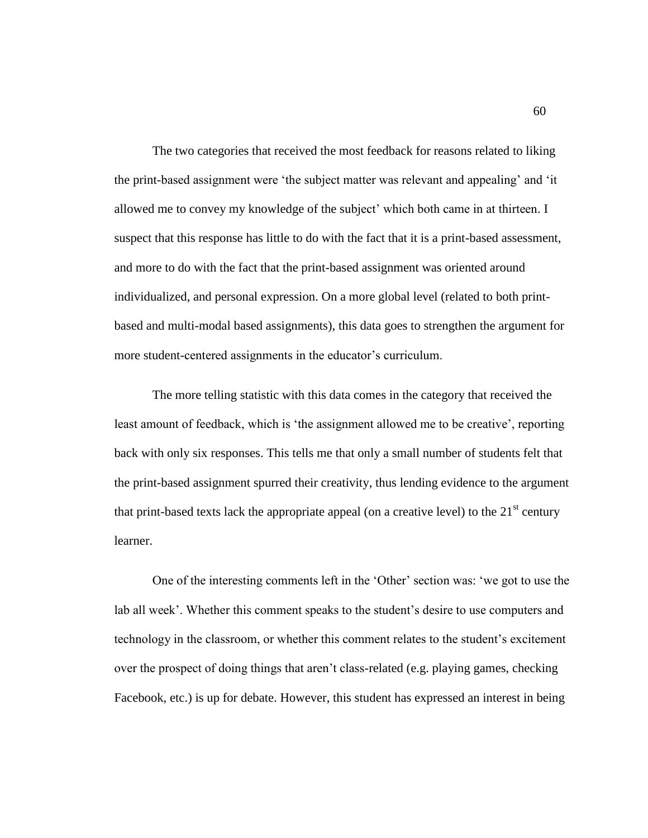The two categories that received the most feedback for reasons related to liking the print-based assignment were 'the subject matter was relevant and appealing' and 'it allowed me to convey my knowledge of the subject' which both came in at thirteen. I suspect that this response has little to do with the fact that it is a print-based assessment, and more to do with the fact that the print-based assignment was oriented around individualized, and personal expression. On a more global level (related to both printbased and multi-modal based assignments), this data goes to strengthen the argument for more student-centered assignments in the educator's curriculum.

The more telling statistic with this data comes in the category that received the least amount of feedback, which is 'the assignment allowed me to be creative', reporting back with only six responses. This tells me that only a small number of students felt that the print-based assignment spurred their creativity, thus lending evidence to the argument that print-based texts lack the appropriate appeal (on a creative level) to the  $21<sup>st</sup>$  century learner.

One of the interesting comments left in the 'Other' section was: 'we got to use the lab all week'. Whether this comment speaks to the student's desire to use computers and technology in the classroom, or whether this comment relates to the student's excitement over the prospect of doing things that aren't class-related (e.g. playing games, checking Facebook, etc.) is up for debate. However, this student has expressed an interest in being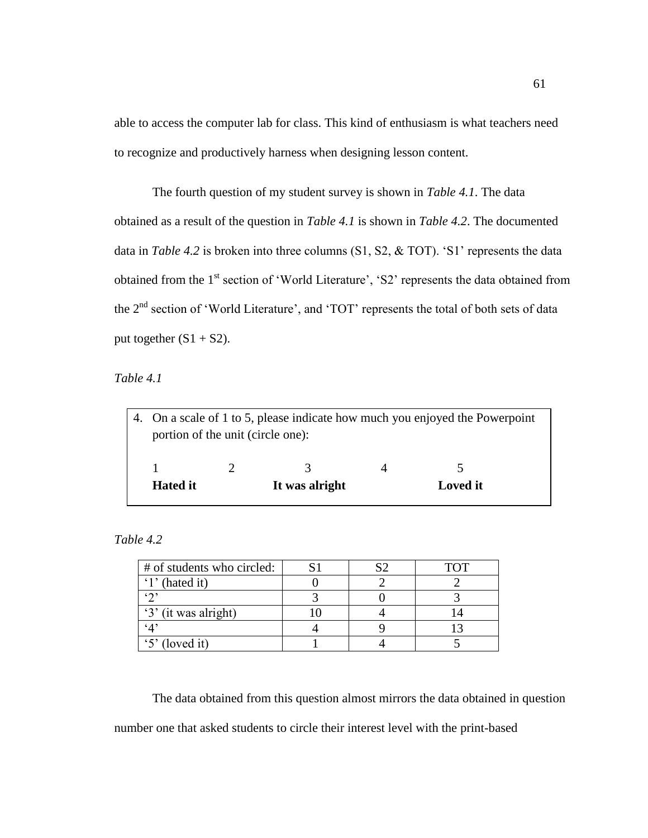able to access the computer lab for class. This kind of enthusiasm is what teachers need to recognize and productively harness when designing lesson content.

The fourth question of my student survey is shown in *Table 4.1*. The data obtained as a result of the question in *Table 4.1* is shown in *Table 4.2*. The documented data in *Table 4.2* is broken into three columns  $(S1, S2, & TOT)$ .  $'S1'$  represents the data obtained from the 1<sup>st</sup> section of 'World Literature', 'S2' represents the data obtained from the  $2<sup>nd</sup>$  section of 'World Literature', and 'TOT' represents the total of both sets of data put together  $(S1 + S2)$ .

*Table 4.1*

|                      | 4. On a scale of 1 to 5, please indicate how much you enjoyed the Powerpoint<br>portion of the unit (circle one): |                                 |  |          |  |  |
|----------------------|-------------------------------------------------------------------------------------------------------------------|---------------------------------|--|----------|--|--|
| 1<br><b>Hated</b> it |                                                                                                                   | $\mathcal{R}$<br>It was alright |  | Loved it |  |  |

| # of students who circled: |  |  |
|----------------------------|--|--|
| '1' (hated it)             |  |  |
| 52                         |  |  |
| '3' (it was alright)       |  |  |
|                            |  |  |
| '5' (loved it)             |  |  |

The data obtained from this question almost mirrors the data obtained in question number one that asked students to circle their interest level with the print-based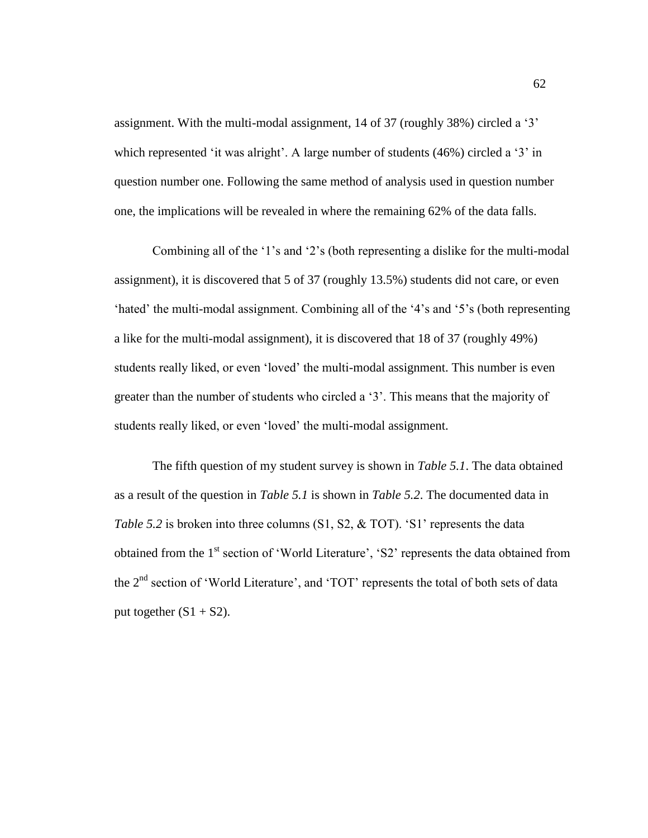assignment. With the multi-modal assignment,  $14$  of  $37$  (roughly  $38\%$ ) circled a  $3'$ which represented 'it was alright'. A large number of students  $(46%)$  circled a '3' in question number one. Following the same method of analysis used in question number one, the implications will be revealed in where the remaining 62% of the data falls.

Combining all of the '1's and '2's (both representing a dislike for the multi-modal assignment), it is discovered that 5 of 37 (roughly 13.5%) students did not care, or even 'hated' the multi-modal assignment. Combining all of the '4's and '5's (both representing a like for the multi-modal assignment), it is discovered that 18 of 37 (roughly 49%) students really liked, or even 'loved' the multi-modal assignment. This number is even greater than the number of students who circled a '3'. This means that the majority of students really liked, or even 'loved' the multi-modal assignment.

The fifth question of my student survey is shown in *Table 5.1*. The data obtained as a result of the question in *Table 5.1* is shown in *Table 5.2*. The documented data in *Table 5.2* is broken into three columns (S1, S2, & TOT). 'S1' represents the data obtained from the 1<sup>st</sup> section of 'World Literature', 'S2' represents the data obtained from the  $2<sup>nd</sup>$  section of 'World Literature', and 'TOT' represents the total of both sets of data put together  $(S1 + S2)$ .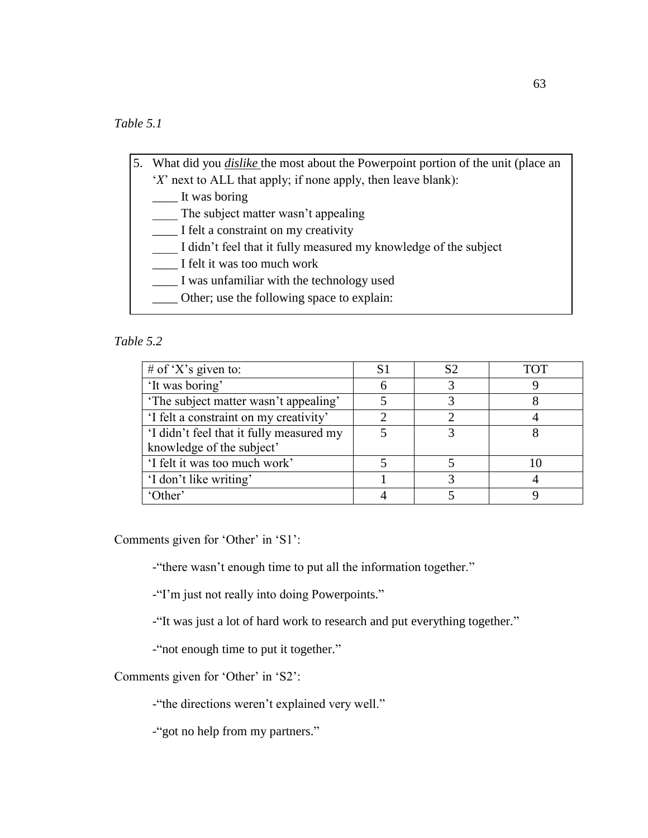# *Table 5.1*

- 5. What did you *dislike* the most about the Powerpoint portion of the unit (place an ‗*X*' next to ALL that apply; if none apply, then leave blank): It was boring
	- The subject matter wasn't appealing
	- \_\_\_\_ I felt a constraint on my creativity
	- I didn't feel that it fully measured my knowledge of the subject
	- \_\_\_\_ I felt it was too much work
	- \_\_\_\_ I was unfamiliar with the technology used
	- Other; use the following space to explain:

#### *Table 5.2*

| # of 'X's given to:                      | S1 | S2 | TOT |
|------------------------------------------|----|----|-----|
| 'It was boring'                          |    |    |     |
| 'The subject matter wasn't appealing'    |    |    |     |
| 'I felt a constraint on my creativity'   |    |    |     |
| 'I didn't feel that it fully measured my |    |    |     |
| knowledge of the subject'                |    |    |     |
| 'I felt it was too much work'            |    |    |     |
| 'I don't like writing'                   |    |    |     |
| 'Other'                                  |    |    |     |

Comments given for 'Other' in 'S1':

-"there wasn't enough time to put all the information together."

-"I'm just not really into doing Powerpoints."

-"It was just a lot of hard work to research and put everything together."

-"not enough time to put it together."

Comments given for 'Other' in 'S2':

-"the directions weren't explained very well."

-"got no help from my partners."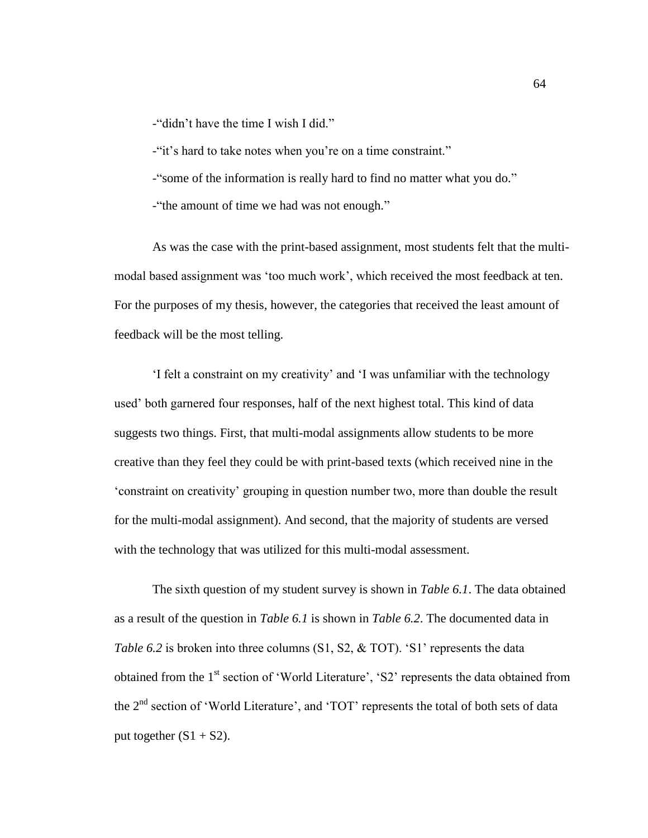-"didn't have the time I wish I did."

-"it's hard to take notes when you're on a time constraint."

-"some of the information is really hard to find no matter what you do."

-"the amount of time we had was not enough."

As was the case with the print-based assignment, most students felt that the multimodal based assignment was 'too much work', which received the most feedback at ten. For the purposes of my thesis, however, the categories that received the least amount of feedback will be the most telling.

‗I felt a constraint on my creativity' and ‗I was unfamiliar with the technology used' both garnered four responses, half of the next highest total. This kind of data suggests two things. First, that multi-modal assignments allow students to be more creative than they feel they could be with print-based texts (which received nine in the ‗constraint on creativity' grouping in question number two, more than double the result for the multi-modal assignment). And second, that the majority of students are versed with the technology that was utilized for this multi-modal assessment.

The sixth question of my student survey is shown in *Table 6.1*. The data obtained as a result of the question in *Table 6.1* is shown in *Table 6.2*. The documented data in *Table 6.2* is broken into three columns  $(S1, S2, \& TOT)$ . 'S1' represents the data obtained from the 1<sup>st</sup> section of 'World Literature', 'S2' represents the data obtained from the  $2<sup>nd</sup>$  section of 'World Literature', and 'TOT' represents the total of both sets of data put together  $(S1 + S2)$ .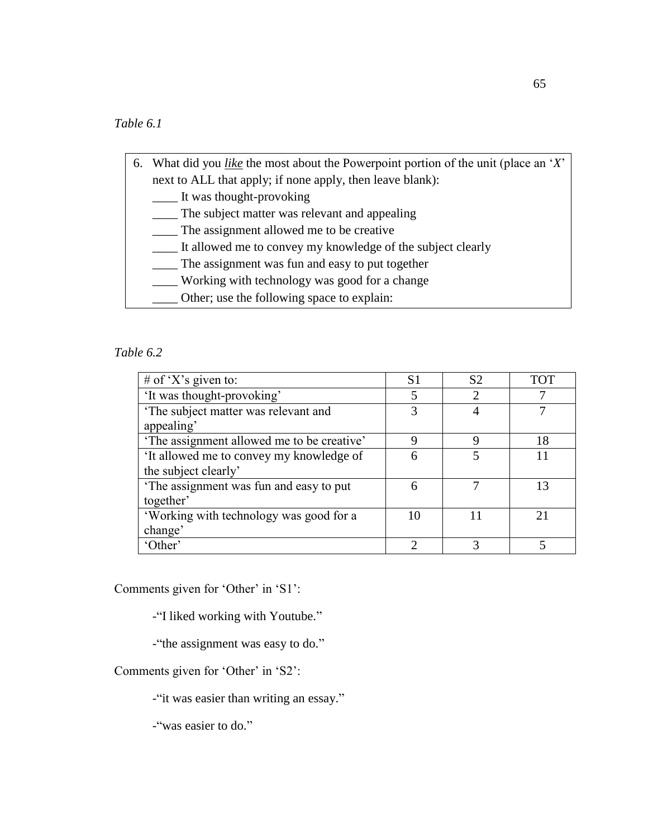# *Table 6.1*

| 6. What did you <i>like</i> the most about the Powerpoint portion of the unit (place an 'X' |  |  |  |  |
|---------------------------------------------------------------------------------------------|--|--|--|--|
| next to ALL that apply; if none apply, then leave blank):                                   |  |  |  |  |
| It was thought-provoking                                                                    |  |  |  |  |
| The subject matter was relevant and appealing                                               |  |  |  |  |
| The assignment allowed me to be creative.                                                   |  |  |  |  |
| It allowed me to convey my knowledge of the subject clearly                                 |  |  |  |  |
| The assignment was fun and easy to put together                                             |  |  |  |  |
| Working with technology was good for a change                                               |  |  |  |  |
| Other; use the following space to explain:                                                  |  |  |  |  |

# *Table 6.2*

| # of 'X's given to:                        | S <sub>1</sub> | S <sub>2</sub> | TOT |
|--------------------------------------------|----------------|----------------|-----|
| 'It was thought-provoking'                 |                | $\mathfrak{D}$ |     |
| The subject matter was relevant and        |                |                |     |
| appealing'                                 |                |                |     |
| 'The assignment allowed me to be creative' | 9              | 9              | 18  |
| It allowed me to convey my knowledge of    | 6              | 5              |     |
| the subject clearly'                       |                |                |     |
| The assignment was fun and easy to put     | 6              |                | 13  |
| together'                                  |                |                |     |
| 'Working with technology was good for a    | 10             | 11             | 21  |
| change'                                    |                |                |     |
| 'Other'                                    |                |                |     |

Comments given for 'Other' in 'S1':

-"I liked working with Youtube."

-"the assignment was easy to do."

Comments given for 'Other' in 'S2':

-"it was easier than writing an essay."

-"was easier to do."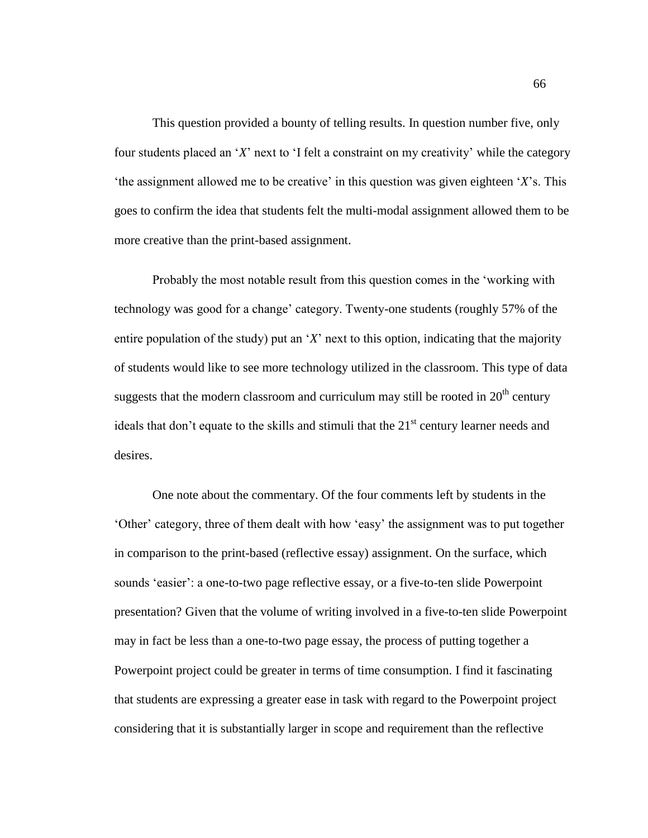This question provided a bounty of telling results. In question number five, only four students placed an 'X' next to 'I felt a constraint on my creativity' while the category ‗the assignment allowed me to be creative' in this question was given eighteen ‗*X*'s. This goes to confirm the idea that students felt the multi-modal assignment allowed them to be more creative than the print-based assignment.

Probably the most notable result from this question comes in the 'working with technology was good for a change' category. Twenty-one students (roughly 57% of the entire population of the study) put an  $X'$  next to this option, indicating that the majority of students would like to see more technology utilized in the classroom. This type of data suggests that the modern classroom and curriculum may still be rooted in  $20<sup>th</sup>$  century ideals that don't equate to the skills and stimuli that the  $21<sup>st</sup>$  century learner needs and desires.

One note about the commentary. Of the four comments left by students in the ‗Other' category, three of them dealt with how ‗easy' the assignment was to put together in comparison to the print-based (reflective essay) assignment. On the surface, which sounds ‗easier': a one-to-two page reflective essay, or a five-to-ten slide Powerpoint presentation? Given that the volume of writing involved in a five-to-ten slide Powerpoint may in fact be less than a one-to-two page essay, the process of putting together a Powerpoint project could be greater in terms of time consumption. I find it fascinating that students are expressing a greater ease in task with regard to the Powerpoint project considering that it is substantially larger in scope and requirement than the reflective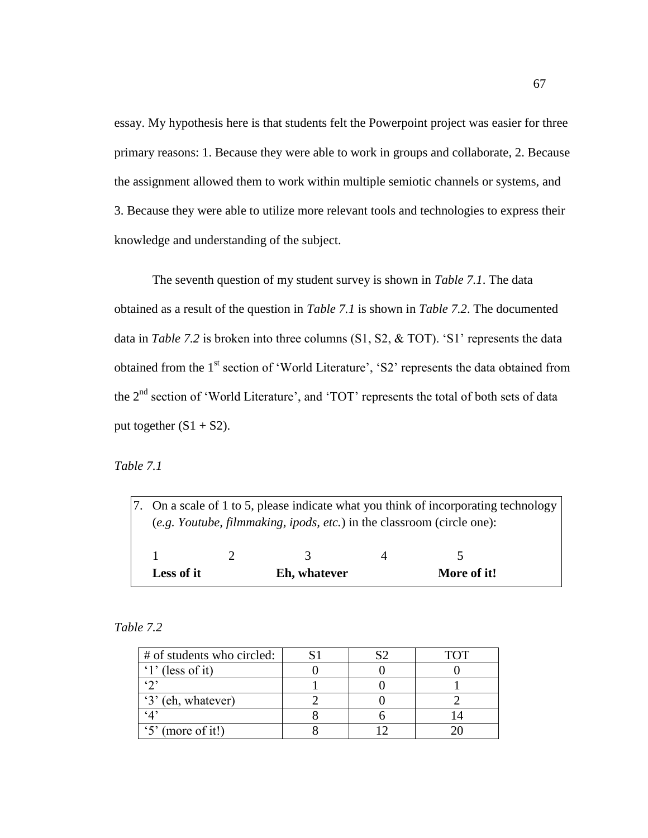essay. My hypothesis here is that students felt the Powerpoint project was easier for three primary reasons: 1. Because they were able to work in groups and collaborate, 2. Because the assignment allowed them to work within multiple semiotic channels or systems, and 3. Because they were able to utilize more relevant tools and technologies to express their knowledge and understanding of the subject.

The seventh question of my student survey is shown in *Table 7.1*. The data obtained as a result of the question in *Table 7.1* is shown in *Table 7.2*. The documented data in *Table 7.2* is broken into three columns  $(S1, S2, \& TOT)$ .  $'S1'$  represents the data obtained from the 1<sup>st</sup> section of 'World Literature', 'S2' represents the data obtained from the 2<sup>nd</sup> section of 'World Literature', and 'TOT' represents the total of both sets of data put together  $(S1 + S2)$ .

*Table 7.1*

| Less of it                                                             |                                                                                     | Eh, whatever |  | More of it! |  |
|------------------------------------------------------------------------|-------------------------------------------------------------------------------------|--------------|--|-------------|--|
|                                                                        |                                                                                     |              |  |             |  |
| (e.g. Youtube, filmmaking, ipods, etc.) in the classroom (circle one): |                                                                                     |              |  |             |  |
|                                                                        | 7. On a scale of 1 to 5, please indicate what you think of incorporating technology |              |  |             |  |

#### *Table 7.2*

| # of students who circled:  |  |  |
|-----------------------------|--|--|
| $\lq$ (less of it)          |  |  |
| $\sim$                      |  |  |
| '3' (eh, whatever)          |  |  |
|                             |  |  |
| $\mathcal{F}$ (more of it!) |  |  |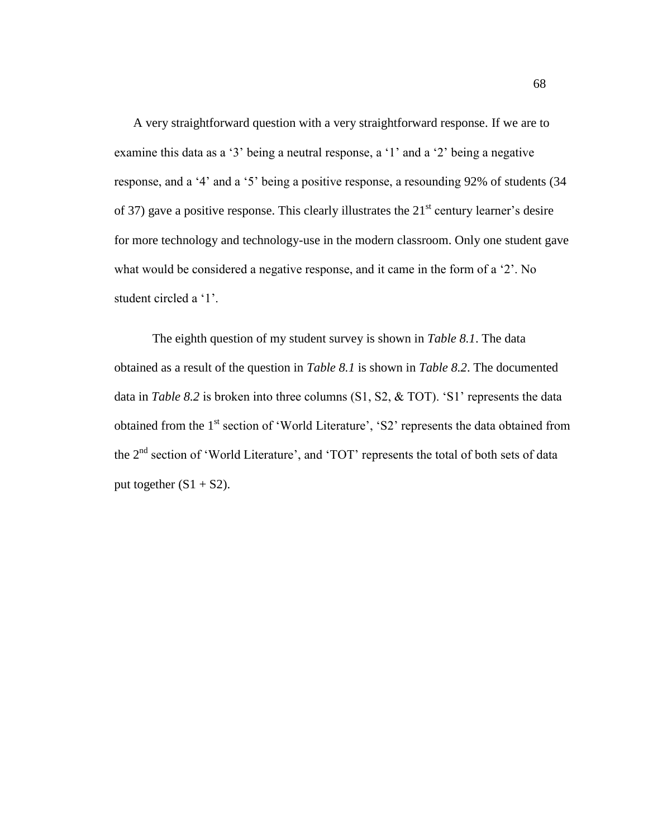A very straightforward question with a very straightforward response. If we are to examine this data as a '3' being a neutral response, a '1' and a '2' being a negative response, and a '4' and a '5' being a positive response, a resounding 92% of students (34) of 37) gave a positive response. This clearly illustrates the  $21<sup>st</sup>$  century learner's desire for more technology and technology-use in the modern classroom. Only one student gave what would be considered a negative response, and it came in the form of a '2'. No student circled a '1'.

The eighth question of my student survey is shown in *Table 8.1*. The data obtained as a result of the question in *Table 8.1* is shown in *Table 8.2*. The documented data in *Table 8.2* is broken into three columns  $(S1, S2, & TOT)$ . 'S1' represents the data obtained from the 1<sup>st</sup> section of 'World Literature', 'S2' represents the data obtained from the 2<sup>nd</sup> section of 'World Literature', and 'TOT' represents the total of both sets of data put together  $(S1 + S2)$ .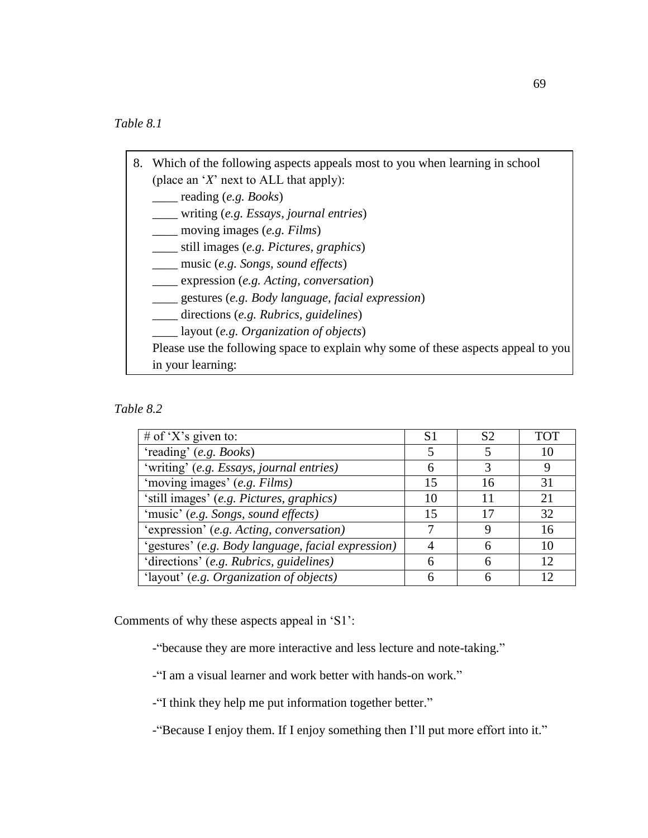| 8. | Which of the following aspects appeals most to you when learning in school        |
|----|-----------------------------------------------------------------------------------|
|    | (place an 'X' next to ALL that apply):                                            |
|    | reading ( <i>e.g. Books</i> )                                                     |
|    | $\equiv$ writing (e.g. Essays, journal entries)                                   |
|    | moving images $(e.g. \textit{Films})$                                             |
|    | still images ( <i>e.g. Pictures</i> , <i>graphics</i> )                           |
|    | music (e.g. Songs, sound effects)                                                 |
|    | expression (e.g. Acting, conversation)                                            |
|    | gestures (e.g. Body language, facial expression)                                  |
|    | directions (e.g. Rubrics, guidelines)                                             |
|    | layout (e.g. Organization of objects)                                             |
|    | Please use the following space to explain why some of these aspects appeal to you |
|    | in your learning:                                                                 |
|    |                                                                                   |

# *Table 8.2*

| # of 'X's given to:                                | S1 | S <sub>2</sub> | <b>TOT</b> |
|----------------------------------------------------|----|----------------|------------|
| 'reading' (e.g. Books)                             |    |                | 10         |
| 'writing' (e.g. Essays, journal entries)           | 6  |                | 9          |
| 'moving images' (e.g. Films)                       | 15 | 16             | 31         |
| 'still images' (e.g. Pictures, graphics)           | 10 | 11             | 21         |
| 'music' (e.g. Songs, sound effects)                | 15 | 17             | 32         |
| 'expression' (e.g. Acting, conversation)           |    | 9              | 16         |
| 'gestures' (e.g. Body language, facial expression) |    |                | 10         |
| 'directions' (e.g. Rubrics, guidelines)            | 6  |                | 12         |
| 'layout' (e.g. Organization of objects)            |    |                | 12         |

Comments of why these aspects appeal in 'S1':

-"because they are more interactive and less lecture and note-taking."

-"I am a visual learner and work better with hands-on work."

-"I think they help me put information together better."

-"Because I enjoy them. If I enjoy something then I'll put more effort into it."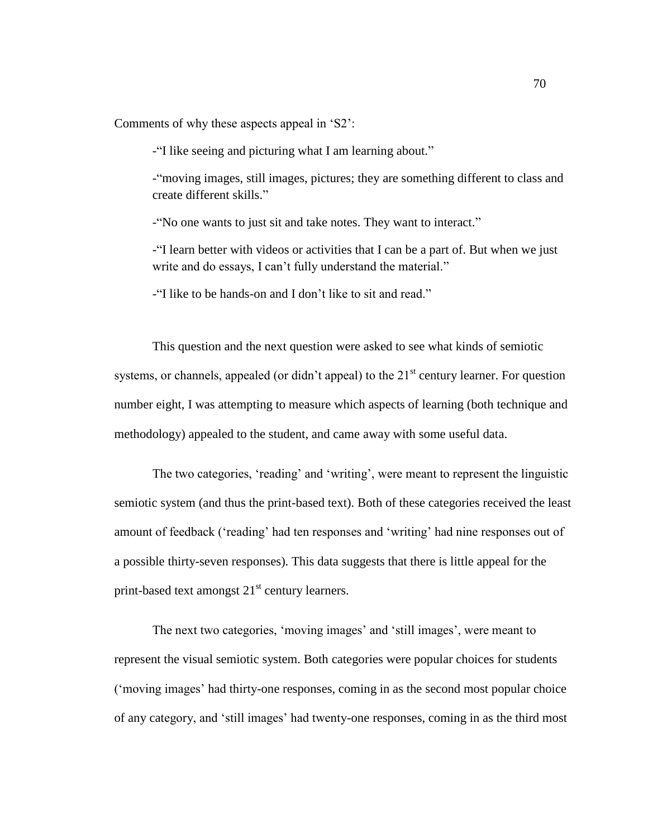Comments of why these aspects appeal in  $S2$ :

-"I like seeing and picturing what I am learning about."

- "moving images, still images, pictures; they are something different to class and create different skills."

-"No one wants to just sit and take notes. They want to interact."

-"I learn better with videos or activities that I can be a part of. But when we just write and do essays, I can't fully understand the material."

-"I like to be hands-on and I don't like to sit and read."

This question and the next question were asked to see what kinds of semiotic systems, or channels, appealed (or didn't appeal) to the  $21<sup>st</sup>$  century learner. For question number eight, I was attempting to measure which aspects of learning (both technique and methodology) appealed to the student, and came away with some useful data.

The two categories, 'reading' and 'writing', were meant to represent the linguistic semiotic system (and thus the print-based text). Both of these categories received the least amount of feedback ('reading' had ten responses and 'writing' had nine responses out of a possible thirty-seven responses). This data suggests that there is little appeal for the print-based text amongst  $21<sup>st</sup>$  century learners.

The next two categories, 'moving images' and 'still images', were meant to represent the visual semiotic system. Both categories were popular choices for students (‗moving images' had thirty-one responses, coming in as the second most popular choice of any category, and ‗still images' had twenty-one responses, coming in as the third most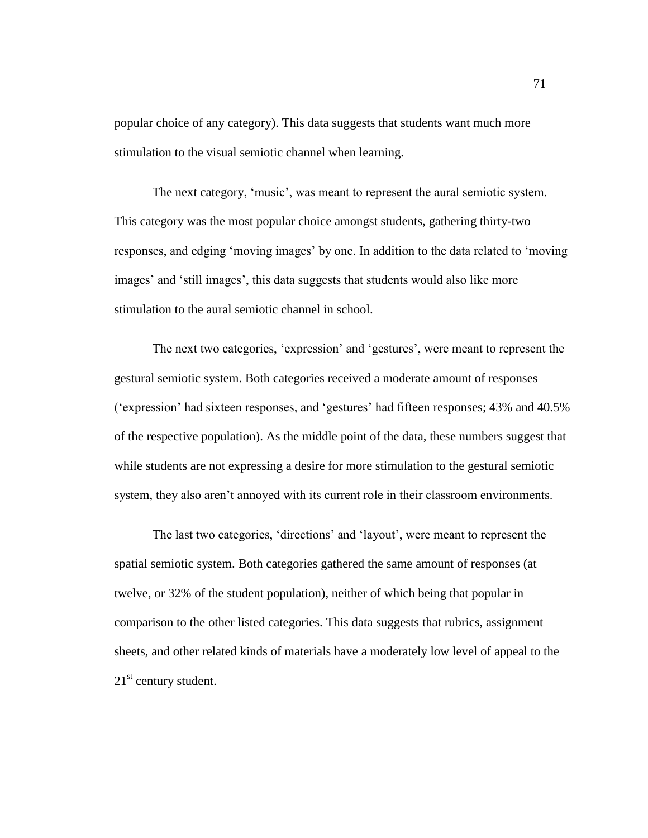popular choice of any category). This data suggests that students want much more stimulation to the visual semiotic channel when learning.

The next category, 'music', was meant to represent the aural semiotic system. This category was the most popular choice amongst students, gathering thirty-two responses, and edging 'moving images' by one. In addition to the data related to 'moving images' and 'still images', this data suggests that students would also like more stimulation to the aural semiotic channel in school.

The next two categories, 'expression' and 'gestures', were meant to represent the gestural semiotic system. Both categories received a moderate amount of responses (‗expression' had sixteen responses, and ‗gestures' had fifteen responses; 43% and 40.5% of the respective population). As the middle point of the data, these numbers suggest that while students are not expressing a desire for more stimulation to the gestural semiotic system, they also aren't annoyed with its current role in their classroom environments.

The last two categories, 'directions' and 'layout', were meant to represent the spatial semiotic system. Both categories gathered the same amount of responses (at twelve, or 32% of the student population), neither of which being that popular in comparison to the other listed categories. This data suggests that rubrics, assignment sheets, and other related kinds of materials have a moderately low level of appeal to the  $21<sup>st</sup>$  century student.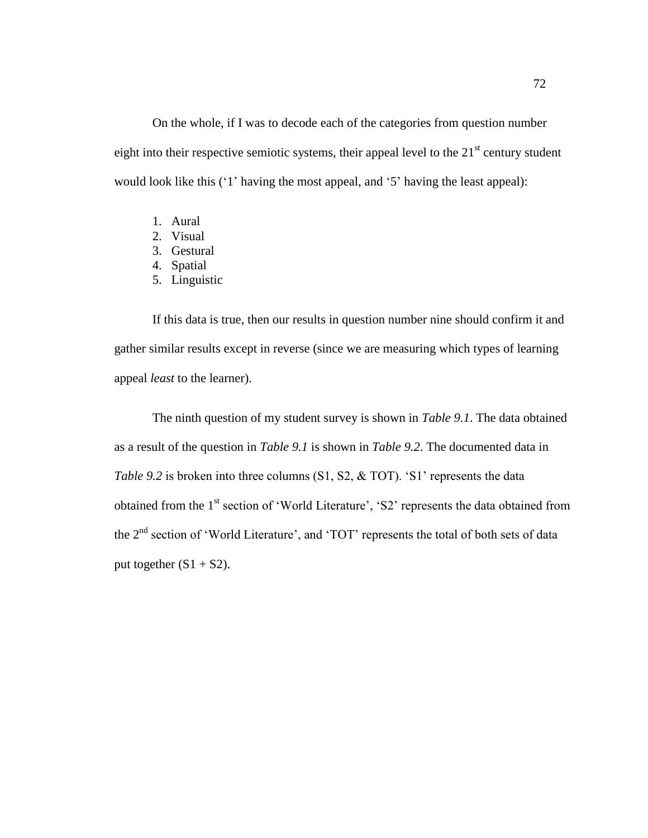On the whole, if I was to decode each of the categories from question number eight into their respective semiotic systems, their appeal level to the  $21<sup>st</sup>$  century student would look like this ('1' having the most appeal, and '5' having the least appeal):

- 1. Aural
- 2. Visual
- 3. Gestural
- 4. Spatial
- 5. Linguistic

 If this data is true, then our results in question number nine should confirm it and gather similar results except in reverse (since we are measuring which types of learning appeal *least* to the learner).

The ninth question of my student survey is shown in *Table 9.1*. The data obtained as a result of the question in *Table 9.1* is shown in *Table 9.2*. The documented data in *Table 9.2* is broken into three columns (S1, S2, & TOT). 'S1' represents the data obtained from the 1<sup>st</sup> section of 'World Literature', 'S2' represents the data obtained from the  $2<sup>nd</sup>$  section of 'World Literature', and 'TOT' represents the total of both sets of data put together  $(S1 + S2)$ .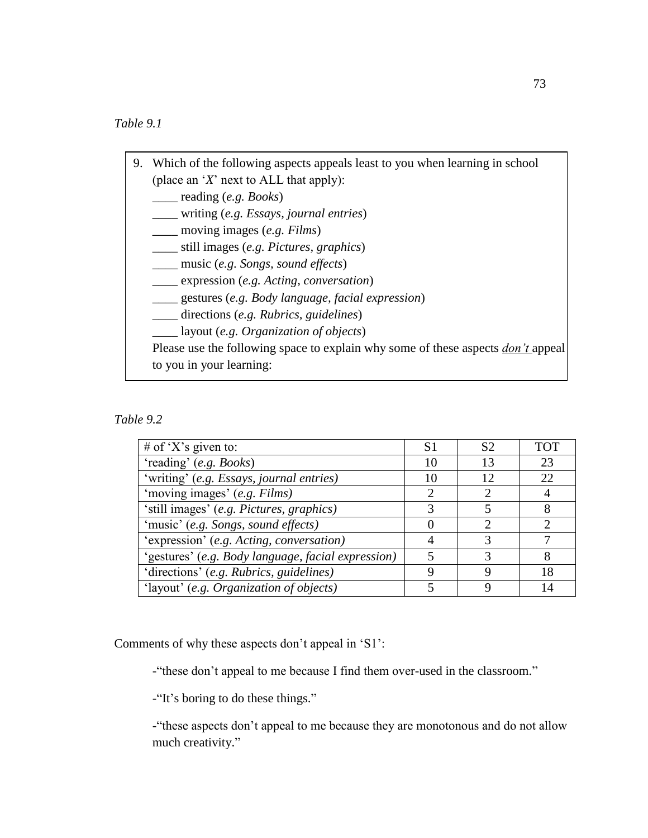| 9. | Which of the following aspects appeals least to you when learning in school             |
|----|-----------------------------------------------------------------------------------------|
|    | (place an 'X' next to ALL that apply):                                                  |
|    | reading ( <i>e.g. Books</i> )                                                           |
|    | writing (e.g. Essays, journal entries)                                                  |
|    | moving images $(e.g. \textit{Films})$                                                   |
|    | still images ( <i>e.g. Pictures, graphics</i> )                                         |
|    | music (e.g. Songs, sound effects)                                                       |
|    | expression (e.g. Acting, conversation)                                                  |
|    | gestures (e.g. Body language, facial expression)                                        |
|    | directions (e.g. Rubrics, guidelines)                                                   |
|    | layout (e.g. Organization of objects)                                                   |
|    | Please use the following space to explain why some of these aspects <i>don't</i> appeal |
|    | to you in your learning:                                                                |

# *Table 9.2*

| # of 'X's given to:                                | S1 | S2 | <b>TOT</b> |
|----------------------------------------------------|----|----|------------|
| 'reading' (e.g. Books)                             | 10 | 13 | 23         |
| 'writing' (e.g. Essays, journal entries)           | 10 | 12 | 22         |
| 'moving images' $(e.g. \textit{Films})$            |    |    |            |
| 'still images' (e.g. Pictures, graphics)           |    |    |            |
| 'music' (e.g. Songs, sound effects)                |    |    |            |
| 'expression' (e.g. Acting, conversation)           |    |    |            |
| 'gestures' (e.g. Body language, facial expression) |    |    |            |
| 'directions' (e.g. Rubrics, guidelines)            |    |    | 18         |
| 'layout' (e.g. Organization of objects)            |    |    | 14         |

Comments of why these aspects don't appeal in 'S1':

-"these don't appeal to me because I find them over-used in the classroom."

-"It's boring to do these things."

-"these aspects don't appeal to me because they are monotonous and do not allow much creativity."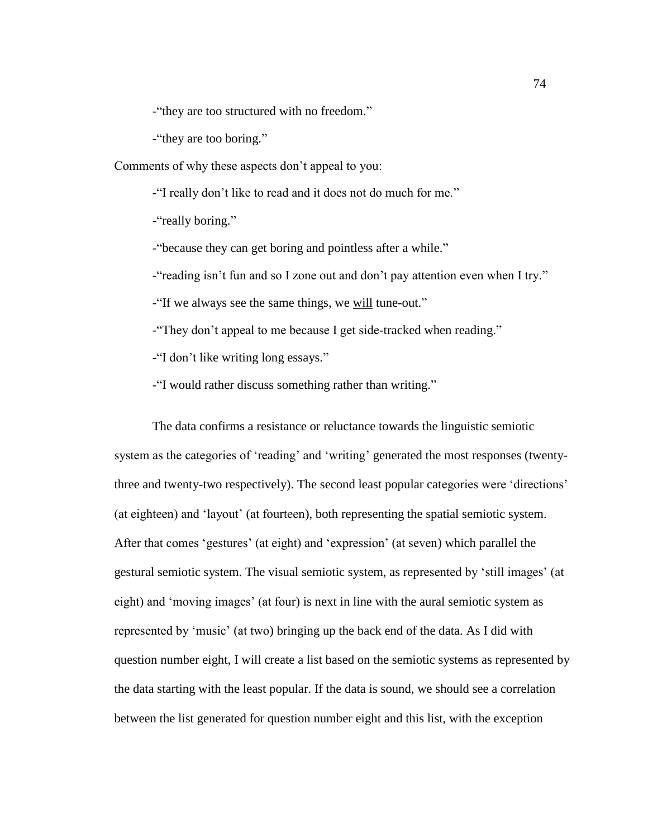-"they are too structured with no freedom."

- they are too boring."

Comments of why these aspects don't appeal to you:

-"I really don't like to read and it does not do much for me."

-"really boring."

- "because they can get boring and pointless after a while."

-"reading isn't fun and so I zone out and don't pay attention even when I try."

-"If we always see the same things, we will tune-out."

-"They don't appeal to me because I get side-tracked when reading."

-"I don't like writing long essays."

-"I would rather discuss something rather than writing."

The data confirms a resistance or reluctance towards the linguistic semiotic system as the categories of 'reading' and 'writing' generated the most responses (twentythree and twenty-two respectively). The second least popular categories were 'directions' (at eighteen) and ‗layout' (at fourteen), both representing the spatial semiotic system. After that comes 'gestures' (at eight) and 'expression' (at seven) which parallel the gestural semiotic system. The visual semiotic system, as represented by 'still images' (at eight) and 'moving images' (at four) is next in line with the aural semiotic system as represented by 'music' (at two) bringing up the back end of the data. As I did with question number eight, I will create a list based on the semiotic systems as represented by the data starting with the least popular. If the data is sound, we should see a correlation between the list generated for question number eight and this list, with the exception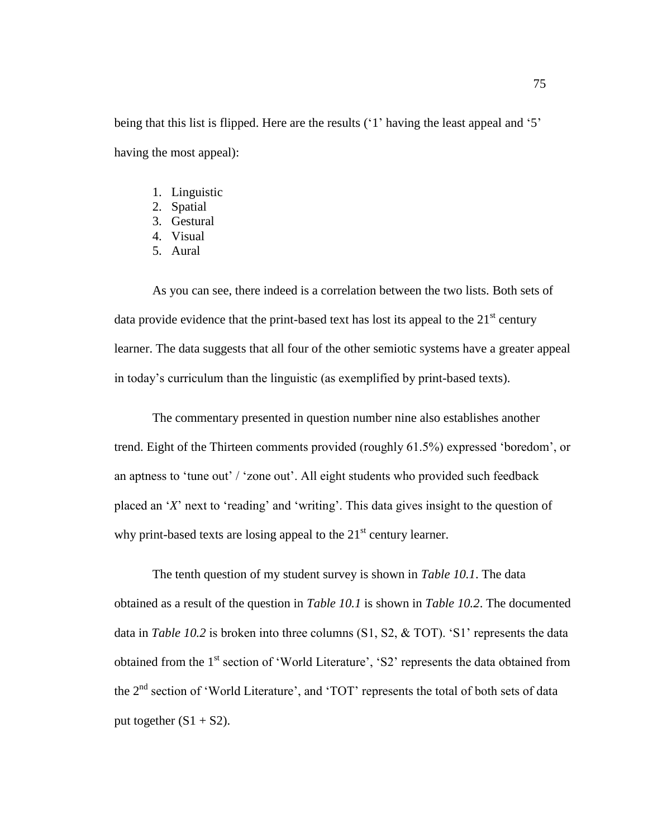being that this list is flipped. Here are the results  $(1)$  having the least appeal and  $\mathfrak{S}'$ having the most appeal):

- 1. Linguistic
- 2. Spatial
- 3. Gestural
- 4. Visual
- 5. Aural

 As you can see, there indeed is a correlation between the two lists. Both sets of data provide evidence that the print-based text has lost its appeal to the  $21<sup>st</sup>$  century learner. The data suggests that all four of the other semiotic systems have a greater appeal in today's curriculum than the linguistic (as exemplified by print-based texts).

The commentary presented in question number nine also establishes another trend. Eight of the Thirteen comments provided (roughly 61.5%) expressed 'boredom', or an aptness to 'tune out' / 'zone out'. All eight students who provided such feedback placed an '*X*' next to 'reading' and 'writing'. This data gives insight to the question of why print-based texts are losing appeal to the  $21<sup>st</sup>$  century learner.

The tenth question of my student survey is shown in *Table 10.1*. The data obtained as a result of the question in *Table 10.1* is shown in *Table 10.2*. The documented data in *Table 10.2* is broken into three columns  $(S1, S2, \& TOT)$ . 'S1' represents the data obtained from the 1<sup>st</sup> section of 'World Literature', 'S2' represents the data obtained from the 2<sup>nd</sup> section of 'World Literature', and 'TOT' represents the total of both sets of data put together  $(S1 + S2)$ .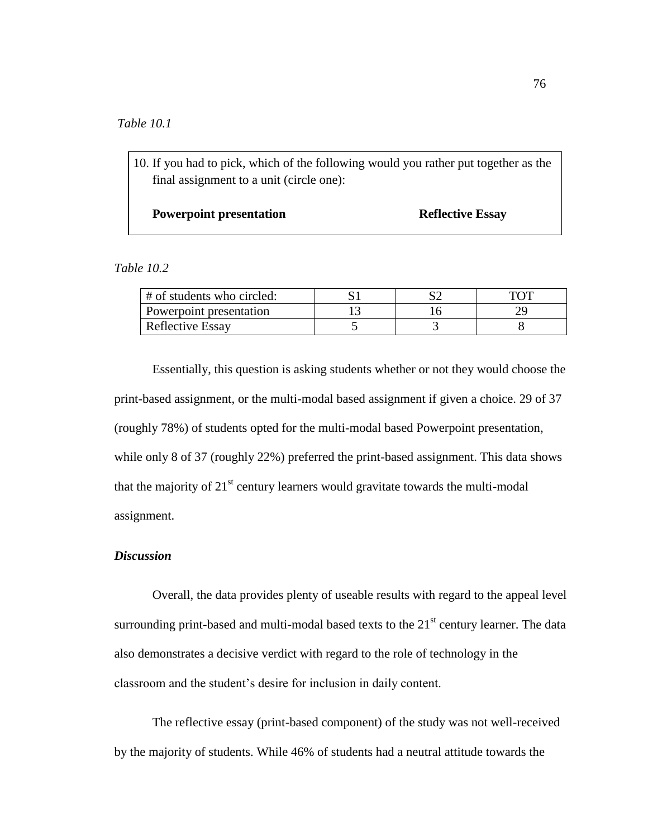# *Table 10.1*

| <b>Powerpoint presentation</b>                                                      | <b>Reflective Essay</b> |
|-------------------------------------------------------------------------------------|-------------------------|
| final assignment to a unit (circle one):                                            |                         |
| 10. If you had to pick, which of the following would you rather put together as the |                         |

## *Table 10.2*

| # of students who circled: |  |  |
|----------------------------|--|--|
| Powerpoint presentation    |  |  |
| <b>Reflective Essay</b>    |  |  |

Essentially, this question is asking students whether or not they would choose the print-based assignment, or the multi-modal based assignment if given a choice. 29 of 37 (roughly 78%) of students opted for the multi-modal based Powerpoint presentation, while only 8 of 37 (roughly 22%) preferred the print-based assignment. This data shows that the majority of  $21<sup>st</sup>$  century learners would gravitate towards the multi-modal assignment.

### *Discussion*

Overall, the data provides plenty of useable results with regard to the appeal level surrounding print-based and multi-modal based texts to the  $21<sup>st</sup>$  century learner. The data also demonstrates a decisive verdict with regard to the role of technology in the classroom and the student's desire for inclusion in daily content.

The reflective essay (print-based component) of the study was not well-received by the majority of students. While 46% of students had a neutral attitude towards the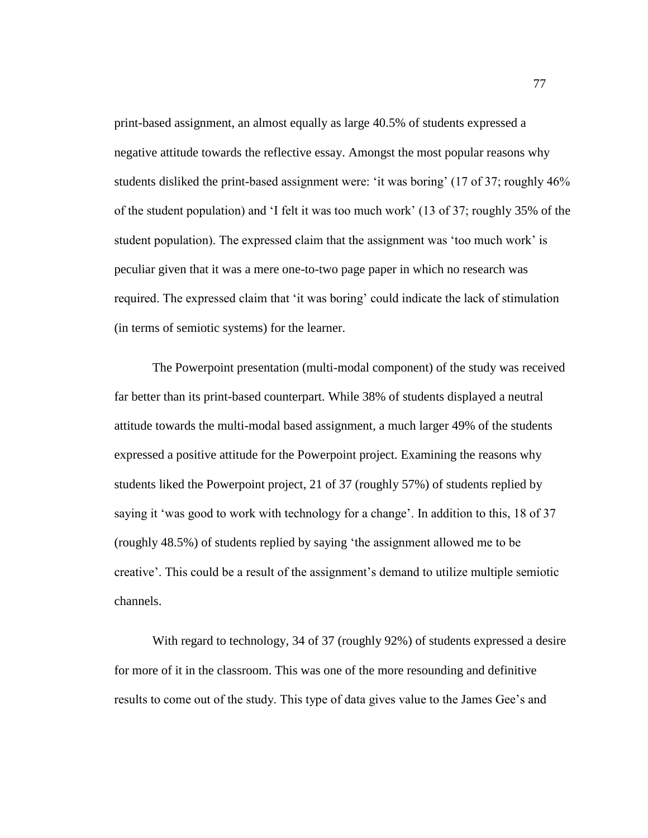print-based assignment, an almost equally as large 40.5% of students expressed a negative attitude towards the reflective essay. Amongst the most popular reasons why students disliked the print-based assignment were: 'it was boring' (17 of 37; roughly 46%) of the student population) and ‗I felt it was too much work' (13 of 37; roughly 35% of the student population). The expressed claim that the assignment was 'too much work' is peculiar given that it was a mere one-to-two page paper in which no research was required. The expressed claim that ‗it was boring' could indicate the lack of stimulation (in terms of semiotic systems) for the learner.

The Powerpoint presentation (multi-modal component) of the study was received far better than its print-based counterpart. While 38% of students displayed a neutral attitude towards the multi-modal based assignment, a much larger 49% of the students expressed a positive attitude for the Powerpoint project. Examining the reasons why students liked the Powerpoint project, 21 of 37 (roughly 57%) of students replied by saying it 'was good to work with technology for a change'. In addition to this, 18 of 37 (roughly 48.5%) of students replied by saying ‗the assignment allowed me to be creative'. This could be a result of the assignment's demand to utilize multiple semiotic channels.

With regard to technology, 34 of 37 (roughly 92%) of students expressed a desire for more of it in the classroom. This was one of the more resounding and definitive results to come out of the study. This type of data gives value to the James Gee's and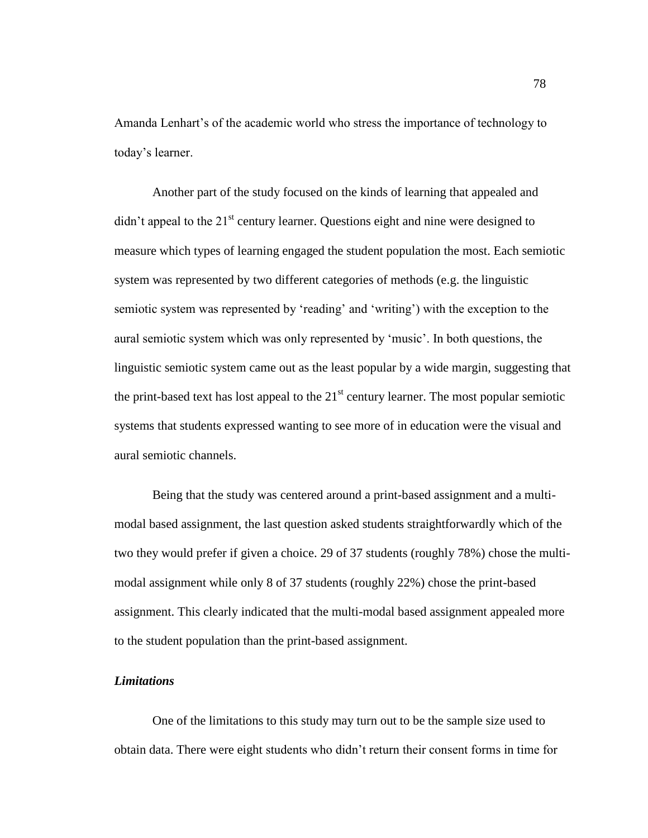Amanda Lenhart's of the academic world who stress the importance of technology to today's learner.

Another part of the study focused on the kinds of learning that appealed and didn't appeal to the  $21<sup>st</sup>$  century learner. Questions eight and nine were designed to measure which types of learning engaged the student population the most. Each semiotic system was represented by two different categories of methods (e.g. the linguistic semiotic system was represented by 'reading' and 'writing') with the exception to the aural semiotic system which was only represented by 'music'. In both questions, the linguistic semiotic system came out as the least popular by a wide margin, suggesting that the print-based text has lost appeal to the  $21<sup>st</sup>$  century learner. The most popular semiotic systems that students expressed wanting to see more of in education were the visual and aural semiotic channels.

Being that the study was centered around a print-based assignment and a multimodal based assignment, the last question asked students straightforwardly which of the two they would prefer if given a choice. 29 of 37 students (roughly 78%) chose the multimodal assignment while only 8 of 37 students (roughly 22%) chose the print-based assignment. This clearly indicated that the multi-modal based assignment appealed more to the student population than the print-based assignment.

# *Limitations*

One of the limitations to this study may turn out to be the sample size used to obtain data. There were eight students who didn't return their consent forms in time for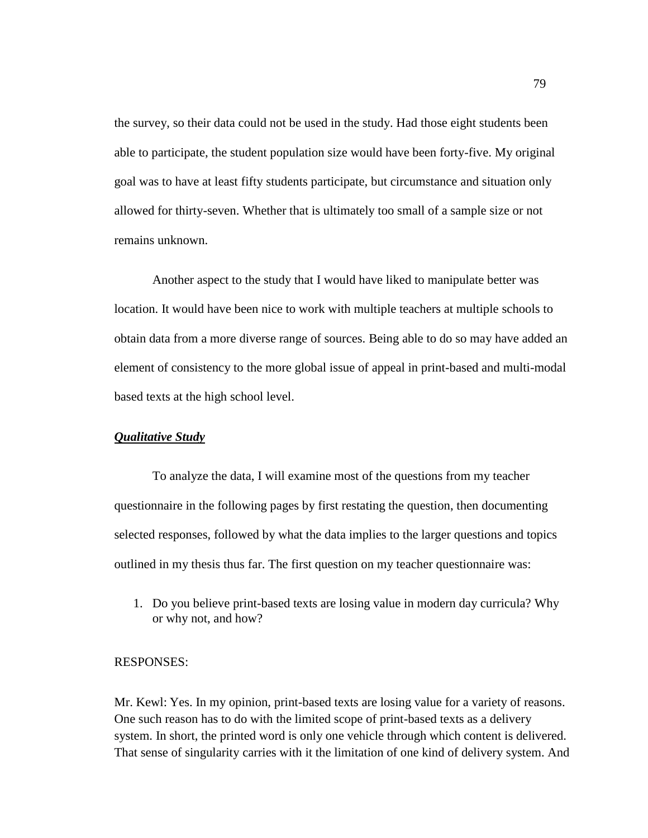the survey, so their data could not be used in the study. Had those eight students been able to participate, the student population size would have been forty-five. My original goal was to have at least fifty students participate, but circumstance and situation only allowed for thirty-seven. Whether that is ultimately too small of a sample size or not remains unknown.

Another aspect to the study that I would have liked to manipulate better was location. It would have been nice to work with multiple teachers at multiple schools to obtain data from a more diverse range of sources. Being able to do so may have added an element of consistency to the more global issue of appeal in print-based and multi-modal based texts at the high school level.

#### *Qualitative Study*

To analyze the data, I will examine most of the questions from my teacher questionnaire in the following pages by first restating the question, then documenting selected responses, followed by what the data implies to the larger questions and topics outlined in my thesis thus far. The first question on my teacher questionnaire was:

1. Do you believe print-based texts are losing value in modern day curricula? Why or why not, and how?

### RESPONSES:

Mr. Kewl: Yes. In my opinion, print-based texts are losing value for a variety of reasons. One such reason has to do with the limited scope of print-based texts as a delivery system. In short, the printed word is only one vehicle through which content is delivered. That sense of singularity carries with it the limitation of one kind of delivery system. And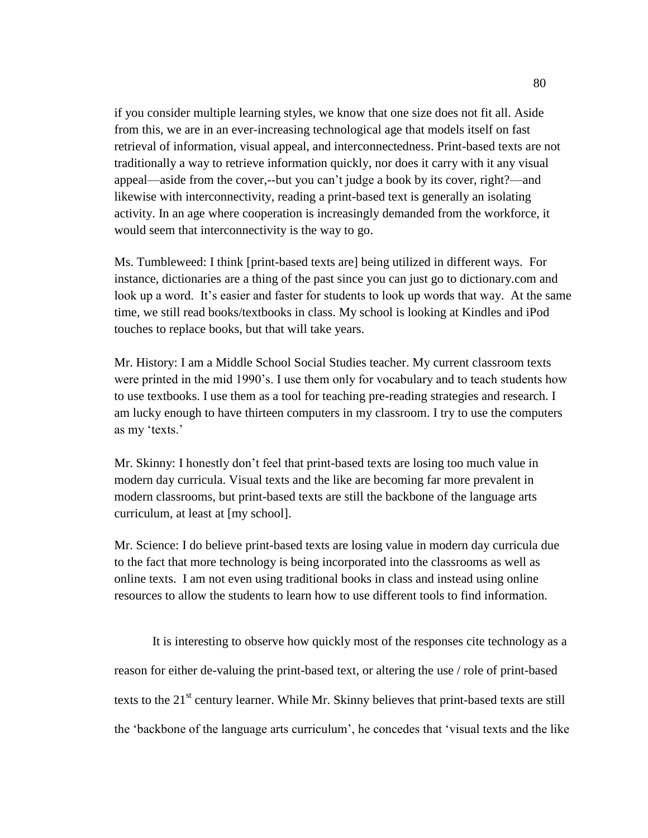if you consider multiple learning styles, we know that one size does not fit all. Aside from this, we are in an ever-increasing technological age that models itself on fast retrieval of information, visual appeal, and interconnectedness. Print-based texts are not traditionally a way to retrieve information quickly, nor does it carry with it any visual appeal—aside from the cover,--but you can't judge a book by its cover, right?—and likewise with interconnectivity, reading a print-based text is generally an isolating activity. In an age where cooperation is increasingly demanded from the workforce, it would seem that interconnectivity is the way to go.

Ms. Tumbleweed: I think [print-based texts are] being utilized in different ways. For instance, dictionaries are a thing of the past since you can just go to dictionary.com and look up a word. It's easier and faster for students to look up words that way. At the same time, we still read books/textbooks in class. My school is looking at Kindles and iPod touches to replace books, but that will take years.

Mr. History: I am a Middle School Social Studies teacher. My current classroom texts were printed in the mid 1990's. I use them only for vocabulary and to teach students how to use textbooks. I use them as a tool for teaching pre-reading strategies and research. I am lucky enough to have thirteen computers in my classroom. I try to use the computers as my 'texts.'

Mr. Skinny: I honestly don't feel that print-based texts are losing too much value in modern day curricula. Visual texts and the like are becoming far more prevalent in modern classrooms, but print-based texts are still the backbone of the language arts curriculum, at least at [my school].

Mr. Science: I do believe print-based texts are losing value in modern day curricula due to the fact that more technology is being incorporated into the classrooms as well as online texts. I am not even using traditional books in class and instead using online resources to allow the students to learn how to use different tools to find information.

It is interesting to observe how quickly most of the responses cite technology as a reason for either de-valuing the print-based text, or altering the use / role of print-based texts to the  $21<sup>st</sup>$  century learner. While Mr. Skinny believes that print-based texts are still the 'backbone of the language arts curriculum', he concedes that 'visual texts and the like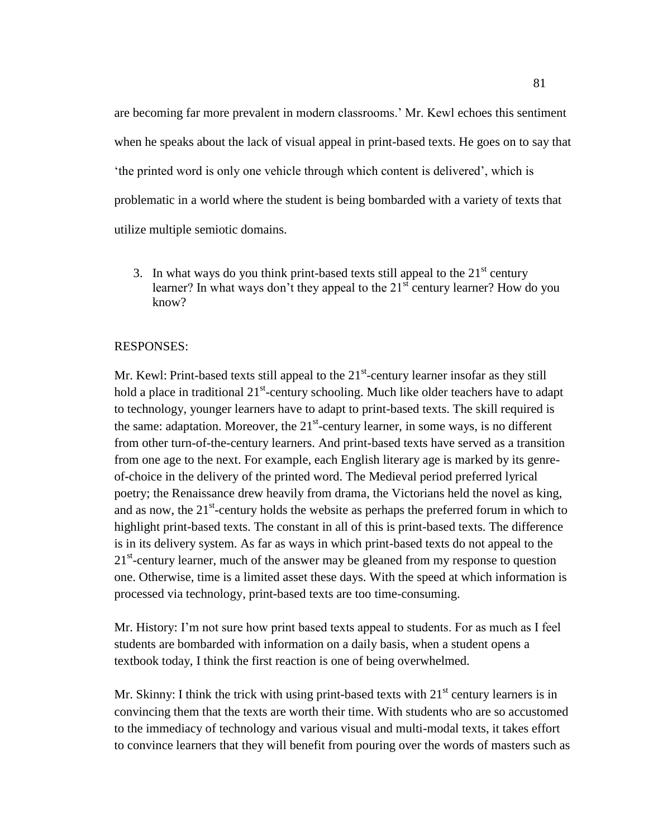are becoming far more prevalent in modern classrooms.' Mr. Kewl echoes this sentiment when he speaks about the lack of visual appeal in print-based texts. He goes on to say that ‗the printed word is only one vehicle through which content is delivered', which is problematic in a world where the student is being bombarded with a variety of texts that utilize multiple semiotic domains.

3. In what ways do you think print-based texts still appeal to the  $21<sup>st</sup>$  century learner? In what ways don't they appeal to the  $21<sup>st</sup>$  century learner? How do you know?

### RESPONSES:

Mr. Kewl: Print-based texts still appeal to the 21<sup>st</sup>-century learner insofar as they still hold a place in traditional 21<sup>st</sup>-century schooling. Much like older teachers have to adapt to technology, younger learners have to adapt to print-based texts. The skill required is the same: adaptation. Moreover, the  $21<sup>st</sup>$ -century learner, in some ways, is no different from other turn-of-the-century learners. And print-based texts have served as a transition from one age to the next. For example, each English literary age is marked by its genreof-choice in the delivery of the printed word. The Medieval period preferred lyrical poetry; the Renaissance drew heavily from drama, the Victorians held the novel as king, and as now, the  $21<sup>st</sup>$ -century holds the website as perhaps the preferred forum in which to highlight print-based texts. The constant in all of this is print-based texts. The difference is in its delivery system. As far as ways in which print-based texts do not appeal to the 21<sup>st</sup>-century learner, much of the answer may be gleaned from my response to question one. Otherwise, time is a limited asset these days. With the speed at which information is processed via technology, print-based texts are too time-consuming.

Mr. History: I'm not sure how print based texts appeal to students. For as much as I feel students are bombarded with information on a daily basis, when a student opens a textbook today, I think the first reaction is one of being overwhelmed.

Mr. Skinny: I think the trick with using print-based texts with  $21<sup>st</sup>$  century learners is in convincing them that the texts are worth their time. With students who are so accustomed to the immediacy of technology and various visual and multi-modal texts, it takes effort to convince learners that they will benefit from pouring over the words of masters such as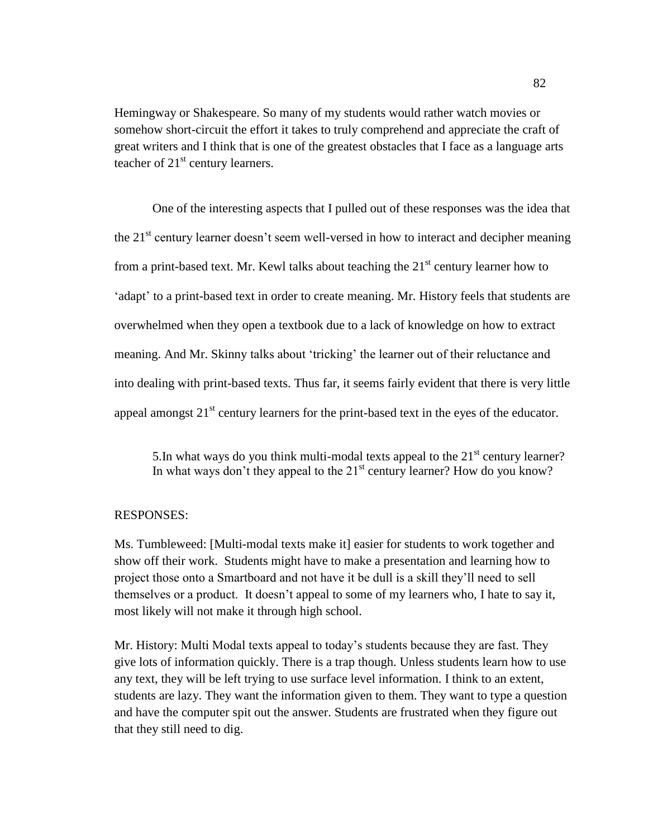Hemingway or Shakespeare. So many of my students would rather watch movies or somehow short-circuit the effort it takes to truly comprehend and appreciate the craft of great writers and I think that is one of the greatest obstacles that I face as a language arts teacher of  $21<sup>st</sup>$  century learners.

One of the interesting aspects that I pulled out of these responses was the idea that the  $21<sup>st</sup>$  century learner doesn't seem well-versed in how to interact and decipher meaning from a print-based text. Mr. Kewl talks about teaching the  $21<sup>st</sup>$  century learner how to 'adapt' to a print-based text in order to create meaning. Mr. History feels that students are overwhelmed when they open a textbook due to a lack of knowledge on how to extract meaning. And Mr. Skinny talks about 'tricking' the learner out of their reluctance and into dealing with print-based texts. Thus far, it seems fairly evident that there is very little appeal amongst  $21<sup>st</sup>$  century learners for the print-based text in the eyes of the educator.

5. In what ways do you think multi-modal texts appeal to the  $21<sup>st</sup>$  century learner? In what ways don't they appeal to the  $21<sup>st</sup>$  century learner? How do you know?

### RESPONSES:

Ms. Tumbleweed: [Multi-modal texts make it] easier for students to work together and show off their work. Students might have to make a presentation and learning how to project those onto a Smartboard and not have it be dull is a skill they'll need to sell themselves or a product. It doesn't appeal to some of my learners who, I hate to say it, most likely will not make it through high school.

Mr. History: Multi Modal texts appeal to today's students because they are fast. They give lots of information quickly. There is a trap though. Unless students learn how to use any text, they will be left trying to use surface level information. I think to an extent, students are lazy. They want the information given to them. They want to type a question and have the computer spit out the answer. Students are frustrated when they figure out that they still need to dig.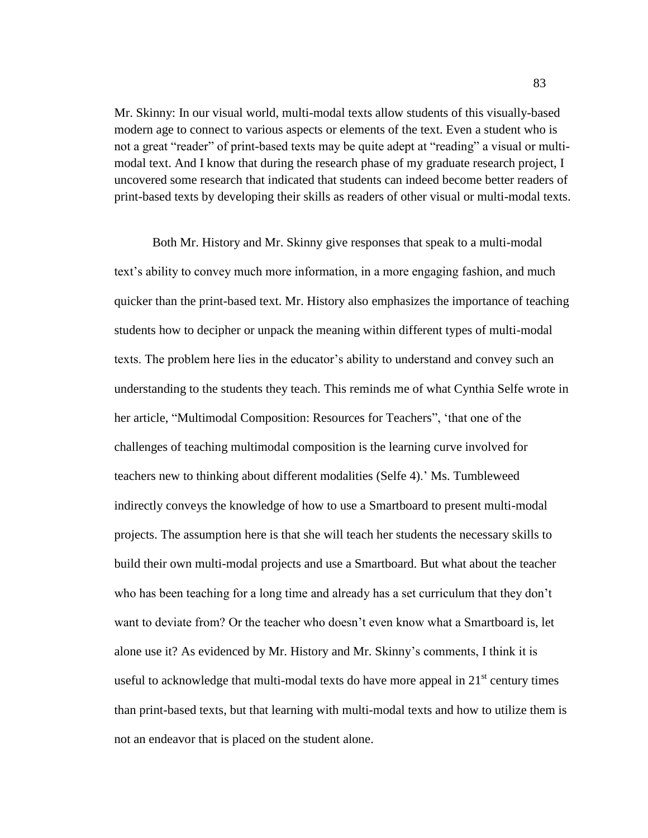Mr. Skinny: In our visual world, multi-modal texts allow students of this visually-based modern age to connect to various aspects or elements of the text. Even a student who is not a great "reader" of print-based texts may be quite adept at "reading" a visual or multimodal text. And I know that during the research phase of my graduate research project, I uncovered some research that indicated that students can indeed become better readers of print-based texts by developing their skills as readers of other visual or multi-modal texts.

Both Mr. History and Mr. Skinny give responses that speak to a multi-modal text's ability to convey much more information, in a more engaging fashion, and much quicker than the print-based text. Mr. History also emphasizes the importance of teaching students how to decipher or unpack the meaning within different types of multi-modal texts. The problem here lies in the educator's ability to understand and convey such an understanding to the students they teach. This reminds me of what Cynthia Selfe wrote in her article, "Multimodal Composition: Resources for Teachers", 'that one of the challenges of teaching multimodal composition is the learning curve involved for teachers new to thinking about different modalities (Selfe 4).' Ms. Tumbleweed indirectly conveys the knowledge of how to use a Smartboard to present multi-modal projects. The assumption here is that she will teach her students the necessary skills to build their own multi-modal projects and use a Smartboard. But what about the teacher who has been teaching for a long time and already has a set curriculum that they don't want to deviate from? Or the teacher who doesn't even know what a Smartboard is, let alone use it? As evidenced by Mr. History and Mr. Skinny's comments, I think it is useful to acknowledge that multi-modal texts do have more appeal in  $21<sup>st</sup>$  century times than print-based texts, but that learning with multi-modal texts and how to utilize them is not an endeavor that is placed on the student alone.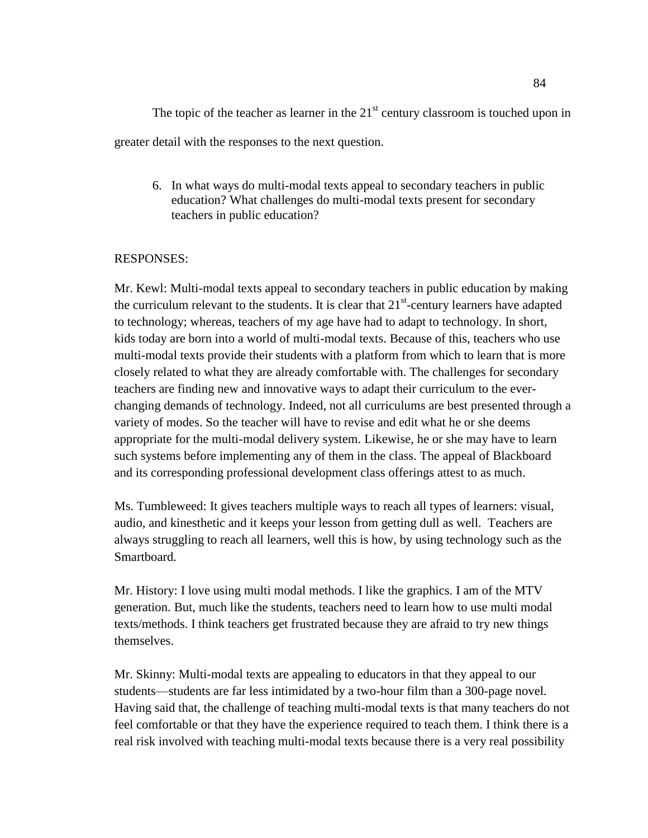The topic of the teacher as learner in the  $21<sup>st</sup>$  century classroom is touched upon in greater detail with the responses to the next question.

6. In what ways do multi-modal texts appeal to secondary teachers in public education? What challenges do multi-modal texts present for secondary teachers in public education?

# RESPONSES:

Mr. Kewl: Multi-modal texts appeal to secondary teachers in public education by making the curriculum relevant to the students. It is clear that  $21<sup>st</sup>$ -century learners have adapted to technology; whereas, teachers of my age have had to adapt to technology. In short, kids today are born into a world of multi-modal texts. Because of this, teachers who use multi-modal texts provide their students with a platform from which to learn that is more closely related to what they are already comfortable with. The challenges for secondary teachers are finding new and innovative ways to adapt their curriculum to the everchanging demands of technology. Indeed, not all curriculums are best presented through a variety of modes. So the teacher will have to revise and edit what he or she deems appropriate for the multi-modal delivery system. Likewise, he or she may have to learn such systems before implementing any of them in the class. The appeal of Blackboard and its corresponding professional development class offerings attest to as much.

Ms. Tumbleweed: It gives teachers multiple ways to reach all types of learners: visual, audio, and kinesthetic and it keeps your lesson from getting dull as well. Teachers are always struggling to reach all learners, well this is how, by using technology such as the Smartboard.

Mr. History: I love using multi modal methods. I like the graphics. I am of the MTV generation. But, much like the students, teachers need to learn how to use multi modal texts/methods. I think teachers get frustrated because they are afraid to try new things themselves.

Mr. Skinny: Multi-modal texts are appealing to educators in that they appeal to our students—students are far less intimidated by a two-hour film than a 300-page novel. Having said that, the challenge of teaching multi-modal texts is that many teachers do not feel comfortable or that they have the experience required to teach them. I think there is a real risk involved with teaching multi-modal texts because there is a very real possibility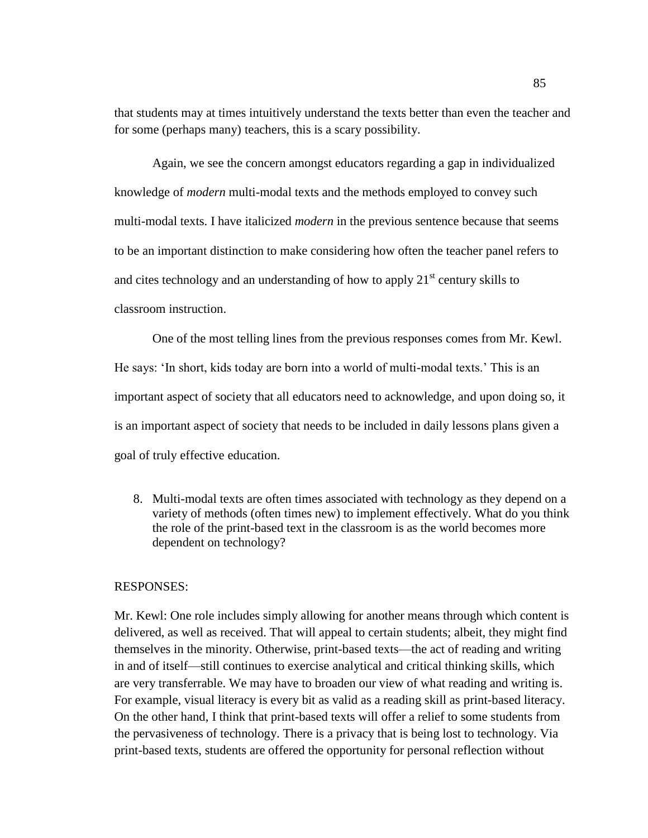that students may at times intuitively understand the texts better than even the teacher and for some (perhaps many) teachers, this is a scary possibility.

Again, we see the concern amongst educators regarding a gap in individualized knowledge of *modern* multi-modal texts and the methods employed to convey such multi-modal texts. I have italicized *modern* in the previous sentence because that seems to be an important distinction to make considering how often the teacher panel refers to and cites technology and an understanding of how to apply  $21<sup>st</sup>$  century skills to classroom instruction.

One of the most telling lines from the previous responses comes from Mr. Kewl. He says: ‗In short, kids today are born into a world of multi-modal texts.' This is an important aspect of society that all educators need to acknowledge, and upon doing so, it is an important aspect of society that needs to be included in daily lessons plans given a goal of truly effective education.

8. Multi-modal texts are often times associated with technology as they depend on a variety of methods (often times new) to implement effectively. What do you think the role of the print-based text in the classroom is as the world becomes more dependent on technology?

#### RESPONSES:

Mr. Kewl: One role includes simply allowing for another means through which content is delivered, as well as received. That will appeal to certain students; albeit, they might find themselves in the minority. Otherwise, print-based texts—the act of reading and writing in and of itself—still continues to exercise analytical and critical thinking skills, which are very transferrable. We may have to broaden our view of what reading and writing is. For example, visual literacy is every bit as valid as a reading skill as print-based literacy. On the other hand, I think that print-based texts will offer a relief to some students from the pervasiveness of technology. There is a privacy that is being lost to technology. Via print-based texts, students are offered the opportunity for personal reflection without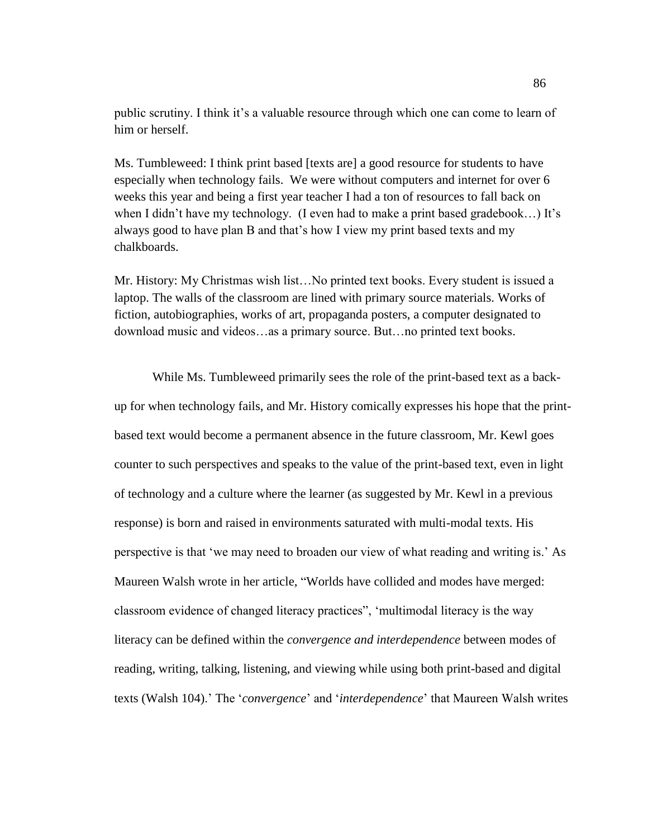public scrutiny. I think it's a valuable resource through which one can come to learn of him or herself.

Ms. Tumbleweed: I think print based [texts are] a good resource for students to have especially when technology fails. We were without computers and internet for over 6 weeks this year and being a first year teacher I had a ton of resources to fall back on when I didn't have my technology. (I even had to make a print based gradebook…) It's always good to have plan B and that's how I view my print based texts and my chalkboards.

Mr. History: My Christmas wish list…No printed text books. Every student is issued a laptop. The walls of the classroom are lined with primary source materials. Works of fiction, autobiographies, works of art, propaganda posters, a computer designated to download music and videos…as a primary source. But…no printed text books.

While Ms. Tumbleweed primarily sees the role of the print-based text as a backup for when technology fails, and Mr. History comically expresses his hope that the printbased text would become a permanent absence in the future classroom, Mr. Kewl goes counter to such perspectives and speaks to the value of the print-based text, even in light of technology and a culture where the learner (as suggested by Mr. Kewl in a previous response) is born and raised in environments saturated with multi-modal texts. His perspective is that ‗we may need to broaden our view of what reading and writing is.' As Maureen Walsh wrote in her article, "Worlds have collided and modes have merged: classroom evidence of changed literacy practices", 'multimodal literacy is the way literacy can be defined within the *convergence and interdependence* between modes of reading, writing, talking, listening, and viewing while using both print-based and digital texts (Walsh 104).' The ‗*convergence*' and ‗*interdependence*' that Maureen Walsh writes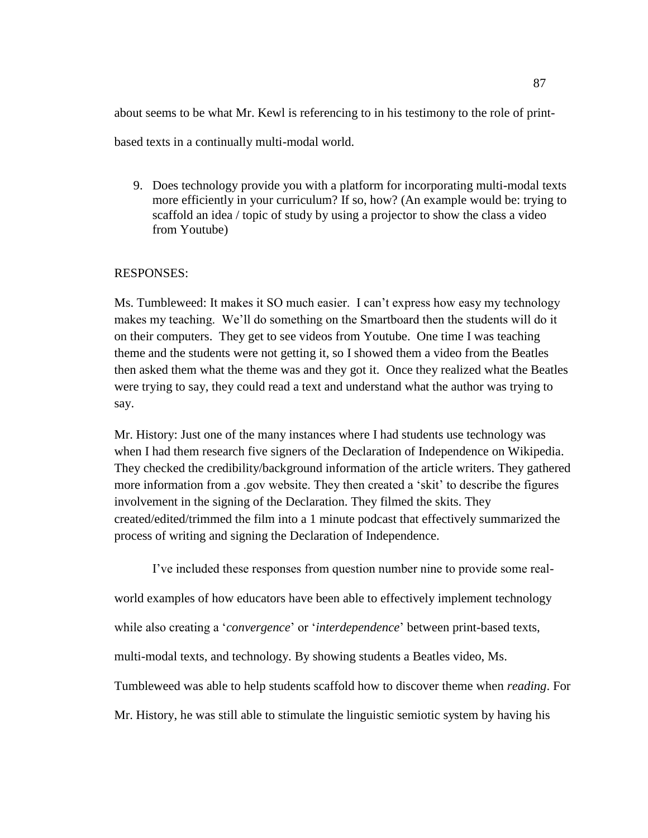about seems to be what Mr. Kewl is referencing to in his testimony to the role of printbased texts in a continually multi-modal world.

9. Does technology provide you with a platform for incorporating multi-modal texts more efficiently in your curriculum? If so, how? (An example would be: trying to scaffold an idea / topic of study by using a projector to show the class a video from Youtube)

# RESPONSES:

Ms. Tumbleweed: It makes it SO much easier. I can't express how easy my technology makes my teaching. We'll do something on the Smartboard then the students will do it on their computers. They get to see videos from Youtube. One time I was teaching theme and the students were not getting it, so I showed them a video from the Beatles then asked them what the theme was and they got it. Once they realized what the Beatles were trying to say, they could read a text and understand what the author was trying to say.

Mr. History: Just one of the many instances where I had students use technology was when I had them research five signers of the Declaration of Independence on Wikipedia. They checked the credibility/background information of the article writers. They gathered more information from a .gov website. They then created a 'skit' to describe the figures involvement in the signing of the Declaration. They filmed the skits. They created/edited/trimmed the film into a 1 minute podcast that effectively summarized the process of writing and signing the Declaration of Independence.

I've included these responses from question number nine to provide some realworld examples of how educators have been able to effectively implement technology while also creating a '*convergence*' or '*interdependence*' between print-based texts, multi-modal texts, and technology. By showing students a Beatles video, Ms. Tumbleweed was able to help students scaffold how to discover theme when *reading*. For Mr. History, he was still able to stimulate the linguistic semiotic system by having his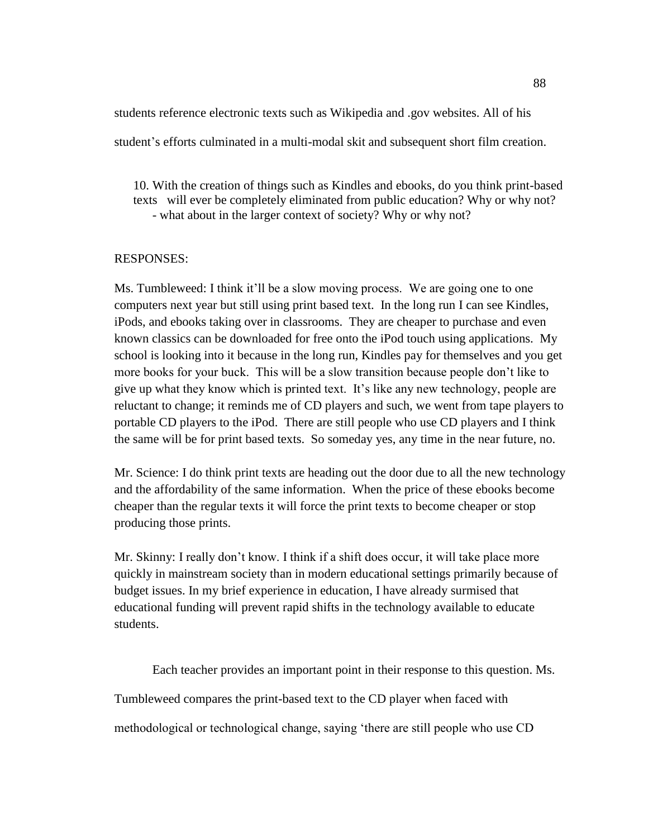students reference electronic texts such as Wikipedia and .gov websites. All of his student's efforts culminated in a multi-modal skit and subsequent short film creation.

10. With the creation of things such as Kindles and ebooks, do you think print-based texts will ever be completely eliminated from public education? Why or why not? - what about in the larger context of society? Why or why not?

### RESPONSES:

Ms. Tumbleweed: I think it'll be a slow moving process. We are going one to one computers next year but still using print based text. In the long run I can see Kindles, iPods, and ebooks taking over in classrooms. They are cheaper to purchase and even known classics can be downloaded for free onto the iPod touch using applications. My school is looking into it because in the long run, Kindles pay for themselves and you get more books for your buck. This will be a slow transition because people don't like to give up what they know which is printed text. It's like any new technology, people are reluctant to change; it reminds me of CD players and such, we went from tape players to portable CD players to the iPod. There are still people who use CD players and I think the same will be for print based texts. So someday yes, any time in the near future, no.

Mr. Science: I do think print texts are heading out the door due to all the new technology and the affordability of the same information. When the price of these ebooks become cheaper than the regular texts it will force the print texts to become cheaper or stop producing those prints.

Mr. Skinny: I really don't know. I think if a shift does occur, it will take place more quickly in mainstream society than in modern educational settings primarily because of budget issues. In my brief experience in education, I have already surmised that educational funding will prevent rapid shifts in the technology available to educate students.

Each teacher provides an important point in their response to this question. Ms.

Tumbleweed compares the print-based text to the CD player when faced with

methodological or technological change, saying 'there are still people who use CD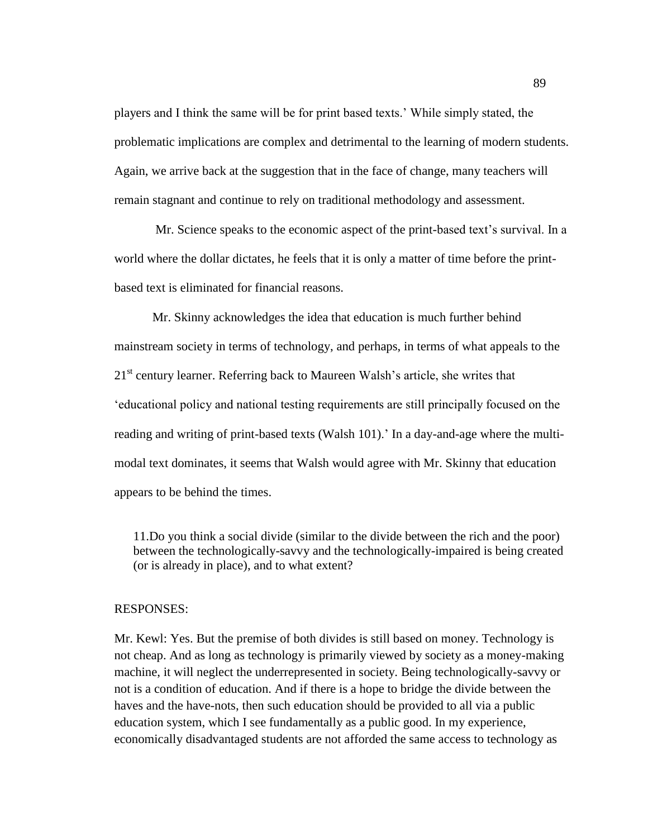players and I think the same will be for print based texts.' While simply stated, the problematic implications are complex and detrimental to the learning of modern students. Again, we arrive back at the suggestion that in the face of change, many teachers will remain stagnant and continue to rely on traditional methodology and assessment.

Mr. Science speaks to the economic aspect of the print-based text's survival. In a world where the dollar dictates, he feels that it is only a matter of time before the printbased text is eliminated for financial reasons.

Mr. Skinny acknowledges the idea that education is much further behind mainstream society in terms of technology, and perhaps, in terms of what appeals to the 21<sup>st</sup> century learner. Referring back to Maureen Walsh's article, she writes that ‗educational policy and national testing requirements are still principally focused on the reading and writing of print-based texts (Walsh 101).' In a day-and-age where the multimodal text dominates, it seems that Walsh would agree with Mr. Skinny that education appears to be behind the times.

11.Do you think a social divide (similar to the divide between the rich and the poor) between the technologically-savvy and the technologically-impaired is being created (or is already in place), and to what extent?

#### RESPONSES:

Mr. Kewl: Yes. But the premise of both divides is still based on money. Technology is not cheap. And as long as technology is primarily viewed by society as a money-making machine, it will neglect the underrepresented in society. Being technologically-savvy or not is a condition of education. And if there is a hope to bridge the divide between the haves and the have-nots, then such education should be provided to all via a public education system, which I see fundamentally as a public good. In my experience, economically disadvantaged students are not afforded the same access to technology as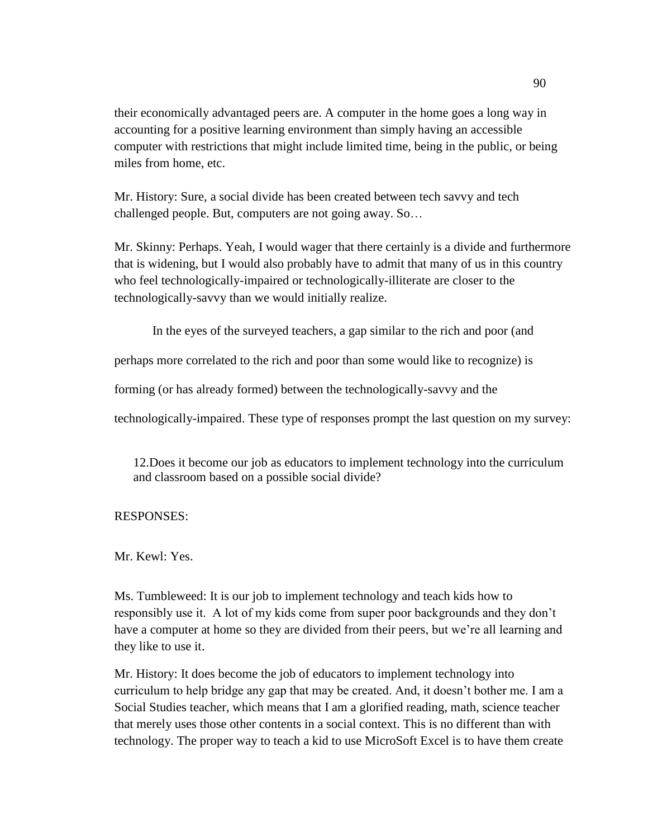their economically advantaged peers are. A computer in the home goes a long way in accounting for a positive learning environment than simply having an accessible computer with restrictions that might include limited time, being in the public, or being miles from home, etc.

Mr. History: Sure, a social divide has been created between tech savvy and tech challenged people. But, computers are not going away. So…

Mr. Skinny: Perhaps. Yeah, I would wager that there certainly is a divide and furthermore that is widening, but I would also probably have to admit that many of us in this country who feel technologically-impaired or technologically-illiterate are closer to the technologically-savvy than we would initially realize.

In the eyes of the surveyed teachers, a gap similar to the rich and poor (and

perhaps more correlated to the rich and poor than some would like to recognize) is

forming (or has already formed) between the technologically-savvy and the

technologically-impaired. These type of responses prompt the last question on my survey:

12.Does it become our job as educators to implement technology into the curriculum and classroom based on a possible social divide?

# RESPONSES:

Mr. Kewl: Yes.

Ms. Tumbleweed: It is our job to implement technology and teach kids how to responsibly use it. A lot of my kids come from super poor backgrounds and they don't have a computer at home so they are divided from their peers, but we're all learning and they like to use it.

Mr. History: It does become the job of educators to implement technology into curriculum to help bridge any gap that may be created. And, it doesn't bother me. I am a Social Studies teacher, which means that I am a glorified reading, math, science teacher that merely uses those other contents in a social context. This is no different than with technology. The proper way to teach a kid to use MicroSoft Excel is to have them create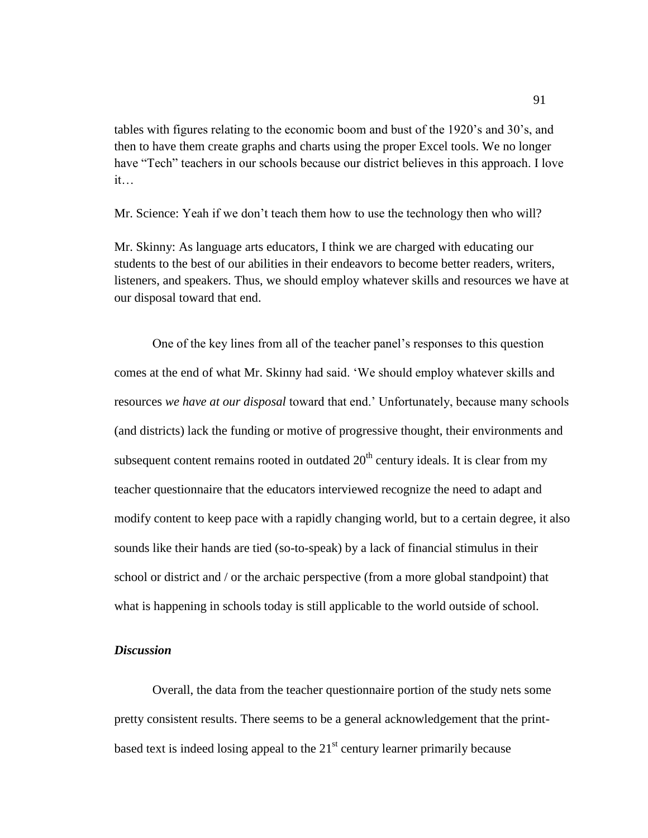tables with figures relating to the economic boom and bust of the 1920's and 30's, and then to have them create graphs and charts using the proper Excel tools. We no longer have "Tech" teachers in our schools because our district believes in this approach. I love  $it...$ 

Mr. Science: Yeah if we don't teach them how to use the technology then who will?

Mr. Skinny: As language arts educators, I think we are charged with educating our students to the best of our abilities in their endeavors to become better readers, writers, listeners, and speakers. Thus, we should employ whatever skills and resources we have at our disposal toward that end.

One of the key lines from all of the teacher panel's responses to this question comes at the end of what Mr. Skinny had said. ‗We should employ whatever skills and resources *we have at our disposal* toward that end.' Unfortunately, because many schools (and districts) lack the funding or motive of progressive thought, their environments and subsequent content remains rooted in outdated  $20<sup>th</sup>$  century ideals. It is clear from my teacher questionnaire that the educators interviewed recognize the need to adapt and modify content to keep pace with a rapidly changing world, but to a certain degree, it also sounds like their hands are tied (so-to-speak) by a lack of financial stimulus in their school or district and / or the archaic perspective (from a more global standpoint) that what is happening in schools today is still applicable to the world outside of school.

### *Discussion*

Overall, the data from the teacher questionnaire portion of the study nets some pretty consistent results. There seems to be a general acknowledgement that the printbased text is indeed losing appeal to the  $21<sup>st</sup>$  century learner primarily because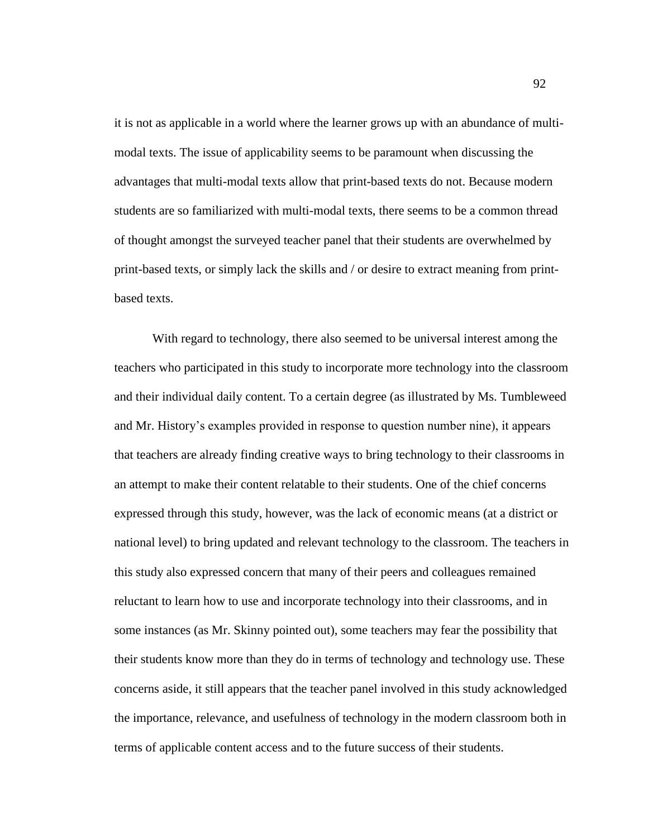it is not as applicable in a world where the learner grows up with an abundance of multimodal texts. The issue of applicability seems to be paramount when discussing the advantages that multi-modal texts allow that print-based texts do not. Because modern students are so familiarized with multi-modal texts, there seems to be a common thread of thought amongst the surveyed teacher panel that their students are overwhelmed by print-based texts, or simply lack the skills and / or desire to extract meaning from printbased texts.

With regard to technology, there also seemed to be universal interest among the teachers who participated in this study to incorporate more technology into the classroom and their individual daily content. To a certain degree (as illustrated by Ms. Tumbleweed and Mr. History's examples provided in response to question number nine), it appears that teachers are already finding creative ways to bring technology to their classrooms in an attempt to make their content relatable to their students. One of the chief concerns expressed through this study, however, was the lack of economic means (at a district or national level) to bring updated and relevant technology to the classroom. The teachers in this study also expressed concern that many of their peers and colleagues remained reluctant to learn how to use and incorporate technology into their classrooms, and in some instances (as Mr. Skinny pointed out), some teachers may fear the possibility that their students know more than they do in terms of technology and technology use. These concerns aside, it still appears that the teacher panel involved in this study acknowledged the importance, relevance, and usefulness of technology in the modern classroom both in terms of applicable content access and to the future success of their students.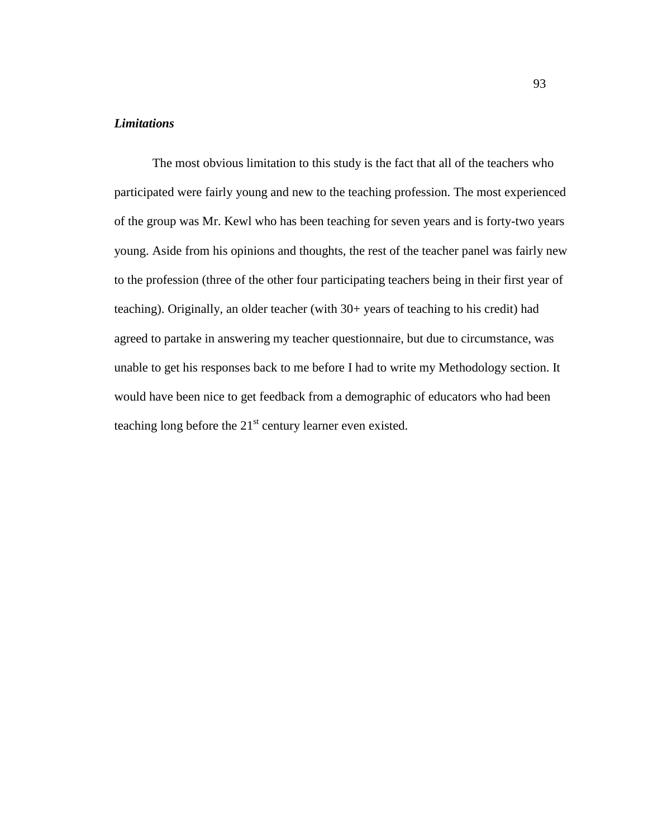# *Limitations*

The most obvious limitation to this study is the fact that all of the teachers who participated were fairly young and new to the teaching profession. The most experienced of the group was Mr. Kewl who has been teaching for seven years and is forty-two years young. Aside from his opinions and thoughts, the rest of the teacher panel was fairly new to the profession (three of the other four participating teachers being in their first year of teaching). Originally, an older teacher (with 30+ years of teaching to his credit) had agreed to partake in answering my teacher questionnaire, but due to circumstance, was unable to get his responses back to me before I had to write my Methodology section. It would have been nice to get feedback from a demographic of educators who had been teaching long before the  $21<sup>st</sup>$  century learner even existed.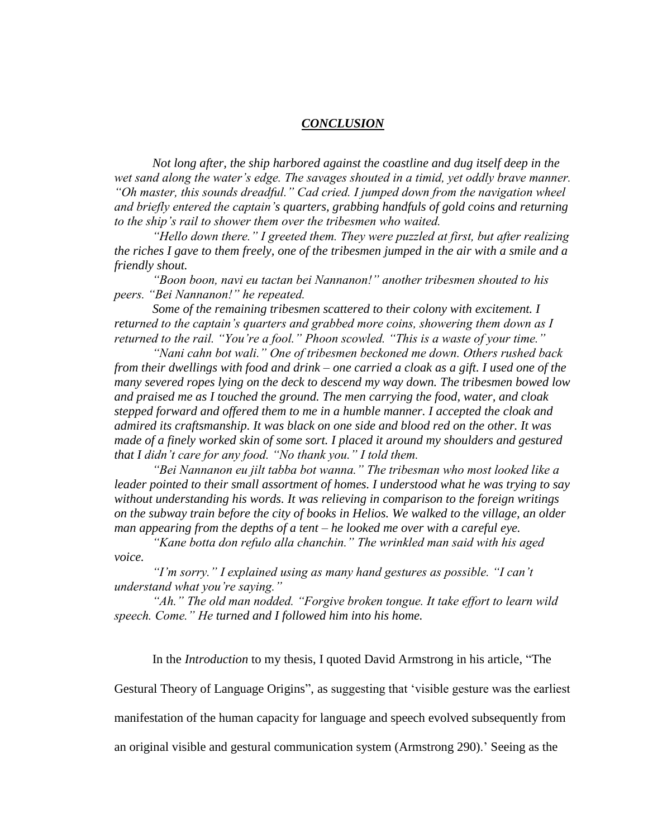#### *CONCLUSION*

*Not long after, the ship harbored against the coastline and dug itself deep in the wet sand along the water's edge. The savages shouted in a timid, yet oddly brave manner. "Oh master, this sounds dreadful." Cad cried. I jumped down from the navigation wheel and briefly entered the captain's quarters, grabbing handfuls of gold coins and returning to the ship's rail to shower them over the tribesmen who waited.*

*"Hello down there." I greeted them. They were puzzled at first, but after realizing the riches I gave to them freely, one of the tribesmen jumped in the air with a smile and a friendly shout.*

*"Boon boon, navi eu tactan bei Nannanon!" another tribesmen shouted to his peers. "Bei Nannanon!" he repeated.* 

*Some of the remaining tribesmen scattered to their colony with excitement. I returned to the captain's quarters and grabbed more coins, showering them down as I returned to the rail. "You're a fool." Phoon scowled. "This is a waste of your time."*

*"Nani cahn bot wali." One of tribesmen beckoned me down. Others rushed back from their dwellings with food and drink – one carried a cloak as a gift. I used one of the many severed ropes lying on the deck to descend my way down. The tribesmen bowed low and praised me as I touched the ground. The men carrying the food, water, and cloak stepped forward and offered them to me in a humble manner. I accepted the cloak and admired its craftsmanship. It was black on one side and blood red on the other. It was made of a finely worked skin of some sort. I placed it around my shoulders and gestured that I didn't care for any food. "No thank you." I told them.*

*"Bei Nannanon eu jilt tabba bot wanna." The tribesman who most looked like a leader pointed to their small assortment of homes. I understood what he was trying to say without understanding his words. It was relieving in comparison to the foreign writings on the subway train before the city of books in Helios. We walked to the village, an older man appearing from the depths of a tent – he looked me over with a careful eye.* 

*"Kane botta don refulo alla chanchin." The wrinkled man said with his aged voice.*

*"I'm sorry." I explained using as many hand gestures as possible. "I can't understand what you're saying."*

*"Ah." The old man nodded. "Forgive broken tongue. It take effort to learn wild speech. Come." He turned and I followed him into his home.*

In the *Introduction* to my thesis, I quoted David Armstrong in his article, "The

Gestural Theory of Language Origins", as suggesting that 'visible gesture was the earliest

manifestation of the human capacity for language and speech evolved subsequently from

an original visible and gestural communication system (Armstrong 290).' Seeing as the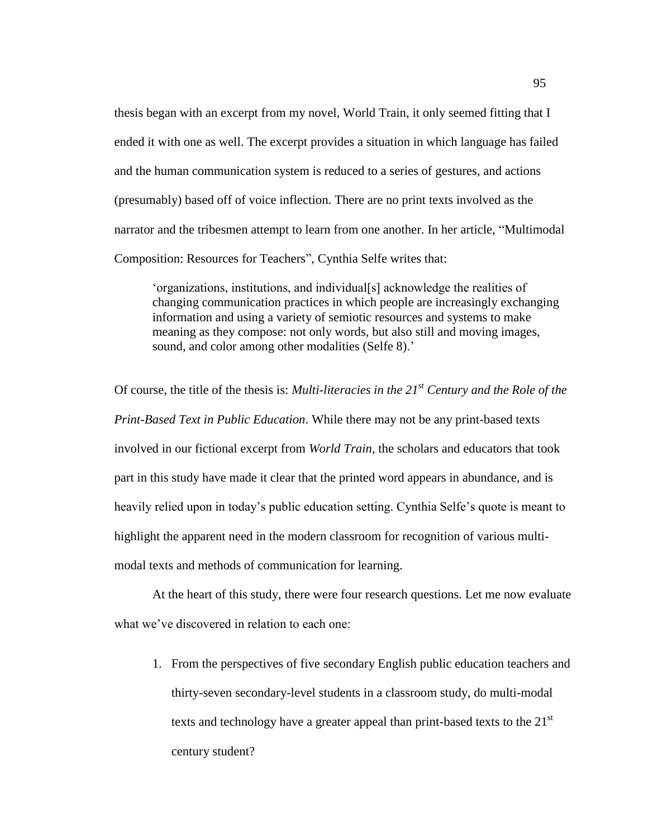thesis began with an excerpt from my novel, World Train, it only seemed fitting that I ended it with one as well. The excerpt provides a situation in which language has failed and the human communication system is reduced to a series of gestures, and actions (presumably) based off of voice inflection. There are no print texts involved as the narrator and the tribesmen attempt to learn from one another. In her article, "Multimodal Composition: Resources for Teachers", Cynthia Selfe writes that:

‗organizations, institutions, and individual[s] acknowledge the realities of changing communication practices in which people are increasingly exchanging information and using a variety of semiotic resources and systems to make meaning as they compose: not only words, but also still and moving images, sound, and color among other modalities (Selfe 8).'

Of course, the title of the thesis is: *Multi-literacies in the 21st Century and the Role of the Print-Based Text in Public Education*. While there may not be any print-based texts involved in our fictional excerpt from *World Train*, the scholars and educators that took part in this study have made it clear that the printed word appears in abundance, and is heavily relied upon in today's public education setting. Cynthia Selfe's quote is meant to highlight the apparent need in the modern classroom for recognition of various multimodal texts and methods of communication for learning.

At the heart of this study, there were four research questions. Let me now evaluate what we've discovered in relation to each one:

1. From the perspectives of five secondary English public education teachers and thirty-seven secondary-level students in a classroom study, do multi-modal texts and technology have a greater appeal than print-based texts to the  $21<sup>st</sup>$ century student?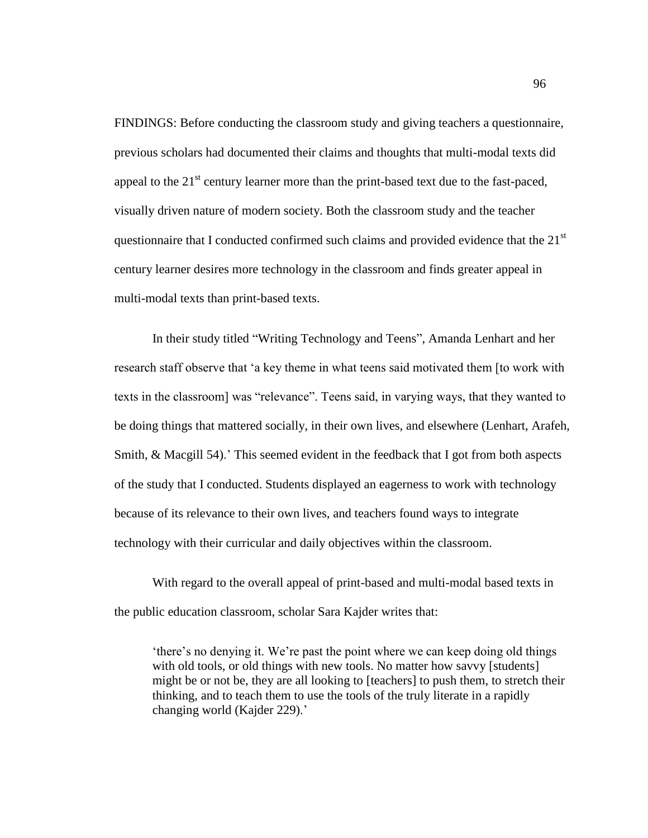FINDINGS: Before conducting the classroom study and giving teachers a questionnaire, previous scholars had documented their claims and thoughts that multi-modal texts did appeal to the  $21<sup>st</sup>$  century learner more than the print-based text due to the fast-paced, visually driven nature of modern society. Both the classroom study and the teacher questionnaire that I conducted confirmed such claims and provided evidence that the 21<sup>st</sup> century learner desires more technology in the classroom and finds greater appeal in multi-modal texts than print-based texts.

In their study titled "Writing Technology and Teens", Amanda Lenhart and her research staff observe that ‗a key theme in what teens said motivated them [to work with texts in the classroom] was "relevance". Teens said, in varying ways, that they wanted to be doing things that mattered socially, in their own lives, and elsewhere (Lenhart, Arafeh, Smith, & Macgill 54).' This seemed evident in the feedback that I got from both aspects of the study that I conducted. Students displayed an eagerness to work with technology because of its relevance to their own lives, and teachers found ways to integrate technology with their curricular and daily objectives within the classroom.

With regard to the overall appeal of print-based and multi-modal based texts in the public education classroom, scholar Sara Kajder writes that:

there's no denying it. We're past the point where we can keep doing old things with old tools, or old things with new tools. No matter how savvy [students] might be or not be, they are all looking to [teachers] to push them, to stretch their thinking, and to teach them to use the tools of the truly literate in a rapidly changing world (Kajder 229).'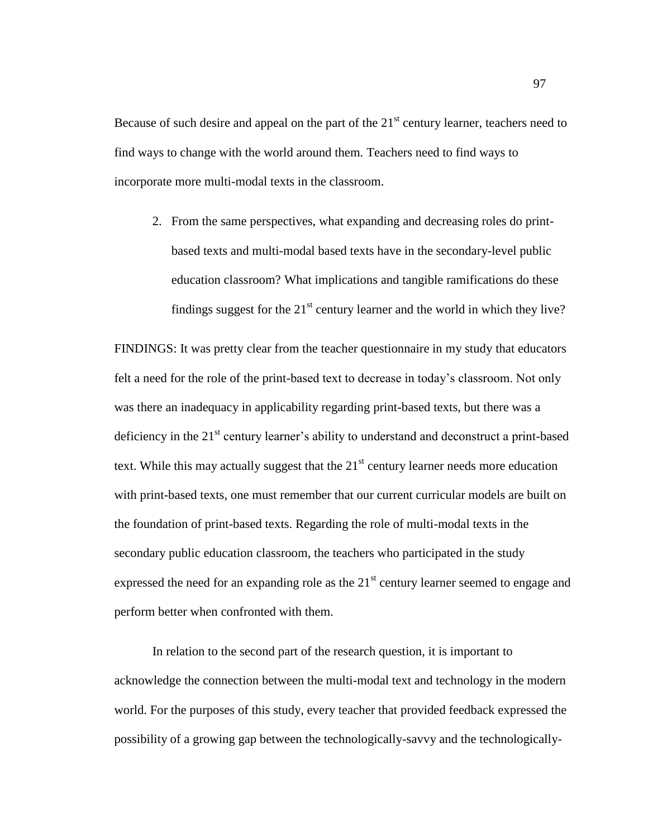Because of such desire and appeal on the part of the  $21<sup>st</sup>$  century learner, teachers need to find ways to change with the world around them. Teachers need to find ways to incorporate more multi-modal texts in the classroom.

2. From the same perspectives, what expanding and decreasing roles do printbased texts and multi-modal based texts have in the secondary-level public education classroom? What implications and tangible ramifications do these findings suggest for the  $21<sup>st</sup>$  century learner and the world in which they live?

FINDINGS: It was pretty clear from the teacher questionnaire in my study that educators felt a need for the role of the print-based text to decrease in today's classroom. Not only was there an inadequacy in applicability regarding print-based texts, but there was a deficiency in the  $21<sup>st</sup>$  century learner's ability to understand and deconstruct a print-based text. While this may actually suggest that the  $21<sup>st</sup>$  century learner needs more education with print-based texts, one must remember that our current curricular models are built on the foundation of print-based texts. Regarding the role of multi-modal texts in the secondary public education classroom, the teachers who participated in the study expressed the need for an expanding role as the  $21<sup>st</sup>$  century learner seemed to engage and perform better when confronted with them.

In relation to the second part of the research question, it is important to acknowledge the connection between the multi-modal text and technology in the modern world. For the purposes of this study, every teacher that provided feedback expressed the possibility of a growing gap between the technologically-savvy and the technologically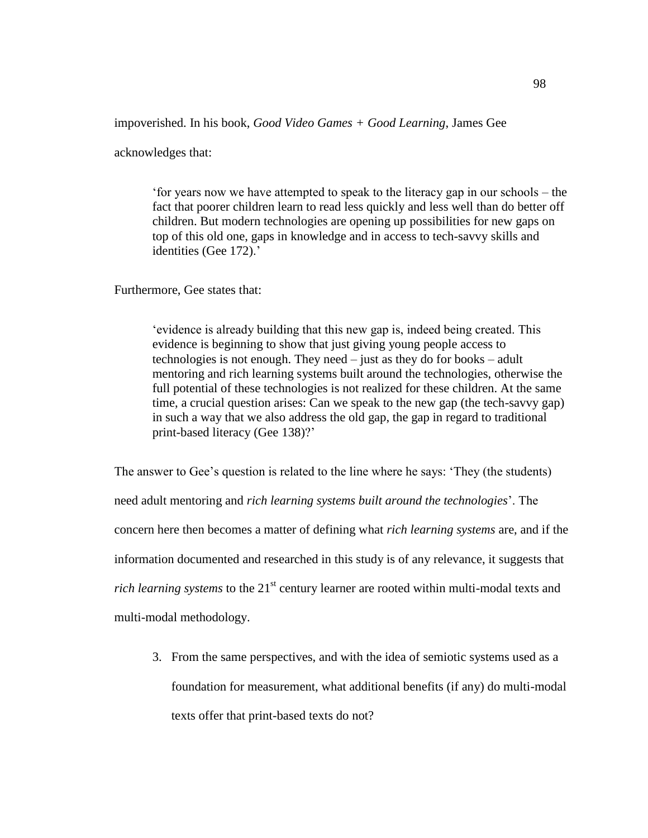impoverished. In his book, *Good Video Games + Good Learning*, James Gee

acknowledges that:

‗for years now we have attempted to speak to the literacy gap in our schools – the fact that poorer children learn to read less quickly and less well than do better off children. But modern technologies are opening up possibilities for new gaps on top of this old one, gaps in knowledge and in access to tech-savvy skills and identities (Gee 172).'

Furthermore, Gee states that:

‗evidence is already building that this new gap is, indeed being created. This evidence is beginning to show that just giving young people access to technologies is not enough. They need – just as they do for books – adult mentoring and rich learning systems built around the technologies, otherwise the full potential of these technologies is not realized for these children. At the same time, a crucial question arises: Can we speak to the new gap (the tech-savvy gap) in such a way that we also address the old gap, the gap in regard to traditional print-based literacy (Gee 138)?'

The answer to Gee's question is related to the line where he says: 'They (the students)

need adult mentoring and *rich learning systems built around the technologies*'. The concern here then becomes a matter of defining what *rich learning systems* are, and if the information documented and researched in this study is of any relevance, it suggests that *rich learning systems* to the 21<sup>st</sup> century learner are rooted within multi-modal texts and multi-modal methodology.

3. From the same perspectives, and with the idea of semiotic systems used as a foundation for measurement, what additional benefits (if any) do multi-modal texts offer that print-based texts do not?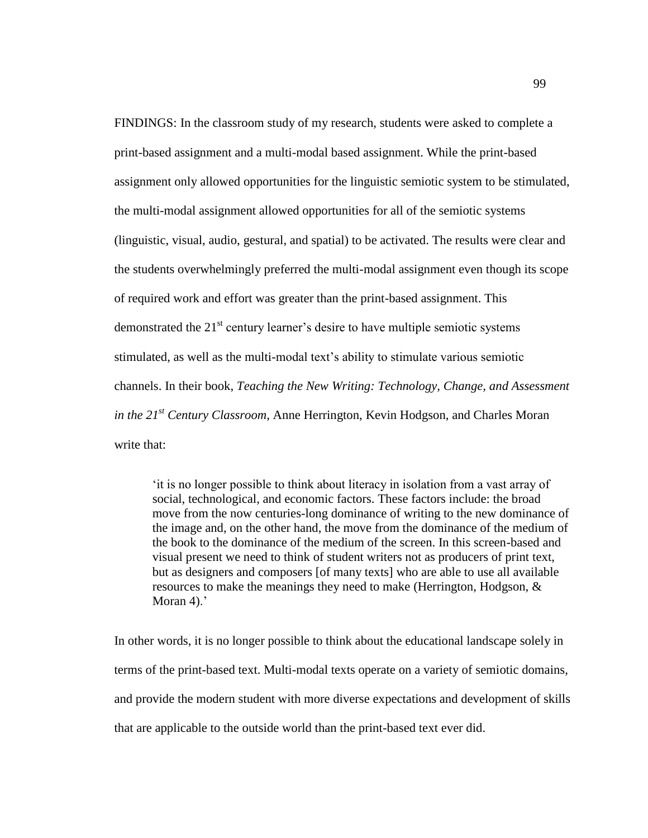FINDINGS: In the classroom study of my research, students were asked to complete a print-based assignment and a multi-modal based assignment. While the print-based assignment only allowed opportunities for the linguistic semiotic system to be stimulated, the multi-modal assignment allowed opportunities for all of the semiotic systems (linguistic, visual, audio, gestural, and spatial) to be activated. The results were clear and the students overwhelmingly preferred the multi-modal assignment even though its scope of required work and effort was greater than the print-based assignment. This demonstrated the 21<sup>st</sup> century learner's desire to have multiple semiotic systems stimulated, as well as the multi-modal text's ability to stimulate various semiotic channels. In their book, *Teaching the New Writing: Technology, Change, and Assessment in the 21st Century Classroom*, Anne Herrington, Kevin Hodgson, and Charles Moran write that:

‗it is no longer possible to think about literacy in isolation from a vast array of social, technological, and economic factors. These factors include: the broad move from the now centuries-long dominance of writing to the new dominance of the image and, on the other hand, the move from the dominance of the medium of the book to the dominance of the medium of the screen. In this screen-based and visual present we need to think of student writers not as producers of print text, but as designers and composers [of many texts] who are able to use all available resources to make the meanings they need to make (Herrington, Hodgson, & Moran 4).'

In other words, it is no longer possible to think about the educational landscape solely in terms of the print-based text. Multi-modal texts operate on a variety of semiotic domains, and provide the modern student with more diverse expectations and development of skills that are applicable to the outside world than the print-based text ever did.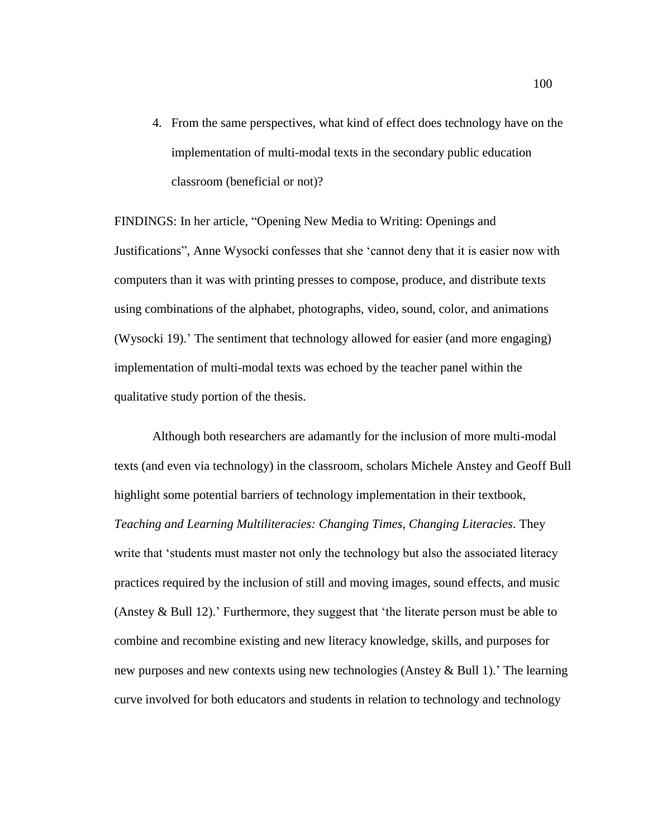4. From the same perspectives, what kind of effect does technology have on the implementation of multi-modal texts in the secondary public education classroom (beneficial or not)?

FINDINGS: In her article, "Opening New Media to Writing: Openings and Justifications", Anne Wysocki confesses that she 'cannot deny that it is easier now with computers than it was with printing presses to compose, produce, and distribute texts using combinations of the alphabet, photographs, video, sound, color, and animations (Wysocki 19).' The sentiment that technology allowed for easier (and more engaging) implementation of multi-modal texts was echoed by the teacher panel within the qualitative study portion of the thesis.

Although both researchers are adamantly for the inclusion of more multi-modal texts (and even via technology) in the classroom, scholars Michele Anstey and Geoff Bull highlight some potential barriers of technology implementation in their textbook, *Teaching and Learning Multiliteracies: Changing Times, Changing Literacies*. They write that 'students must master not only the technology but also the associated literacy practices required by the inclusion of still and moving images, sound effects, and music (Anstey  $& Bull 12$ ).' Furthermore, they suggest that 'the literate person must be able to combine and recombine existing and new literacy knowledge, skills, and purposes for new purposes and new contexts using new technologies (Anstey & Bull 1).' The learning curve involved for both educators and students in relation to technology and technology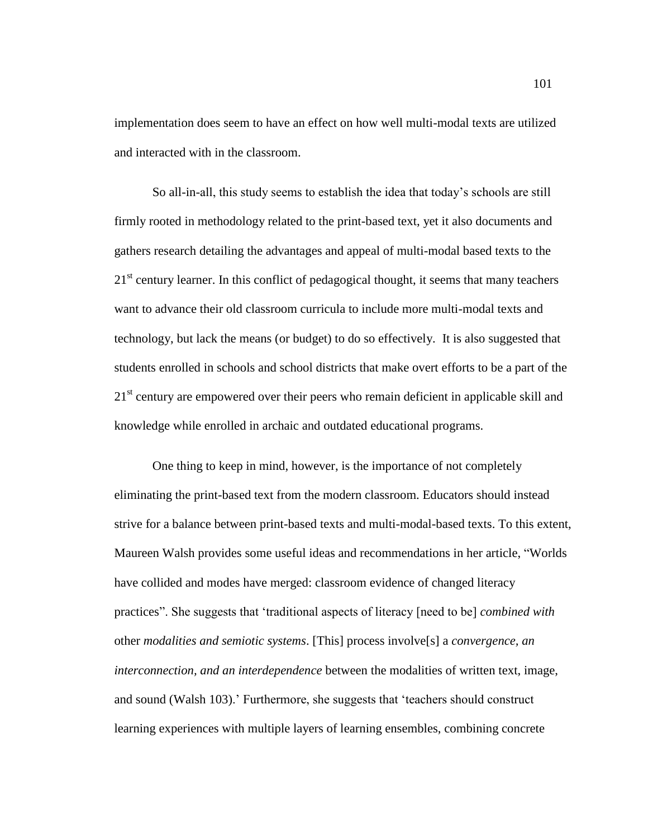implementation does seem to have an effect on how well multi-modal texts are utilized and interacted with in the classroom.

So all-in-all, this study seems to establish the idea that today's schools are still firmly rooted in methodology related to the print-based text, yet it also documents and gathers research detailing the advantages and appeal of multi-modal based texts to the  $21<sup>st</sup>$  century learner. In this conflict of pedagogical thought, it seems that many teachers want to advance their old classroom curricula to include more multi-modal texts and technology, but lack the means (or budget) to do so effectively. It is also suggested that students enrolled in schools and school districts that make overt efforts to be a part of the 21<sup>st</sup> century are empowered over their peers who remain deficient in applicable skill and knowledge while enrolled in archaic and outdated educational programs.

One thing to keep in mind, however, is the importance of not completely eliminating the print-based text from the modern classroom. Educators should instead strive for a balance between print-based texts and multi-modal-based texts. To this extent, Maureen Walsh provides some useful ideas and recommendations in her article, "Worlds" have collided and modes have merged: classroom evidence of changed literacy practices". She suggests that 'traditional aspects of literacy [need to be] *combined with* other *modalities and semiotic systems*. [This] process involve[s] a *convergence, an interconnection, and an interdependence* between the modalities of written text, image, and sound (Walsh 103).' Furthermore, she suggests that 'teachers should construct learning experiences with multiple layers of learning ensembles, combining concrete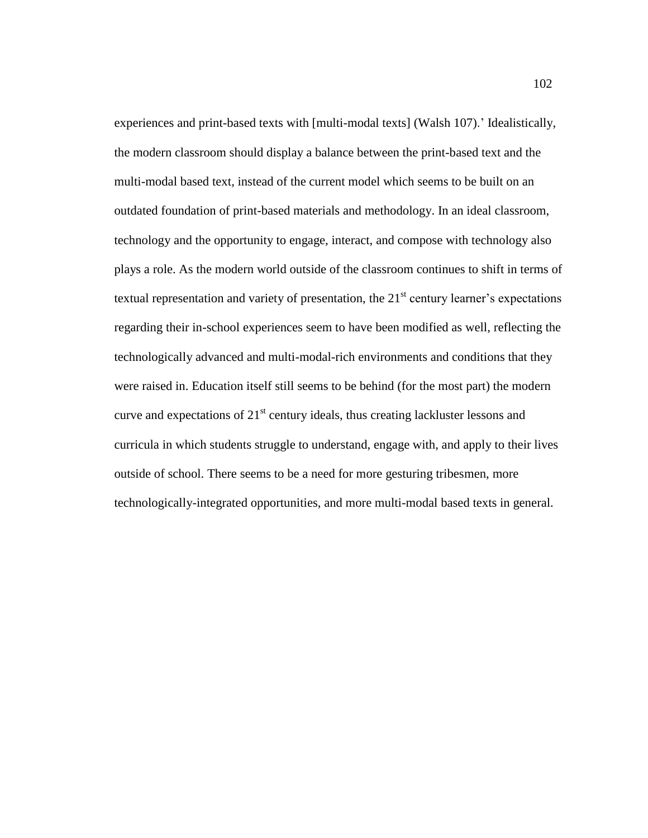experiences and print-based texts with [multi-modal texts] (Walsh 107).' Idealistically, the modern classroom should display a balance between the print-based text and the multi-modal based text, instead of the current model which seems to be built on an outdated foundation of print-based materials and methodology. In an ideal classroom, technology and the opportunity to engage, interact, and compose with technology also plays a role. As the modern world outside of the classroom continues to shift in terms of textual representation and variety of presentation, the  $21<sup>st</sup>$  century learner's expectations regarding their in-school experiences seem to have been modified as well, reflecting the technologically advanced and multi-modal-rich environments and conditions that they were raised in. Education itself still seems to be behind (for the most part) the modern curve and expectations of  $21<sup>st</sup>$  century ideals, thus creating lackluster lessons and curricula in which students struggle to understand, engage with, and apply to their lives outside of school. There seems to be a need for more gesturing tribesmen, more technologically-integrated opportunities, and more multi-modal based texts in general.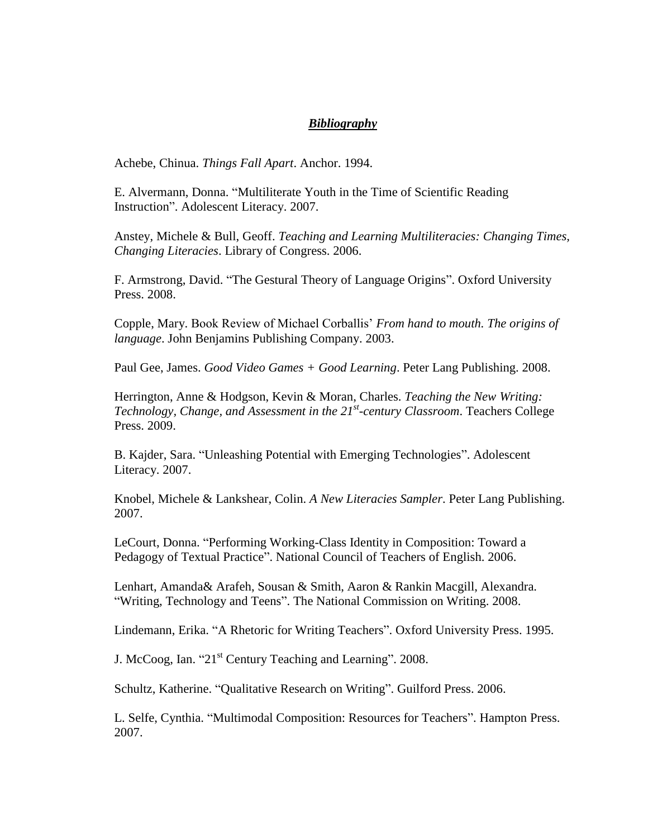# *Bibliography*

Achebe, Chinua. *Things Fall Apart*. Anchor. 1994.

E. Alvermann, Donna. "Multiliterate Youth in the Time of Scientific Reading Instruction". Adolescent Literacy. 2007.

Anstey, Michele & Bull, Geoff. *Teaching and Learning Multiliteracies: Changing Times, Changing Literacies*. Library of Congress. 2006.

F. Armstrong, David. "The Gestural Theory of Language Origins". Oxford University Press. 2008.

Copple, Mary. Book Review of Michael Corballis' *From hand to mouth. The origins of language*. John Benjamins Publishing Company. 2003.

Paul Gee, James. *Good Video Games + Good Learning*. Peter Lang Publishing. 2008.

Herrington, Anne & Hodgson, Kevin & Moran, Charles. *Teaching the New Writing: Technology, Change, and Assessment in the 21st -century Classroom*. Teachers College Press. 2009.

B. Kajder, Sara. "Unleashing Potential with Emerging Technologies". Adolescent Literacy. 2007.

Knobel, Michele & Lankshear, Colin. *A New Literacies Sampler*. Peter Lang Publishing. 2007.

LeCourt, Donna. "Performing Working-Class Identity in Composition: Toward a Pedagogy of Textual Practice". National Council of Teachers of English. 2006.

Lenhart, Amanda& Arafeh, Sousan & Smith, Aaron & Rankin Macgill, Alexandra. ―Writing, Technology and Teens‖. The National Commission on Writing. 2008.

Lindemann, Erika. "A Rhetoric for Writing Teachers". Oxford University Press. 1995.

J. McCoog, Ian. " $21<sup>st</sup>$  Century Teaching and Learning". 2008.

Schultz, Katherine. "Qualitative Research on Writing". Guilford Press. 2006.

L. Selfe, Cynthia. "Multimodal Composition: Resources for Teachers". Hampton Press. 2007.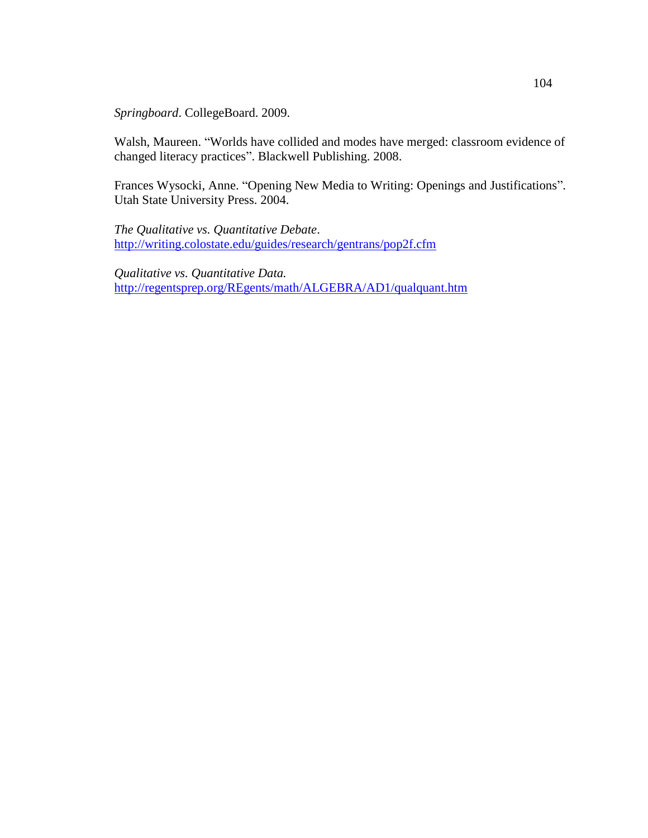*Springboard*. CollegeBoard. 2009.

Walsh, Maureen. "Worlds have collided and modes have merged: classroom evidence of changed literacy practices". Blackwell Publishing. 2008.

Frances Wysocki, Anne. "Opening New Media to Writing: Openings and Justifications". Utah State University Press. 2004.

*The Qualitative vs. Quantitative Debate*. <http://writing.colostate.edu/guides/research/gentrans/pop2f.cfm>

*Qualitative vs. Quantitative Data.* <http://regentsprep.org/REgents/math/ALGEBRA/AD1/qualquant.htm>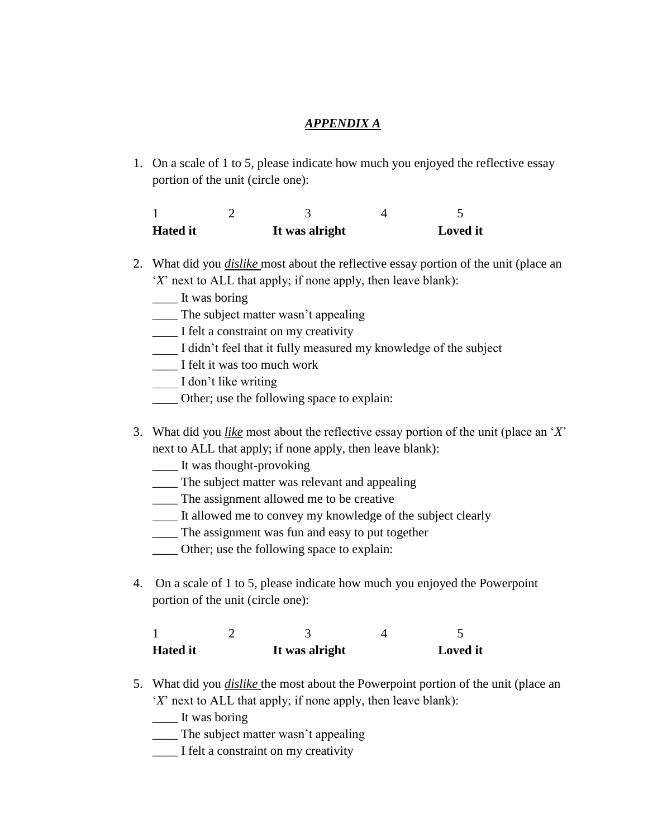## *APPENDIX A*

1. On a scale of 1 to 5, please indicate how much you enjoyed the reflective essay portion of the unit (circle one):

| <b>Hated it</b> | It was alright | Loved it |
|-----------------|----------------|----------|
|                 |                |          |

- 2. What did you *dislike* most about the reflective essay portion of the unit (place an ‗*X*' next to ALL that apply; if none apply, then leave blank):
	- \_\_\_\_ It was boring
	- \_\_\_\_ The subject matter wasn't appealing
	- \_\_\_\_ I felt a constraint on my creativity
	- \_\_\_\_ I didn't feel that it fully measured my knowledge of the subject
	- \_\_\_\_ I felt it was too much work
	- \_\_\_\_ I don't like writing
	- \_\_\_\_ Other; use the following space to explain:
- 3. What did you *like* most about the reflective essay portion of the unit (place an 'X' next to ALL that apply; if none apply, then leave blank):
	- It was thought-provoking
	- \_\_\_\_ The subject matter was relevant and appealing
	- \_\_\_\_ The assignment allowed me to be creative
	- \_\_\_\_ It allowed me to convey my knowledge of the subject clearly
	- \_\_\_\_ The assignment was fun and easy to put together
	- \_\_\_\_ Other; use the following space to explain:
- 4. On a scale of 1 to 5, please indicate how much you enjoyed the Powerpoint portion of the unit (circle one):

| <b>Hated it</b> | It was alright | Loved it |
|-----------------|----------------|----------|

- 5. What did you *dislike* the most about the Powerpoint portion of the unit (place an ‗*X*' next to ALL that apply; if none apply, then leave blank):
	- \_\_\_\_ It was boring
	- \_\_\_\_ The subject matter wasn't appealing
	- \_\_\_\_ I felt a constraint on my creativity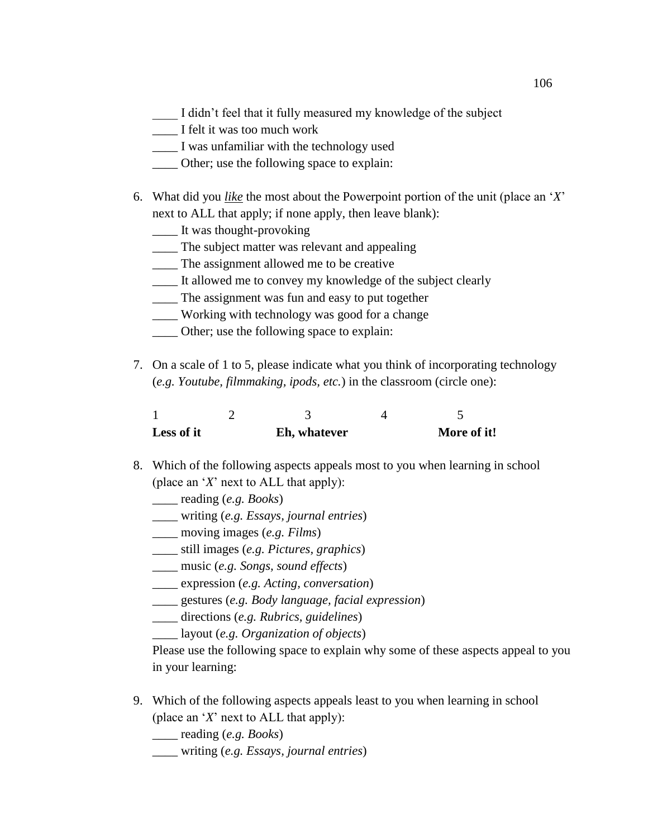- I didn't feel that it fully measured my knowledge of the subject
- \_\_\_\_ I felt it was too much work
- \_\_\_\_ I was unfamiliar with the technology used
- \_\_\_\_ Other; use the following space to explain:
- 6. What did you *like* the most about the Powerpoint portion of the unit (place an ‗*X*' next to ALL that apply; if none apply, then leave blank):
	- \_\_\_\_ It was thought-provoking
	- \_\_\_\_ The subject matter was relevant and appealing
	- The assignment allowed me to be creative
	- It allowed me to convey my knowledge of the subject clearly
	- The assignment was fun and easy to put together
	- \_\_\_\_ Working with technology was good for a change
	- \_\_\_\_ Other; use the following space to explain:
- 7. On a scale of 1 to 5, please indicate what you think of incorporating technology (*e.g. Youtube, filmmaking, ipods, etc.*) in the classroom (circle one):

| Less of it | Eh, whatever | More of it! |
|------------|--------------|-------------|

- 8. Which of the following aspects appeals most to you when learning in school (place an  $X'$  next to ALL that apply):
	- \_\_\_\_ reading (*e.g. Books*)
	- \_\_\_\_ writing (*e.g. Essays, journal entries*)
	- \_\_\_\_ moving images (*e.g. Films*)
	- \_\_\_\_ still images (*e.g. Pictures, graphics*)
	- \_\_\_\_ music (*e.g. Songs, sound effects*)
	- \_\_\_\_ expression (*e.g. Acting, conversation*)
	- \_\_\_\_ gestures (*e.g. Body language, facial expression*)
	- \_\_\_\_ directions (*e.g. Rubrics, guidelines*)
	- \_\_\_\_ layout (*e.g. Organization of objects*)

Please use the following space to explain why some of these aspects appeal to you in your learning:

9. Which of the following aspects appeals least to you when learning in school (place an  $X'$  next to ALL that apply):

\_\_\_\_ reading (*e.g. Books*)

\_\_\_\_ writing (*e.g. Essays, journal entries*)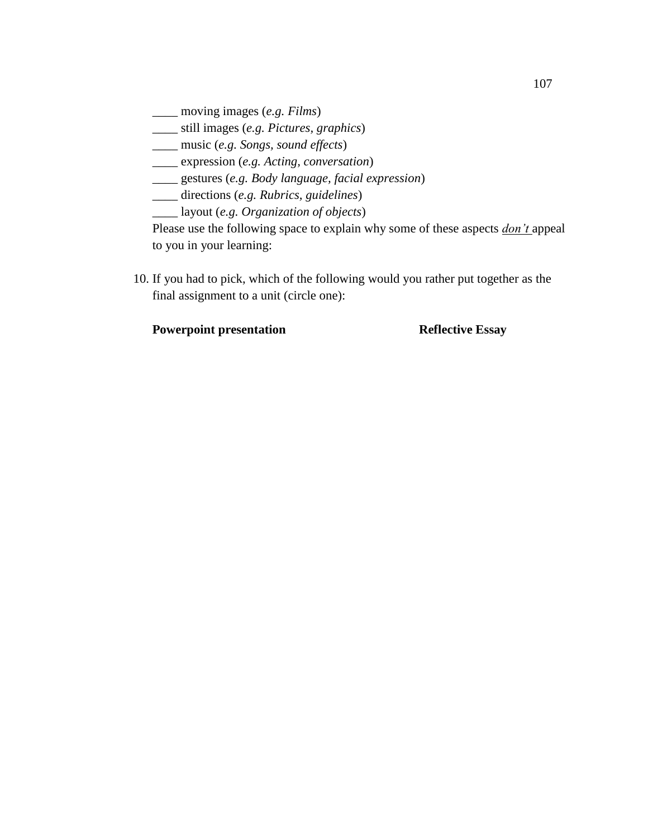- \_\_\_\_ moving images (*e.g. Films*)
- \_\_\_\_ still images (*e.g. Pictures, graphics*)
- \_\_\_\_ music (*e.g. Songs, sound effects*)
- \_\_\_\_ expression (*e.g. Acting, conversation*)
- \_\_\_\_ gestures (*e.g. Body language, facial expression*)
- \_\_\_\_ directions (*e.g. Rubrics, guidelines*)
- \_\_\_\_ layout (*e.g. Organization of objects*)

Please use the following space to explain why some of these aspects *don't* appeal to you in your learning:

10. If you had to pick, which of the following would you rather put together as the final assignment to a unit (circle one):

**Powerpoint presentation Reflective Essay**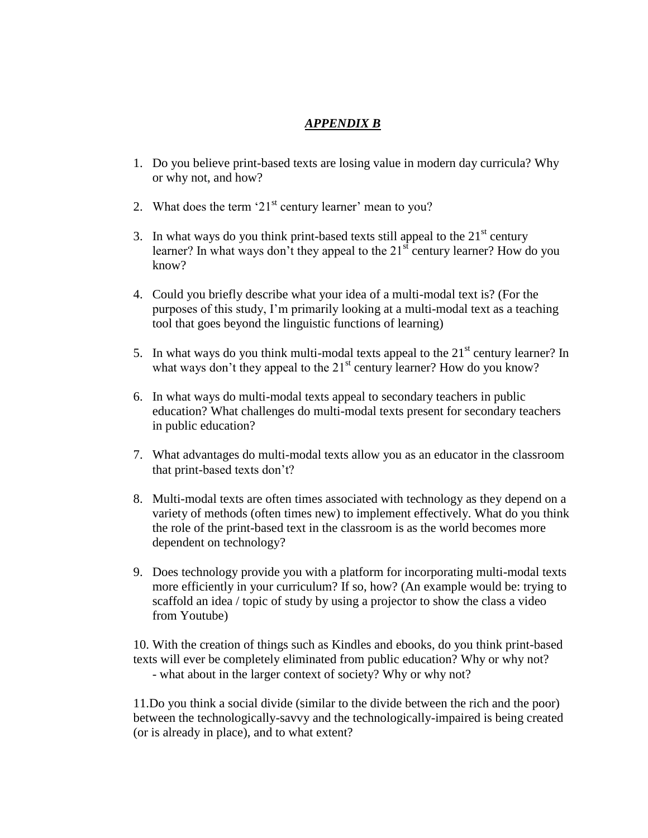## *APPENDIX B*

- 1. Do you believe print-based texts are losing value in modern day curricula? Why or why not, and how?
- 2. What does the term  $21<sup>st</sup>$  century learner' mean to you?
- 3. In what ways do you think print-based texts still appeal to the  $21<sup>st</sup>$  century learner? In what ways don't they appeal to the  $21<sup>st</sup>$  century learner? How do you know?
- 4. Could you briefly describe what your idea of a multi-modal text is? (For the purposes of this study, I'm primarily looking at a multi-modal text as a teaching tool that goes beyond the linguistic functions of learning)
- 5. In what ways do you think multi-modal texts appeal to the  $21<sup>st</sup>$  century learner? In what ways don't they appeal to the  $21<sup>st</sup>$  century learner? How do you know?
- 6. In what ways do multi-modal texts appeal to secondary teachers in public education? What challenges do multi-modal texts present for secondary teachers in public education?
- 7. What advantages do multi-modal texts allow you as an educator in the classroom that print-based texts don't?
- 8. Multi-modal texts are often times associated with technology as they depend on a variety of methods (often times new) to implement effectively. What do you think the role of the print-based text in the classroom is as the world becomes more dependent on technology?
- 9. Does technology provide you with a platform for incorporating multi-modal texts more efficiently in your curriculum? If so, how? (An example would be: trying to scaffold an idea / topic of study by using a projector to show the class a video from Youtube)

10. With the creation of things such as Kindles and ebooks, do you think print-based texts will ever be completely eliminated from public education? Why or why not?

- what about in the larger context of society? Why or why not?

11.Do you think a social divide (similar to the divide between the rich and the poor) between the technologically-savvy and the technologically-impaired is being created (or is already in place), and to what extent?